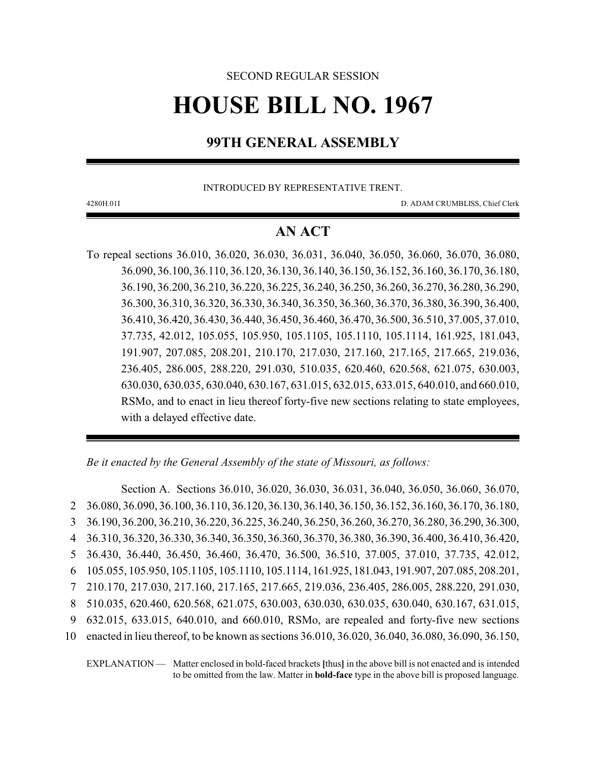# SECOND REGULAR SESSION

# **HOUSE BILL NO. 1967**

# **99TH GENERAL ASSEMBLY**

INTRODUCED BY REPRESENTATIVE TRENT.

4280H.01I D. ADAM CRUMBLISS, Chief Clerk

# **AN ACT**

To repeal sections 36.010, 36.020, 36.030, 36.031, 36.040, 36.050, 36.060, 36.070, 36.080, 36.090, 36.100, 36.110, 36.120, 36.130, 36.140, 36.150, 36.152, 36.160, 36.170, 36.180, 36.190, 36.200, 36.210, 36.220, 36.225, 36.240, 36.250, 36.260, 36.270, 36.280, 36.290, 36.300, 36.310, 36.320, 36.330, 36.340, 36.350, 36.360, 36.370, 36.380, 36.390, 36.400, 36.410, 36.420, 36.430, 36.440, 36.450, 36.460, 36.470, 36.500, 36.510, 37.005, 37.010, 37.735, 42.012, 105.055, 105.950, 105.1105, 105.1110, 105.1114, 161.925, 181.043, 191.907, 207.085, 208.201, 210.170, 217.030, 217.160, 217.165, 217.665, 219.036, 236.405, 286.005, 288.220, 291.030, 510.035, 620.460, 620.568, 621.075, 630.003, 630.030, 630.035, 630.040, 630.167, 631.015, 632.015, 633.015, 640.010, and 660.010, RSMo, and to enact in lieu thereof forty-five new sections relating to state employees, with a delayed effective date.

*Be it enacted by the General Assembly of the state of Missouri, as follows:*

Section A. Sections 36.010, 36.020, 36.030, 36.031, 36.040, 36.050, 36.060, 36.070, 36.080, 36.090, 36.100, 36.110, 36.120, 36.130, 36.140, 36.150, 36.152, 36.160, 36.170, 36.180, 36.190, 36.200, 36.210, 36.220, 36.225, 36.240, 36.250, 36.260, 36.270, 36.280, 36.290, 36.300, 36.310, 36.320, 36.330, 36.340, 36.350, 36.360, 36.370, 36.380, 36.390, 36.400, 36.410, 36.420, 36.430, 36.440, 36.450, 36.460, 36.470, 36.500, 36.510, 37.005, 37.010, 37.735, 42.012, 105.055, 105.950, 105.1105, 105.1110, 105.1114, 161.925, 181.043, 191.907, 207.085, 208.201, 210.170, 217.030, 217.160, 217.165, 217.665, 219.036, 236.405, 286.005, 288.220, 291.030, 510.035, 620.460, 620.568, 621.075, 630.003, 630.030, 630.035, 630.040, 630.167, 631.015, 632.015, 633.015, 640.010, and 660.010, RSMo, are repealed and forty-five new sections enacted in lieu thereof, to be known as sections 36.010, 36.020, 36.040, 36.080, 36.090, 36.150,

EXPLANATION — Matter enclosed in bold-faced brackets **[**thus**]** in the above bill is not enacted and is intended to be omitted from the law. Matter in **bold-face** type in the above bill is proposed language.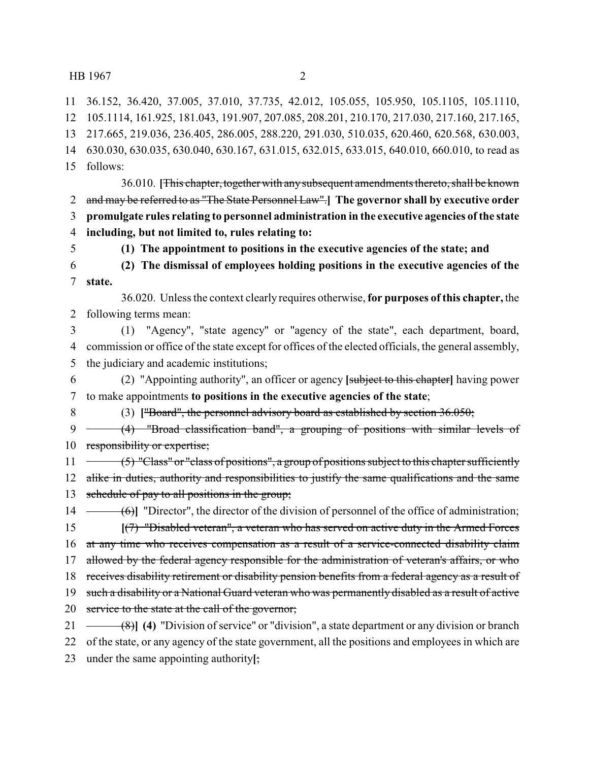36.152, 36.420, 37.005, 37.010, 37.735, 42.012, 105.055, 105.950, 105.1105, 105.1110,

 105.1114, 161.925, 181.043, 191.907, 207.085, 208.201, 210.170, 217.030, 217.160, 217.165, 217.665, 219.036, 236.405, 286.005, 288.220, 291.030, 510.035, 620.460, 620.568, 630.003,

630.030, 630.035, 630.040, 630.167, 631.015, 632.015, 633.015, 640.010, 660.010, to read as

follows:

36.010. [This chapter, together with any subsequent amendments thereto, shall be known and may be referred to as "The State Personnel Law".**] The governor shall by executive order promulgate rules relating to personnel administration in the executive agencies of the state including, but not limited to, rules relating to:**

**(1) The appointment to positions in the executive agencies of the state; and**

 **(2) The dismissal of employees holding positions in the executive agencies of the state.**

36.020. Unless the context clearly requires otherwise, **for purposes of this chapter,** the following terms mean:

 (1) "Agency", "state agency" or "agency of the state", each department, board, commission or office of the state except for offices of the elected officials, the general assembly, the judiciary and academic institutions;

 (2) "Appointing authority", an officer or agency **[**subject to this chapter**]** having power to make appointments **to positions in the executive agencies of the state**;

(3) **[**"Board", the personnel advisory board as established by section 36.050;

9 (4) "Broad classification band", a grouping of positions with similar levels of responsibility or expertise;

11  $\rightarrow$  (5) "Class" or "class of positions", a group of positions subject to this chapter sufficiently 12 alike in duties, authority and responsibilities to justify the same qualifications and the same 13 schedule of pay to all positions in the group;

14 (6)<sup>T</sup> "Director", the director of the division of personnel of the office of administration; **[**(7) "Disabled veteran", a veteran who has served on active duty in the Armed Forces 16 at any time who receives compensation as a result of a service-connected disability claim 17 allowed by the federal agency responsible for the administration of veteran's affairs, or who 18 receives disability retirement or disability pension benefits from a federal agency as a result of 19 such a disability or a National Guard veteran who was permanently disabled as a result of active

20 service to the state at the call of the governor;

(8)**] (4)** "Division of service" or "division", a state department or any division or branch

of the state, or any agency of the state government, all the positions and employees in which are

under the same appointing authority**[**;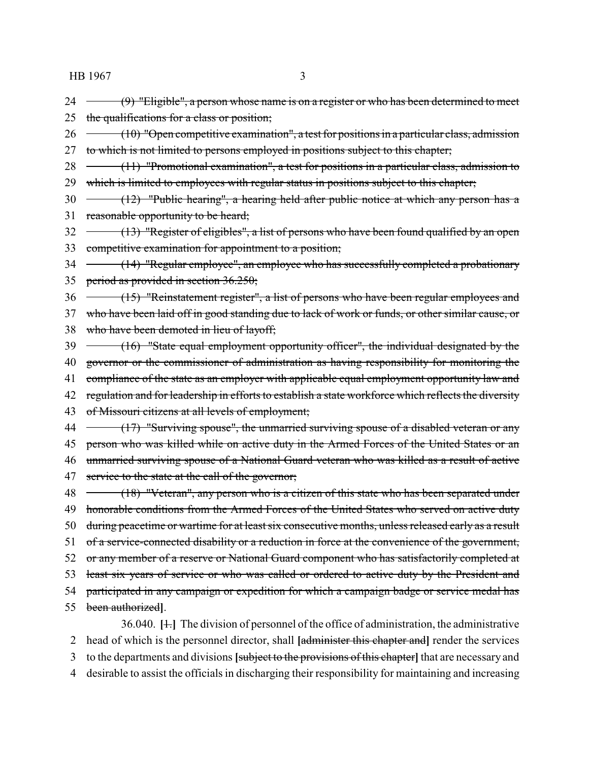- 24 (9) "Eligible", a person whose name is on a register or who has been determined to meet 25 the qualifications for a class or position;
- $26 \leftarrow (10)$  "Open competitive examination", a test for positions in a particular class, admission 27 to which is not limited to persons employed in positions subject to this chapter;
- 28 (11) "Promotional examination", a test for positions in a particular class, admission to 29 which is limited to employees with regular status in positions subject to this chapter;
- $30 \leftarrow (12)$  "Public hearing", a hearing held after public notice at which any person has a 31 reasonable opportunity to be heard;
- 32 (13) "Register of eligibles", a list of persons who have been found qualified by an open 33 competitive examination for appointment to a position;
- 34 (14) "Regular employee", an employee who has successfully completed a probationary 35 period as provided in section 36.250;
- 36 (15) "Reinstatement register", a list of persons who have been regular employees and 37 who have been laid off in good standing due to lack of work or funds, or other similar cause, or
- 38 who have been demoted in lieu of layoff;
- 39 (16) "State equal employment opportunity officer", the individual designated by the
- 40 governor or the commissioner of administration as having responsibility for monitoring the
- 41 compliance of the state as an employer with applicable equal employment opportunity law and
- 42 regulation and for leadership in efforts to establish a state workforce which reflects the diversity
- 43 of Missouri citizens at all levels of employment;
- 44 (17) "Surviving spouse", the unmarried surviving spouse of a disabled veteran or any 45 person who was killed while on active duty in the Armed Forces of the United States or an 46 unmarried surviving spouse of a National Guard veteran who was killed as a result of active 47 service to the state at the call of the governor;
- 48 (18) "Veteran", any person who is a citizen of this state who has been separated under 49 honorable conditions from the Armed Forces of the United States who served on active duty 50 during peacetime or wartime for at least six consecutive months, unless released early as a result 51 of a service-connected disability or a reduction in force at the convenience of the government, 52 or any member of a reserve or National Guard component who has satisfactorily completed at 53 least six years of service or who was called or ordered to active duty by the President and 54 participated in any campaign or expedition for which a campaign badge or service medal has 55 been authorized**]**.
- 36.040. **[**1.**]** The division of personnel of the office of administration, the administrative 2 head of which is the personnel director, shall **[**administer this chapter and**]** render the services 3 to the departments and divisions **[**subject to the provisions of this chapter**]** that are necessary and 4 desirable to assist the officials in discharging their responsibility for maintaining and increasing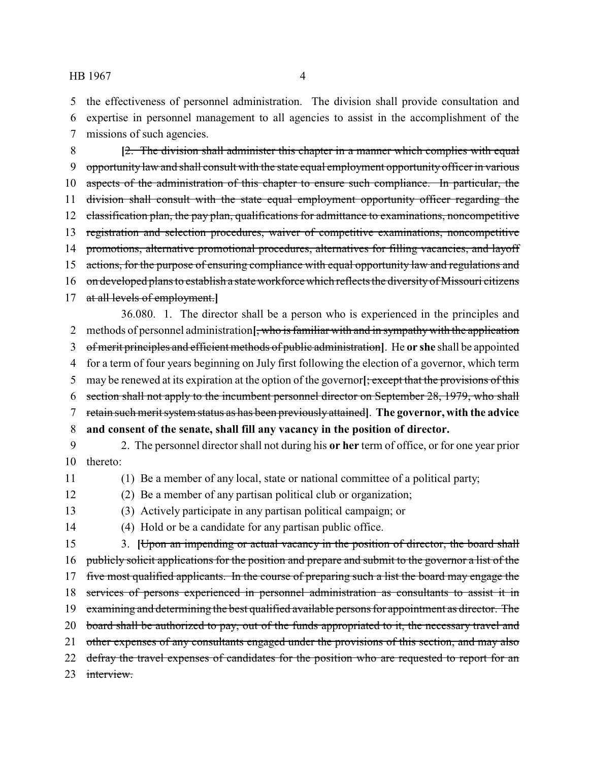the effectiveness of personnel administration. The division shall provide consultation and expertise in personnel management to all agencies to assist in the accomplishment of the missions of such agencies.

 **[**2. The division shall administer this chapter in a manner which complies with equal opportunity law and shall consult with the state equal employment opportunity officer in various 10 aspects of the administration of this chapter to ensure such compliance. In particular, the 11 division shall consult with the state equal employment opportunity officer regarding the 12 classification plan, the pay plan, qualifications for admittance to examinations, noncompetitive registration and selection procedures, waiver of competitive examinations, noncompetitive 14 promotions, alternative promotional procedures, alternatives for filling vacancies, and layoff actions, for the purpose of ensuring compliance with equal opportunity law and regulations and 16 on developed plans to establish a state workforce which reflects the diversity of Missouri citizens at all levels of employment.**]**

36.080. 1. The director shall be a person who is experienced in the principles and methods of personnel administration**[**, who is familiar with and in sympathywith the application of merit principles and efficient methods of public administration**]**. He **or she** shall be appointed for a term of four years beginning on July first following the election of a governor, which term may be renewed at its expiration at the option of the governor**[**; except that the provisions of this section shall not apply to the incumbent personnel director on September 28, 1979, who shall retain such merit system status as has been previously attained**]**. **The governor, with the advice and consent of the senate, shall fill any vacancy in the position of director.** 2. The personnel director shall not during his **or her** term of office, or for one year prior

- thereto:
- 

(1) Be a member of any local, state or national committee of a political party;

- (2) Be a member of any partisan political club or organization;
- (3) Actively participate in any partisan political campaign; or

(4) Hold or be a candidate for any partisan public office.

 3. **[**Upon an impending or actual vacancy in the position of director, the board shall publicly solicit applications for the position and prepare and submit to the governor a list of the 17 five most qualified applicants. In the course of preparing such a list the board may engage the 18 services of persons experienced in personnel administration as consultants to assist it in examining and determining the best qualified available persons for appointment as director. The 20 board shall be authorized to pay, out of the funds appropriated to it, the necessary travel and 21 other expenses of any consultants engaged under the provisions of this section, and may also 22 defray the travel expenses of candidates for the position who are requested to report for an 23 interview.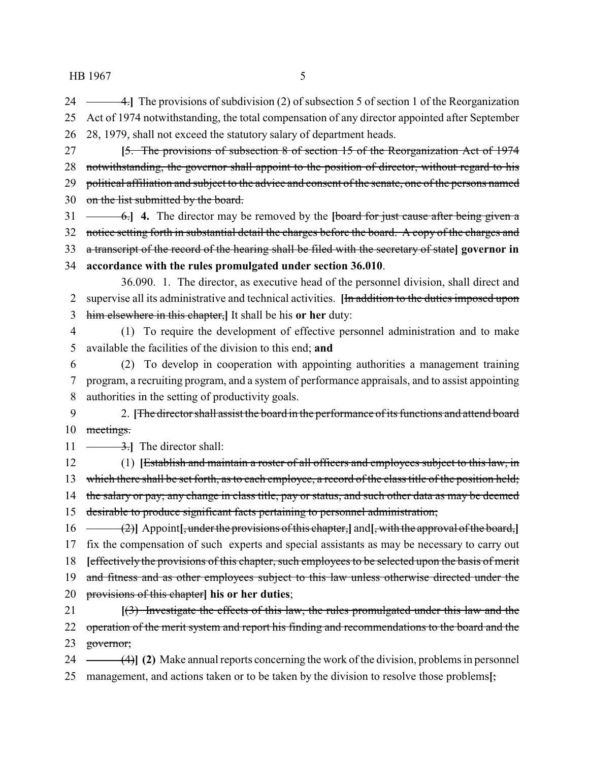24 - 4. The provisions of subdivision (2) of subsection 5 of section 1 of the Reorganization Act of 1974 notwithstanding, the total compensation of any director appointed after September 28, 1979, shall not exceed the statutory salary of department heads.

 **[**5. The provisions of subsection 8 of section 15 of the Reorganization Act of 1974 28 notwithstanding, the governor shall appoint to the position of director, without regard to his 29 political affiliation and subject to the advice and consent of the senate, one of the persons named 30 on the list submitted by the board.

 6.**] 4.** The director may be removed by the **[**board for just cause after being given a 32 notice setting forth in substantial detail the charges before the board. A copy of the charges and a transcript of the record of the hearing shall be filed with the secretary of state**] governor in**

**accordance with the rules promulgated under section 36.010**.

36.090. 1. The director, as executive head of the personnel division, shall direct and supervise all its administrative and technical activities. **[**In addition to the duties imposed upon him elsewhere in this chapter,**]** It shall be his **or her** duty:

 (1) To require the development of effective personnel administration and to make available the facilities of the division to this end; **and**

 (2) To develop in cooperation with appointing authorities a management training program, a recruiting program, and a system of performance appraisals, and to assist appointing authorities in the setting of productivity goals.

9 2. **[The director shall assist the board in the performance of its functions and attend board** 10 meetings.

11  $\frac{3.1}{2}$  The director shall:

 (1) **[**Establish and maintain a roster of all officers and employees subject to this law, in 13 which there shall be set forth, as to each employee, a record of the class title of the position held; 14 the salary or pay; any change in class title, pay or status, and such other data as may be deemed desirable to produce significant facts pertaining to personnel administration;

 (2)**]** Appoint**[**, under the provisions of this chapter,**]** and**[**, with the approval of the board,**]** fix the compensation of such experts and special assistants as may be necessary to carry out **[**effectively the provisions of this chapter, such employees to be selected upon the basis of merit 19 and fitness and as other employees subject to this law unless otherwise directed under the provisions of this chapter**] his or her duties**;

 **[**(3) Investigate the effects of this law, the rules promulgated under this law and the 22 operation of the merit system and report his finding and recommendations to the board and the governor;

 (4)**] (2)** Make annual reports concerning the work of the division, problems in personnel management, and actions taken or to be taken by the division to resolve those problems**[**;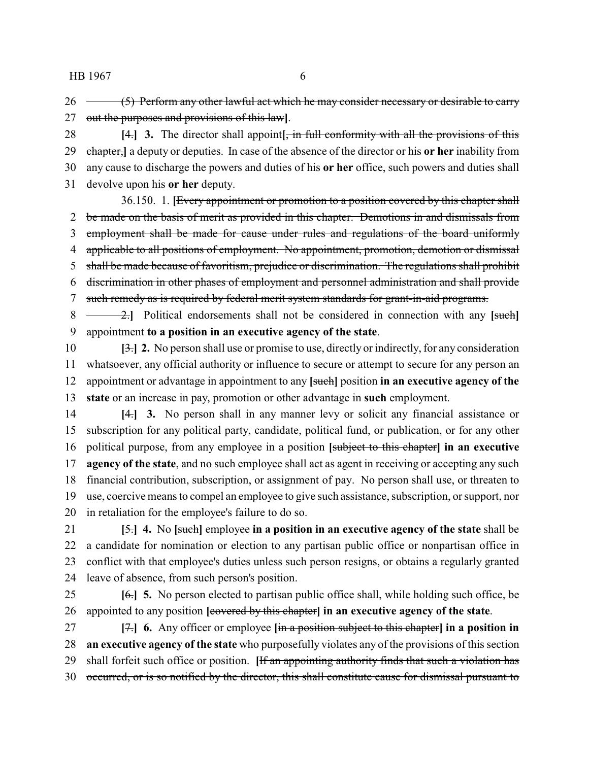26 (5) Perform any other lawful act which he may consider necessary or desirable to carry out the purposes and provisions of this law**]**.

 **[**4.**] 3.** The director shall appoint**[**, in full conformity with all the provisions of this chapter,**]** a deputy or deputies. In case of the absence of the director or his **or her** inability from any cause to discharge the powers and duties of his **or her** office, such powers and duties shall devolve upon his **or her** deputy.

36.150. 1. **[**Every appointment or promotion to a position covered by this chapter shall 2 be made on the basis of merit as provided in this chapter. Demotions in and dismissals from employment shall be made for cause under rules and regulations of the board uniformly 4 applicable to all positions of employment. No appointment, promotion, demotion or dismissal 5 shall be made because of favoritism, prejudice or discrimination. The regulations shall prohibit discrimination in other phases of employment and personnel administration and shall provide 7 such remedy as is required by federal merit system standards for grant-in-aid programs.

 2.**]** Political endorsements shall not be considered in connection with any **[**such**]** appointment **to a position in an executive agency of the state**.

 **[**3.**] 2.** No person shall use or promise to use, directly or indirectly,for any consideration whatsoever, any official authority or influence to secure or attempt to secure for any person an appointment or advantage in appointment to any **[**such**]** position **in an executive agency of the state** or an increase in pay, promotion or other advantage in **such** employment.

 **[**4.**] 3.** No person shall in any manner levy or solicit any financial assistance or subscription for any political party, candidate, political fund, or publication, or for any other political purpose, from any employee in a position **[**subject to this chapter**] in an executive agency of the state**, and no such employee shall act as agent in receiving or accepting any such financial contribution, subscription, or assignment of pay. No person shall use, or threaten to use, coercive means to compel an employee to give such assistance, subscription, or support, nor in retaliation for the employee's failure to do so.

 **[**5.**] 4.** No **[**such**]** employee **in a position in an executive agency of the state** shall be a candidate for nomination or election to any partisan public office or nonpartisan office in conflict with that employee's duties unless such person resigns, or obtains a regularly granted leave of absence, from such person's position.

 **[**6.**] 5.** No person elected to partisan public office shall, while holding such office, be appointed to any position **[**covered by this chapter**] in an executive agency of the state**.

 **[**7.**] 6.** Any officer or employee **[**in a position subject to this chapter**] in a position in an executive agency of the state** who purposefully violates any of the provisions of this section shall forfeit such office or position. **[**If an appointing authority finds that such a violation has occurred, or is so notified by the director, this shall constitute cause for dismissal pursuant to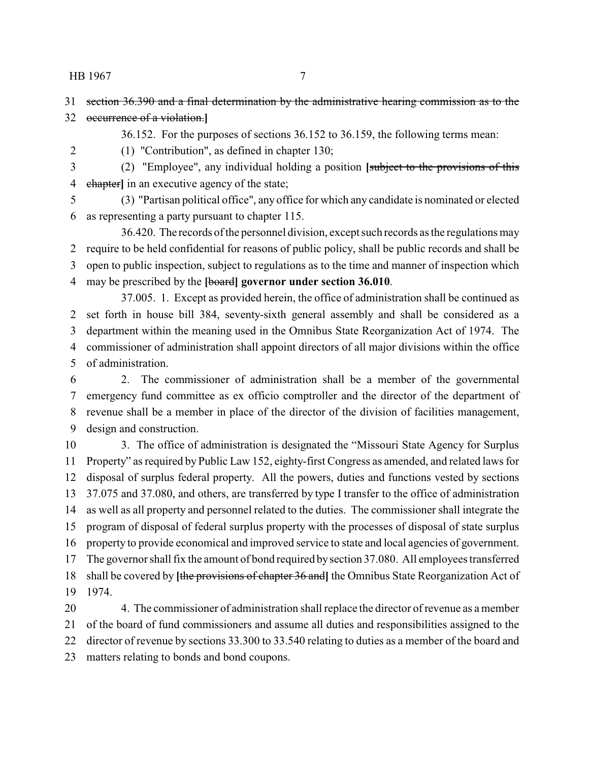36.152. For the purposes of sections 36.152 to 36.159, the following terms mean:

 section 36.390 and a final determination by the administrative hearing commission as to the occurrence of a violation.**]**

(1) "Contribution", as defined in chapter 130;

 (2) "Employee", any individual holding a position **[**subject to the provisions of this chapter**]** in an executive agency of the state;

 (3) "Partisan political office", any office for which any candidate is nominated or elected as representing a party pursuant to chapter 115.

36.420. The records of the personnel division, except such records as the regulations may require to be held confidential for reasons of public policy, shall be public records and shall be open to public inspection, subject to regulations as to the time and manner of inspection which may be prescribed by the **[**board**] governor under section 36.010**.

37.005. 1. Except as provided herein, the office of administration shall be continued as set forth in house bill 384, seventy-sixth general assembly and shall be considered as a department within the meaning used in the Omnibus State Reorganization Act of 1974. The commissioner of administration shall appoint directors of all major divisions within the office of administration.

 2. The commissioner of administration shall be a member of the governmental emergency fund committee as ex officio comptroller and the director of the department of revenue shall be a member in place of the director of the division of facilities management, design and construction.

 3. The office of administration is designated the "Missouri State Agency for Surplus Property" as required by Public Law 152, eighty-first Congress as amended, and related laws for disposal of surplus federal property. All the powers, duties and functions vested by sections 37.075 and 37.080, and others, are transferred by type I transfer to the office of administration as well as all property and personnel related to the duties. The commissioner shall integrate the program of disposal of federal surplus property with the processes of disposal of state surplus property to provide economical and improved service to state and local agencies of government. The governor shall fix the amount of bond required bysection 37.080. All employees transferred shall be covered by **[**the provisions of chapter 36 and**]** the Omnibus State Reorganization Act of 1974.

 4. The commissioner of administration shall replace the director of revenue as a member of the board of fund commissioners and assume all duties and responsibilities assigned to the director of revenue by sections 33.300 to 33.540 relating to duties as a member of the board and matters relating to bonds and bond coupons.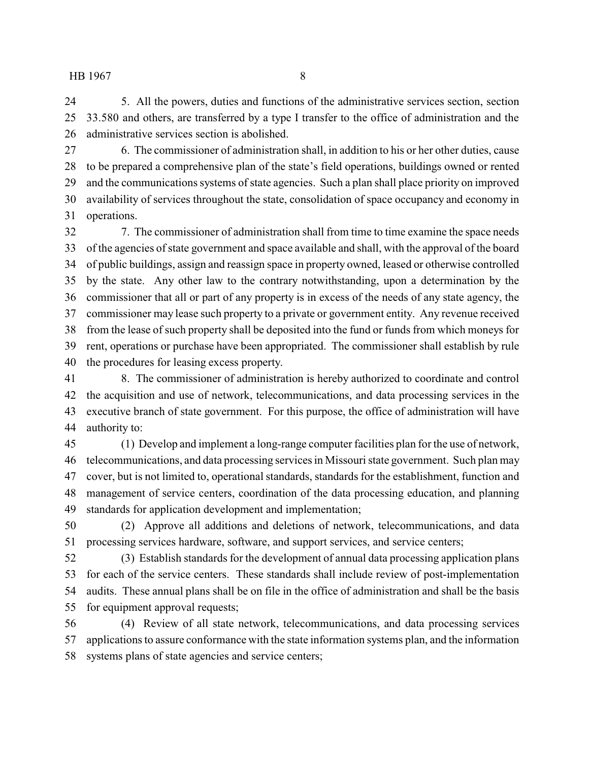5. All the powers, duties and functions of the administrative services section, section 33.580 and others, are transferred by a type I transfer to the office of administration and the administrative services section is abolished.

 6. The commissioner of administration shall, in addition to his or her other duties, cause to be prepared a comprehensive plan of the state's field operations, buildings owned or rented and the communications systems of state agencies. Such a plan shall place priority on improved availability of services throughout the state, consolidation of space occupancy and economy in operations.

 7. The commissioner of administration shall from time to time examine the space needs of the agencies of state government and space available and shall, with the approval of the board of public buildings, assign and reassign space in property owned, leased or otherwise controlled by the state. Any other law to the contrary notwithstanding, upon a determination by the commissioner that all or part of any property is in excess of the needs of any state agency, the commissioner may lease such property to a private or government entity. Any revenue received from the lease of such property shall be deposited into the fund or funds from which moneys for rent, operations or purchase have been appropriated. The commissioner shall establish by rule the procedures for leasing excess property.

 8. The commissioner of administration is hereby authorized to coordinate and control the acquisition and use of network, telecommunications, and data processing services in the executive branch of state government. For this purpose, the office of administration will have authority to:

 (1) Develop and implement a long-range computer facilities plan for the use of network, telecommunications, and data processing services in Missouri state government. Such plan may cover, but is not limited to, operational standards, standards for the establishment, function and management of service centers, coordination of the data processing education, and planning standards for application development and implementation;

 (2) Approve all additions and deletions of network, telecommunications, and data processing services hardware, software, and support services, and service centers;

 (3) Establish standards for the development of annual data processing application plans for each of the service centers. These standards shall include review of post-implementation audits. These annual plans shall be on file in the office of administration and shall be the basis for equipment approval requests;

 (4) Review of all state network, telecommunications, and data processing services applications to assure conformance with the state information systems plan, and the information systems plans of state agencies and service centers;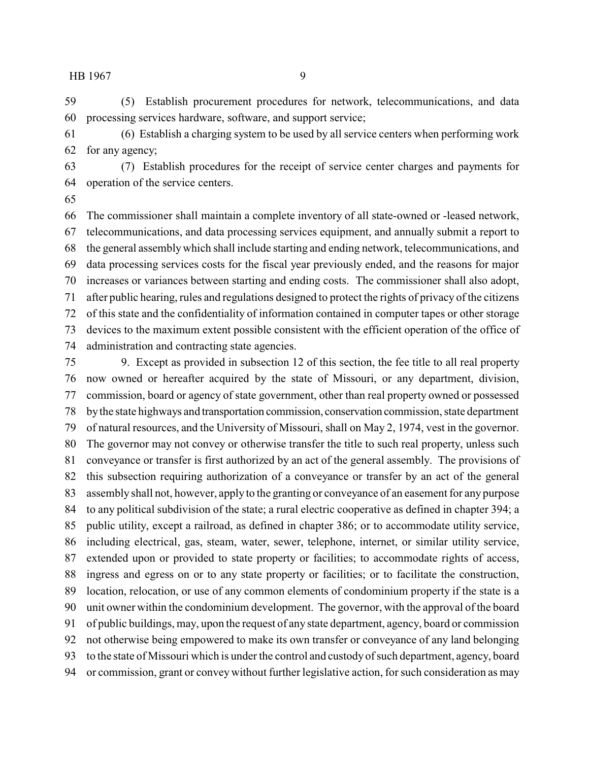(5) Establish procurement procedures for network, telecommunications, and data processing services hardware, software, and support service;

 (6) Establish a charging system to be used by all service centers when performing work for any agency;

 (7) Establish procedures for the receipt of service center charges and payments for operation of the service centers.

 The commissioner shall maintain a complete inventory of all state-owned or -leased network, telecommunications, and data processing services equipment, and annually submit a report to the general assemblywhich shall include starting and ending network, telecommunications, and data processing services costs for the fiscal year previously ended, and the reasons for major increases or variances between starting and ending costs. The commissioner shall also adopt, after public hearing, rules and regulations designed to protect the rights of privacy of the citizens of this state and the confidentiality of information contained in computer tapes or other storage devices to the maximum extent possible consistent with the efficient operation of the office of administration and contracting state agencies.

 9. Except as provided in subsection 12 of this section, the fee title to all real property now owned or hereafter acquired by the state of Missouri, or any department, division, commission, board or agency of state government, other than real property owned or possessed bythe state highways and transportation commission, conservation commission, state department of natural resources, and the University of Missouri, shall on May 2, 1974, vest in the governor. The governor may not convey or otherwise transfer the title to such real property, unless such conveyance or transfer is first authorized by an act of the general assembly. The provisions of this subsection requiring authorization of a conveyance or transfer by an act of the general assembly shall not, however, apply to the granting or conveyance of an easement for any purpose to any political subdivision of the state; a rural electric cooperative as defined in chapter 394; a public utility, except a railroad, as defined in chapter 386; or to accommodate utility service, including electrical, gas, steam, water, sewer, telephone, internet, or similar utility service, extended upon or provided to state property or facilities; to accommodate rights of access, ingress and egress on or to any state property or facilities; or to facilitate the construction, location, relocation, or use of any common elements of condominium property if the state is a unit owner within the condominium development. The governor, with the approval of the board of public buildings, may, upon the request of any state department, agency, board or commission not otherwise being empowered to make its own transfer or conveyance of any land belonging to the state of Missouri which is under the control and custody of such department, agency, board or commission, grant or convey without further legislative action, for such consideration as may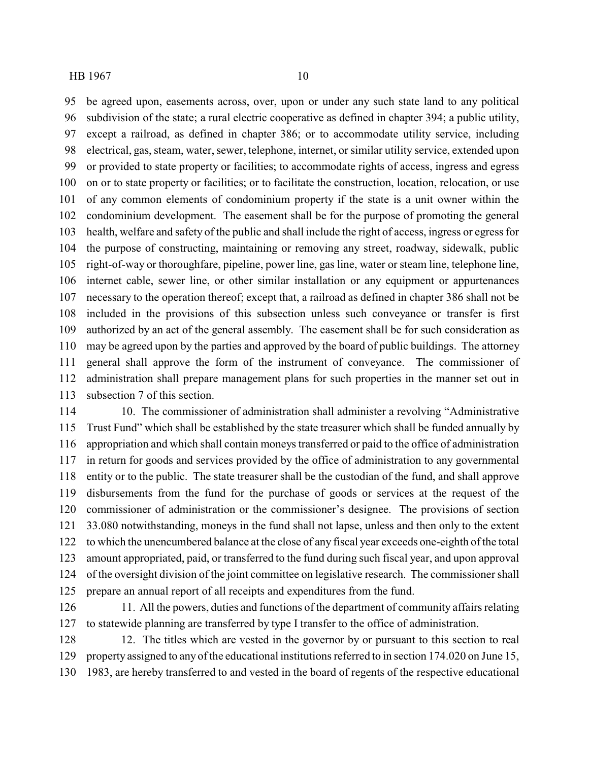be agreed upon, easements across, over, upon or under any such state land to any political subdivision of the state; a rural electric cooperative as defined in chapter 394; a public utility, except a railroad, as defined in chapter 386; or to accommodate utility service, including electrical, gas, steam, water, sewer, telephone, internet, or similar utility service, extended upon or provided to state property or facilities; to accommodate rights of access, ingress and egress on or to state property or facilities; or to facilitate the construction, location, relocation, or use of any common elements of condominium property if the state is a unit owner within the condominium development. The easement shall be for the purpose of promoting the general health, welfare and safety of the public and shall include the right of access, ingress or egress for the purpose of constructing, maintaining or removing any street, roadway, sidewalk, public right-of-way or thoroughfare, pipeline, power line, gas line, water or steam line, telephone line, internet cable, sewer line, or other similar installation or any equipment or appurtenances necessary to the operation thereof; except that, a railroad as defined in chapter 386 shall not be included in the provisions of this subsection unless such conveyance or transfer is first authorized by an act of the general assembly. The easement shall be for such consideration as may be agreed upon by the parties and approved by the board of public buildings. The attorney general shall approve the form of the instrument of conveyance. The commissioner of administration shall prepare management plans for such properties in the manner set out in subsection 7 of this section.

114 10. The commissioner of administration shall administer a revolving "Administrative" Trust Fund" which shall be established by the state treasurer which shall be funded annually by appropriation and which shall contain moneys transferred or paid to the office of administration in return for goods and services provided by the office of administration to any governmental entity or to the public. The state treasurer shall be the custodian of the fund, and shall approve disbursements from the fund for the purchase of goods or services at the request of the commissioner of administration or the commissioner's designee. The provisions of section 33.080 notwithstanding, moneys in the fund shall not lapse, unless and then only to the extent to which the unencumbered balance at the close of any fiscal year exceeds one-eighth of the total amount appropriated, paid, or transferred to the fund during such fiscal year, and upon approval of the oversight division of the joint committee on legislative research. The commissioner shall prepare an annual report of all receipts and expenditures from the fund.

126 11. All the powers, duties and functions of the department of community affairs relating to statewide planning are transferred by type I transfer to the office of administration.

 12. The titles which are vested in the governor by or pursuant to this section to real property assigned to any of the educational institutions referred to in section 174.020 on June 15, 1983, are hereby transferred to and vested in the board of regents of the respective educational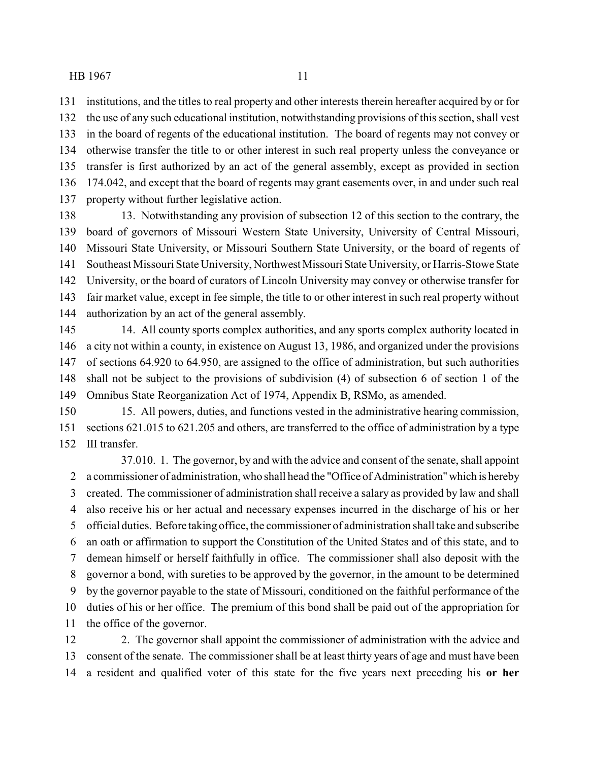institutions, and the titles to real property and other interests therein hereafter acquired by or for the use of any such educational institution, notwithstanding provisions of this section, shall vest in the board of regents of the educational institution. The board of regents may not convey or otherwise transfer the title to or other interest in such real property unless the conveyance or transfer is first authorized by an act of the general assembly, except as provided in section 174.042, and except that the board of regents may grant easements over, in and under such real property without further legislative action.

 13. Notwithstanding any provision of subsection 12 of this section to the contrary, the board of governors of Missouri Western State University, University of Central Missouri, Missouri State University, or Missouri Southern State University, or the board of regents of 141 Southeast Missouri State University, Northwest Missouri State University, or Harris-Stowe State University, or the board of curators of Lincoln University may convey or otherwise transfer for fair market value, except in fee simple, the title to or other interest in such real property without authorization by an act of the general assembly.

 14. All county sports complex authorities, and any sports complex authority located in a city not within a county, in existence on August 13, 1986, and organized under the provisions of sections 64.920 to 64.950, are assigned to the office of administration, but such authorities shall not be subject to the provisions of subdivision (4) of subsection 6 of section 1 of the Omnibus State Reorganization Act of 1974, Appendix B, RSMo, as amended.

 15. All powers, duties, and functions vested in the administrative hearing commission, sections 621.015 to 621.205 and others, are transferred to the office of administration by a type III transfer.

37.010. 1. The governor, by and with the advice and consent of the senate, shall appoint a commissioner of administration, who shall head the "Office of Administration"which is hereby created. The commissioner of administration shall receive a salary as provided by law and shall also receive his or her actual and necessary expenses incurred in the discharge of his or her official duties. Before taking office, the commissioner of administration shall take and subscribe an oath or affirmation to support the Constitution of the United States and of this state, and to demean himself or herself faithfully in office. The commissioner shall also deposit with the governor a bond, with sureties to be approved by the governor, in the amount to be determined by the governor payable to the state of Missouri, conditioned on the faithful performance of the duties of his or her office. The premium of this bond shall be paid out of the appropriation for the office of the governor.

12 2. The governor shall appoint the commissioner of administration with the advice and consent of the senate. The commissioner shall be at least thirty years of age and must have been a resident and qualified voter of this state for the five years next preceding his **or her**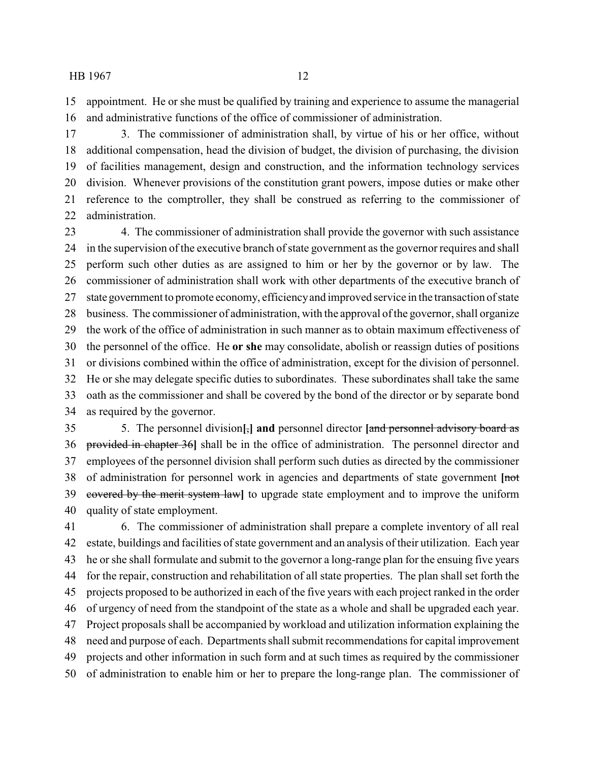appointment. He or she must be qualified by training and experience to assume the managerial and administrative functions of the office of commissioner of administration.

 3. The commissioner of administration shall, by virtue of his or her office, without additional compensation, head the division of budget, the division of purchasing, the division of facilities management, design and construction, and the information technology services division. Whenever provisions of the constitution grant powers, impose duties or make other reference to the comptroller, they shall be construed as referring to the commissioner of administration.

 4. The commissioner of administration shall provide the governor with such assistance in the supervision of the executive branch of state government as the governor requires and shall perform such other duties as are assigned to him or her by the governor or by law. The commissioner of administration shall work with other departments of the executive branch of state government to promote economy, efficiencyand improved service in the transaction of state business. The commissioner of administration, with the approval of the governor, shall organize the work of the office of administration in such manner as to obtain maximum effectiveness of the personnel of the office. He **or she** may consolidate, abolish or reassign duties of positions or divisions combined within the office of administration, except for the division of personnel. He or she may delegate specific duties to subordinates. These subordinates shall take the same oath as the commissioner and shall be covered by the bond of the director or by separate bond as required by the governor.

 5. The personnel division**[**,**] and** personnel director **[**and personnel advisory board as provided in chapter 36**]** shall be in the office of administration. The personnel director and employees of the personnel division shall perform such duties as directed by the commissioner of administration for personnel work in agencies and departments of state government **[**not covered by the merit system law**]** to upgrade state employment and to improve the uniform quality of state employment.

 6. The commissioner of administration shall prepare a complete inventory of all real estate, buildings and facilities of state government and an analysis of their utilization. Each year he or she shall formulate and submit to the governor a long-range plan for the ensuing five years for the repair, construction and rehabilitation of all state properties. The plan shall set forth the projects proposed to be authorized in each of the five years with each project ranked in the order of urgency of need from the standpoint of the state as a whole and shall be upgraded each year. Project proposals shall be accompanied by workload and utilization information explaining the need and purpose of each. Departments shall submit recommendations for capital improvement projects and other information in such form and at such times as required by the commissioner of administration to enable him or her to prepare the long-range plan. The commissioner of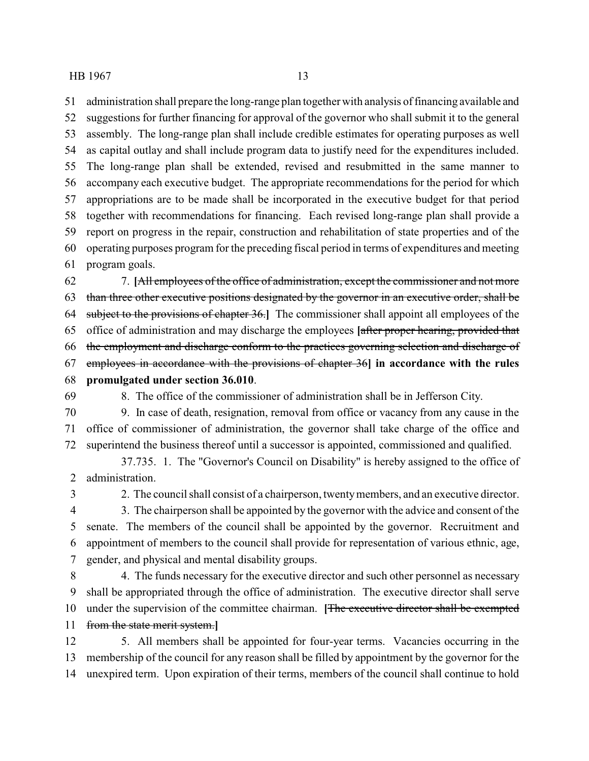administration shall prepare the long-range plan together with analysis of financing available and suggestions for further financing for approval of the governor who shall submit it to the general assembly. The long-range plan shall include credible estimates for operating purposes as well as capital outlay and shall include program data to justify need for the expenditures included. The long-range plan shall be extended, revised and resubmitted in the same manner to accompany each executive budget. The appropriate recommendations for the period for which appropriations are to be made shall be incorporated in the executive budget for that period together with recommendations for financing. Each revised long-range plan shall provide a report on progress in the repair, construction and rehabilitation of state properties and of the operating purposes program for the preceding fiscal period in terms of expenditures and meeting program goals.

 7. **[**All employees of the office of administration, except the commissioner and not more than three other executive positions designated by the governor in an executive order, shall be subject to the provisions of chapter 36.**]** The commissioner shall appoint all employees of the office of administration and may discharge the employees **[**after proper hearing, provided that the employment and discharge conform to the practices governing selection and discharge of employees in accordance with the provisions of chapter 36**] in accordance with the rules promulgated under section 36.010**.

- 
- 
- 8. The office of the commissioner of administration shall be in Jefferson City.

 9. In case of death, resignation, removal from office or vacancy from any cause in the office of commissioner of administration, the governor shall take charge of the office and superintend the business thereof until a successor is appointed, commissioned and qualified.

37.735. 1. The "Governor's Council on Disability" is hereby assigned to the office of administration.

2. The council shall consist of a chairperson, twentymembers, and an executive director.

 3. The chairperson shall be appointed by the governor with the advice and consent of the senate. The members of the council shall be appointed by the governor. Recruitment and appointment of members to the council shall provide for representation of various ethnic, age, gender, and physical and mental disability groups.

 4. The funds necessary for the executive director and such other personnel as necessary shall be appropriated through the office of administration. The executive director shall serve under the supervision of the committee chairman. **[**The executive director shall be exempted from the state merit system.**]**

 5. All members shall be appointed for four-year terms. Vacancies occurring in the membership of the council for any reason shall be filled by appointment by the governor for the unexpired term. Upon expiration of their terms, members of the council shall continue to hold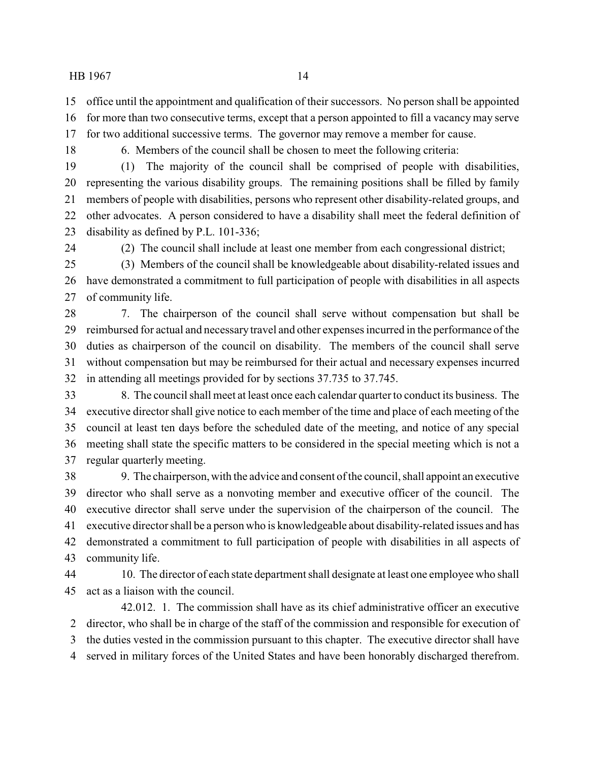- office until the appointment and qualification of their successors. No person shall be appointed
- for more than two consecutive terms, except that a person appointed to fill a vacancy may serve
- for two additional successive terms. The governor may remove a member for cause.
- - 6. Members of the council shall be chosen to meet the following criteria:

 (1) The majority of the council shall be comprised of people with disabilities, representing the various disability groups. The remaining positions shall be filled by family members of people with disabilities, persons who represent other disability-related groups, and other advocates. A person considered to have a disability shall meet the federal definition of disability as defined by P.L. 101-336;

(2) The council shall include at least one member from each congressional district;

 (3) Members of the council shall be knowledgeable about disability-related issues and have demonstrated a commitment to full participation of people with disabilities in all aspects of community life.

 7. The chairperson of the council shall serve without compensation but shall be reimbursed for actual and necessarytravel and other expenses incurred in the performance of the duties as chairperson of the council on disability. The members of the council shall serve without compensation but may be reimbursed for their actual and necessary expenses incurred in attending all meetings provided for by sections 37.735 to 37.745.

 8. The council shall meet at least once each calendar quarter to conduct its business. The executive director shall give notice to each member of the time and place of each meeting of the council at least ten days before the scheduled date of the meeting, and notice of any special meeting shall state the specific matters to be considered in the special meeting which is not a regular quarterly meeting.

 9. The chairperson, with the advice and consent of the council, shall appoint an executive director who shall serve as a nonvoting member and executive officer of the council. The executive director shall serve under the supervision of the chairperson of the council. The executive director shall be a person who is knowledgeable about disability-related issues and has demonstrated a commitment to full participation of people with disabilities in all aspects of community life.

 10. The director of each state department shall designate at least one employee who shall act as a liaison with the council.

42.012. 1. The commission shall have as its chief administrative officer an executive director, who shall be in charge of the staff of the commission and responsible for execution of the duties vested in the commission pursuant to this chapter. The executive director shall have served in military forces of the United States and have been honorably discharged therefrom.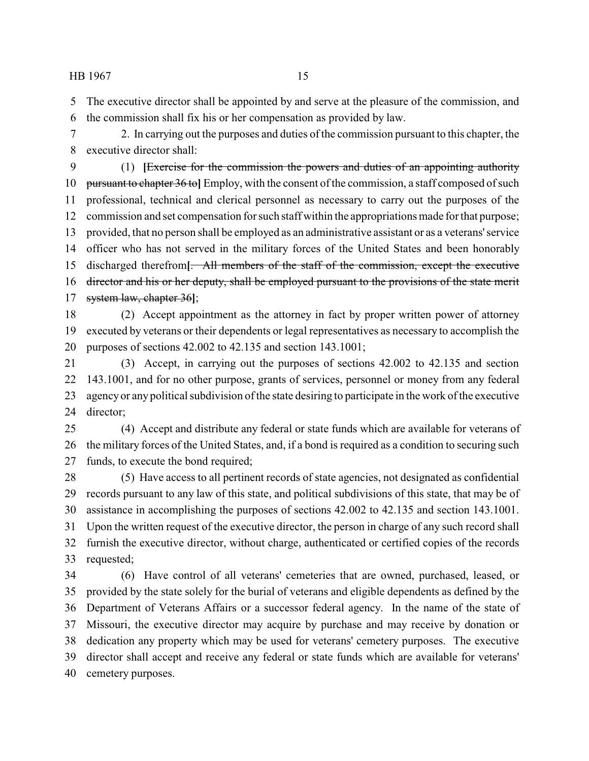The executive director shall be appointed by and serve at the pleasure of the commission, and the commission shall fix his or her compensation as provided by law.

 2. In carrying out the purposes and duties of the commission pursuant to this chapter, the executive director shall:

 (1) **[**Exercise for the commission the powers and duties of an appointing authority pursuant to chapter 36 to**]** Employ, with the consent of the commission, a staff composed of such professional, technical and clerical personnel as necessary to carry out the purposes of the commission and set compensation for such staff within the appropriations made for that purpose; provided, that no person shall be employed as an administrative assistant or as a veterans'service officer who has not served in the military forces of the United States and been honorably discharged therefrom**[**. All members of the staff of the commission, except the executive director and his or her deputy, shall be employed pursuant to the provisions of the state merit system law, chapter 36**]**;

 (2) Accept appointment as the attorney in fact by proper written power of attorney executed by veterans or their dependents or legal representatives as necessary to accomplish the purposes of sections 42.002 to 42.135 and section 143.1001;

 (3) Accept, in carrying out the purposes of sections 42.002 to 42.135 and section 143.1001, and for no other purpose, grants of services, personnel or money from any federal agencyor any political subdivision of the state desiring to participate in the work of the executive director;

 (4) Accept and distribute any federal or state funds which are available for veterans of the military forces of the United States, and, if a bond is required as a condition to securing such funds, to execute the bond required;

 (5) Have access to all pertinent records of state agencies, not designated as confidential records pursuant to any law of this state, and political subdivisions of this state, that may be of assistance in accomplishing the purposes of sections 42.002 to 42.135 and section 143.1001. Upon the written request of the executive director, the person in charge of any such record shall furnish the executive director, without charge, authenticated or certified copies of the records requested;

 (6) Have control of all veterans' cemeteries that are owned, purchased, leased, or provided by the state solely for the burial of veterans and eligible dependents as defined by the Department of Veterans Affairs or a successor federal agency. In the name of the state of Missouri, the executive director may acquire by purchase and may receive by donation or dedication any property which may be used for veterans' cemetery purposes. The executive director shall accept and receive any federal or state funds which are available for veterans' cemetery purposes.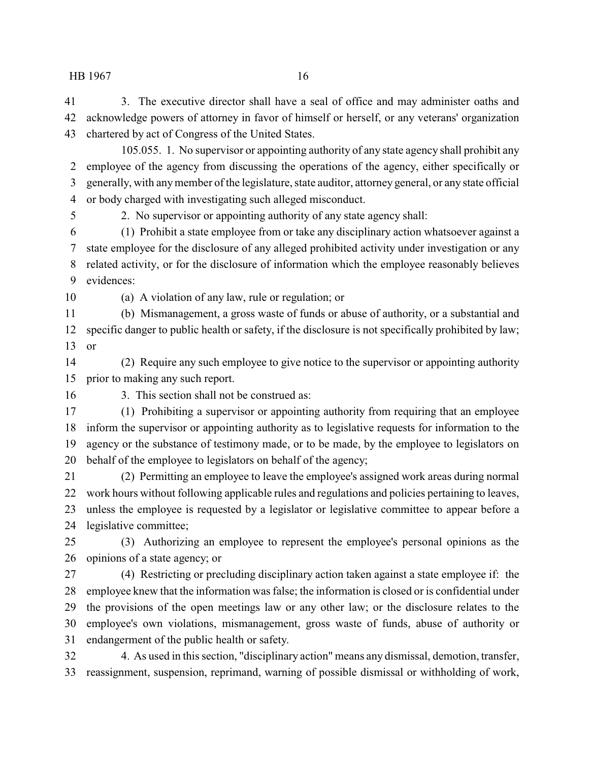3. The executive director shall have a seal of office and may administer oaths and acknowledge powers of attorney in favor of himself or herself, or any veterans' organization chartered by act of Congress of the United States.

105.055. 1. No supervisor or appointing authority of any state agency shall prohibit any employee of the agency from discussing the operations of the agency, either specifically or generally, with anymember of the legislature, state auditor, attorney general, or any state official or body charged with investigating such alleged misconduct.

2. No supervisor or appointing authority of any state agency shall:

 (1) Prohibit a state employee from or take any disciplinary action whatsoever against a state employee for the disclosure of any alleged prohibited activity under investigation or any related activity, or for the disclosure of information which the employee reasonably believes evidences:

(a) A violation of any law, rule or regulation; or

 (b) Mismanagement, a gross waste of funds or abuse of authority, or a substantial and specific danger to public health or safety, if the disclosure is not specifically prohibited by law; or

 (2) Require any such employee to give notice to the supervisor or appointing authority prior to making any such report.

3. This section shall not be construed as:

 (1) Prohibiting a supervisor or appointing authority from requiring that an employee inform the supervisor or appointing authority as to legislative requests for information to the agency or the substance of testimony made, or to be made, by the employee to legislators on behalf of the employee to legislators on behalf of the agency;

 (2) Permitting an employee to leave the employee's assigned work areas during normal work hours without following applicable rules and regulations and policies pertaining to leaves, unless the employee is requested by a legislator or legislative committee to appear before a legislative committee;

 (3) Authorizing an employee to represent the employee's personal opinions as the opinions of a state agency; or

 (4) Restricting or precluding disciplinary action taken against a state employee if: the employee knew that the information was false; the information is closed or is confidential under the provisions of the open meetings law or any other law; or the disclosure relates to the employee's own violations, mismanagement, gross waste of funds, abuse of authority or endangerment of the public health or safety.

 4. As used in this section, "disciplinary action" means any dismissal, demotion, transfer, reassignment, suspension, reprimand, warning of possible dismissal or withholding of work,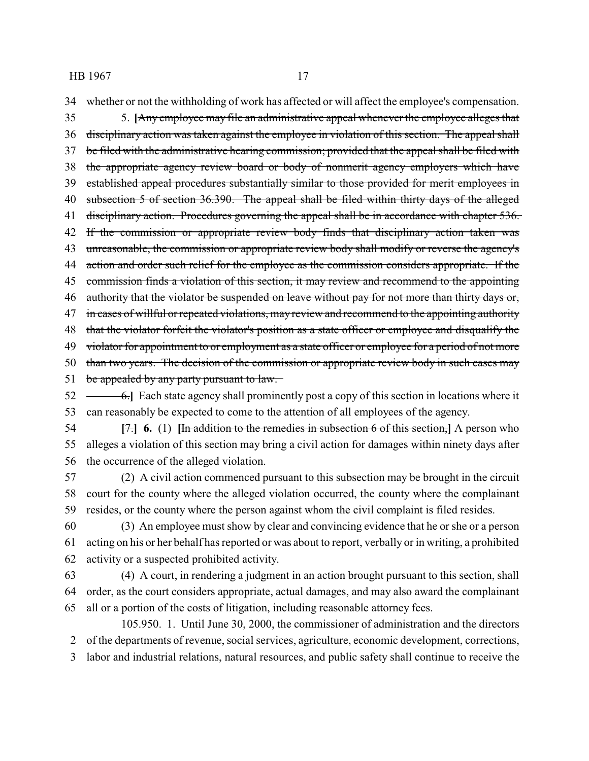34 whether or not the withholding of work has affected or will affect the employee's compensation.

35 5. **[**Any employee may file an administrative appeal whenever the employee alleges that 36 disciplinary action was taken against the employee in violation of this section. The appeal shall 37 be filed with the administrative hearing commission; provided that the appeal shall be filed with 38 the appropriate agency review board or body of nonmerit agency employers which have 39 established appeal procedures substantially similar to those provided for merit employees in 40 subsection 5 of section 36.390. The appeal shall be filed within thirty days of the alleged 41 disciplinary action. Procedures governing the appeal shall be in accordance with chapter 536. 42 If the commission or appropriate review body finds that disciplinary action taken was 43 unreasonable, the commission or appropriate review body shall modify or reverse the agency's 44 action and order such relief for the employee as the commission considers appropriate. If the 45 commission finds a violation of this section, it may review and recommend to the appointing 46 authority that the violator be suspended on leave without pay for not more than thirty days or, 47 in cases of willful or repeated violations, may review and recommend to the appointing authority 48 that the violator forfeit the violator's position as a state officer or employee and disqualify the 49 violator for appointment to or employment as a state officer or employee for a period of not more 50 than two years. The decision of the commission or appropriate review body in such cases may 51 be appealed by any party pursuant to law. 52 <del>6.</del> Each state agency shall prominently post a copy of this section in locations where it

53 can reasonably be expected to come to the attention of all employees of the agency.

54 **[**7.**] 6.** (1) **[**In addition to the remedies in subsection 6 of this section,**]** A person who 55 alleges a violation of this section may bring a civil action for damages within ninety days after 56 the occurrence of the alleged violation.

57 (2) A civil action commenced pursuant to this subsection may be brought in the circuit 58 court for the county where the alleged violation occurred, the county where the complainant 59 resides, or the county where the person against whom the civil complaint is filed resides.

60 (3) An employee must show by clear and convincing evidence that he or she or a person 61 acting on his or her behalf has reported or was about to report, verbally or in writing, a prohibited 62 activity or a suspected prohibited activity.

63 (4) A court, in rendering a judgment in an action brought pursuant to this section, shall 64 order, as the court considers appropriate, actual damages, and may also award the complainant 65 all or a portion of the costs of litigation, including reasonable attorney fees.

105.950. 1. Until June 30, 2000, the commissioner of administration and the directors 2 of the departments of revenue, social services, agriculture, economic development, corrections, 3 labor and industrial relations, natural resources, and public safety shall continue to receive the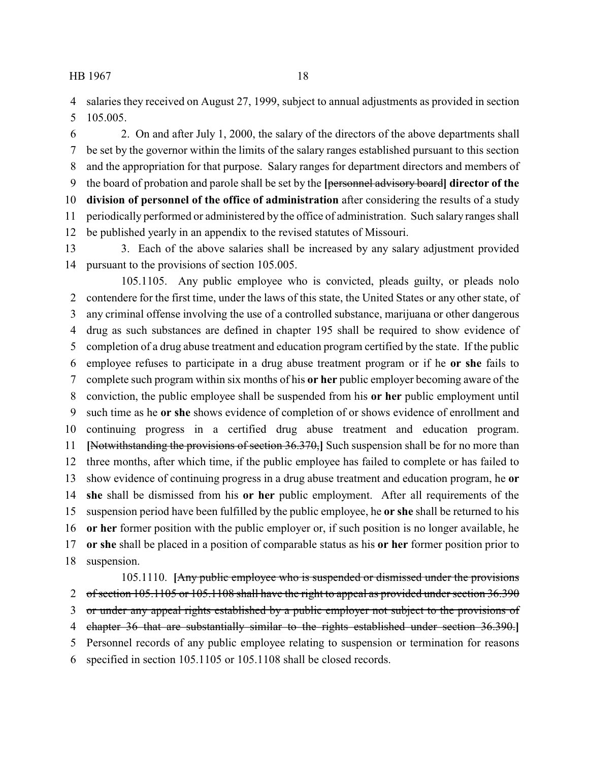salaries they received on August 27, 1999, subject to annual adjustments as provided in section 105.005.

 2. On and after July 1, 2000, the salary of the directors of the above departments shall be set by the governor within the limits of the salary ranges established pursuant to this section and the appropriation for that purpose. Salary ranges for department directors and members of the board of probation and parole shall be set by the **[**personnel advisory board**] director of the division of personnel of the office of administration** after considering the results of a study periodically performed or administered by the office of administration. Such salary ranges shall be published yearly in an appendix to the revised statutes of Missouri.

 3. Each of the above salaries shall be increased by any salary adjustment provided pursuant to the provisions of section 105.005.

105.1105. Any public employee who is convicted, pleads guilty, or pleads nolo contendere for the first time, under the laws of this state, the United States or any other state, of any criminal offense involving the use of a controlled substance, marijuana or other dangerous drug as such substances are defined in chapter 195 shall be required to show evidence of completion of a drug abuse treatment and education program certified by the state. If the public employee refuses to participate in a drug abuse treatment program or if he **or she** fails to complete such program within six months of his **or her** public employer becoming aware of the conviction, the public employee shall be suspended from his **or her** public employment until such time as he **or she** shows evidence of completion of or shows evidence of enrollment and continuing progress in a certified drug abuse treatment and education program. **[**Notwithstanding the provisions of section 36.370,**]** Such suspension shall be for no more than three months, after which time, if the public employee has failed to complete or has failed to show evidence of continuing progress in a drug abuse treatment and education program, he **or she** shall be dismissed from his **or her** public employment. After all requirements of the suspension period have been fulfilled by the public employee, he **or she** shall be returned to his **or her** former position with the public employer or, if such position is no longer available, he **or she** shall be placed in a position of comparable status as his **or her** former position prior to suspension.

105.1110. **[**Any public employee who is suspended or dismissed under the provisions 2 of section 105.1105 or 105.1108 shall have the right to appeal as provided under section 36.390 or under any appeal rights established by a public employer not subject to the provisions of chapter 36 that are substantially similar to the rights established under section 36.390.**]** Personnel records of any public employee relating to suspension or termination for reasons specified in section 105.1105 or 105.1108 shall be closed records.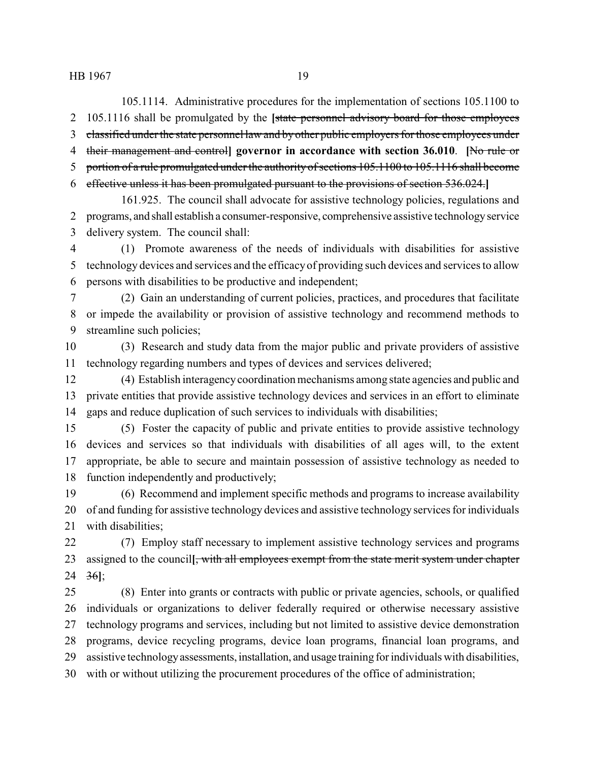105.1114. Administrative procedures for the implementation of sections 105.1100 to 105.1116 shall be promulgated by the **[**state personnel advisory board for those employees classified under the state personnel law and byother public employers for those employees under their management and control**] governor in accordance with section 36.010**. **[**No rule or 5 portion of a rule promulgated under the authority of sections 105.1100 to 105.1116 shall become effective unless it has been promulgated pursuant to the provisions of section 536.024.**]**

161.925. The council shall advocate for assistive technology policies, regulations and programs, and shall establish a consumer-responsive, comprehensive assistive technologyservice delivery system. The council shall:

 (1) Promote awareness of the needs of individuals with disabilities for assistive technology devices and services and the efficacyof providing such devices and services to allow persons with disabilities to be productive and independent;

 (2) Gain an understanding of current policies, practices, and procedures that facilitate or impede the availability or provision of assistive technology and recommend methods to streamline such policies;

 (3) Research and study data from the major public and private providers of assistive technology regarding numbers and types of devices and services delivered;

 (4) Establish interagencycoordination mechanisms among state agencies and public and private entities that provide assistive technology devices and services in an effort to eliminate gaps and reduce duplication of such services to individuals with disabilities;

 (5) Foster the capacity of public and private entities to provide assistive technology devices and services so that individuals with disabilities of all ages will, to the extent appropriate, be able to secure and maintain possession of assistive technology as needed to function independently and productively;

 (6) Recommend and implement specific methods and programs to increase availability of and funding for assistive technology devices and assistive technology services for individuals with disabilities;

 (7) Employ staff necessary to implement assistive technology services and programs assigned to the council**[**, with all employees exempt from the state merit system under chapter 36**]**;

 (8) Enter into grants or contracts with public or private agencies, schools, or qualified individuals or organizations to deliver federally required or otherwise necessary assistive technology programs and services, including but not limited to assistive device demonstration programs, device recycling programs, device loan programs, financial loan programs, and assistive technologyassessments, installation, and usage training for individuals with disabilities, with or without utilizing the procurement procedures of the office of administration;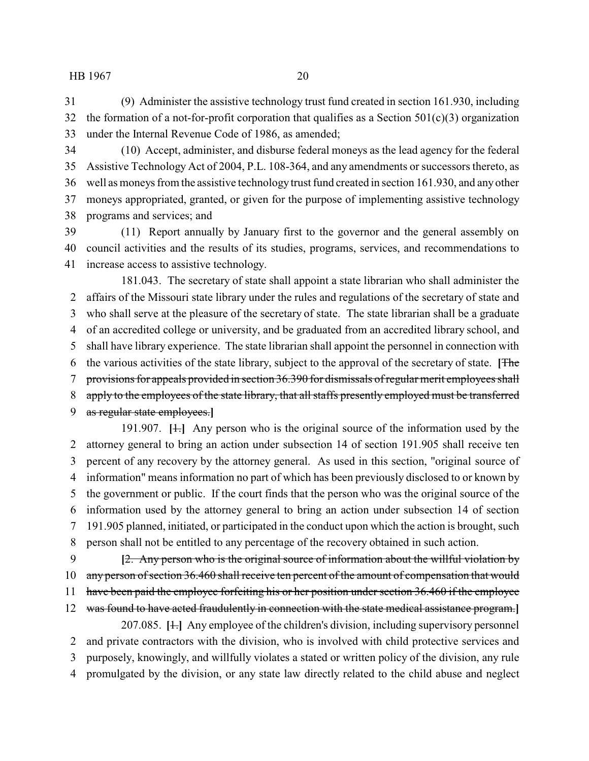(9) Administer the assistive technology trust fund created in section 161.930, including 32 the formation of a not-for-profit corporation that qualifies as a Section  $501(c)(3)$  organization under the Internal Revenue Code of 1986, as amended;

 (10) Accept, administer, and disburse federal moneys as the lead agency for the federal Assistive Technology Act of 2004, P.L. 108-364, and any amendments or successors thereto, as well as moneys from the assistive technologytrust fund created in section 161.930, and any other moneys appropriated, granted, or given for the purpose of implementing assistive technology programs and services; and

 (11) Report annually by January first to the governor and the general assembly on council activities and the results of its studies, programs, services, and recommendations to increase access to assistive technology.

181.043. The secretary of state shall appoint a state librarian who shall administer the affairs of the Missouri state library under the rules and regulations of the secretary of state and who shall serve at the pleasure of the secretary of state. The state librarian shall be a graduate of an accredited college or university, and be graduated from an accredited library school, and shall have library experience. The state librarian shall appoint the personnel in connection with the various activities of the state library, subject to the approval of the secretary of state. **[**The provisions for appeals provided in section 36.390 for dismissals of regular merit employees shall 8 apply to the employees of the state library, that all staffs presently employed must be transferred as regular state employees.**]**

191.907. **[**1.**]** Any person who is the original source of the information used by the attorney general to bring an action under subsection 14 of section 191.905 shall receive ten percent of any recovery by the attorney general. As used in this section, "original source of information" means information no part of which has been previously disclosed to or known by the government or public. If the court finds that the person who was the original source of the information used by the attorney general to bring an action under subsection 14 of section 191.905 planned, initiated, or participated in the conduct upon which the action is brought, such person shall not be entitled to any percentage of the recovery obtained in such action.

 **[**2. Any person who is the original source of information about the willful violation by 10 any person of section 36.460 shall receive ten percent of the amount of compensation that would

11 have been paid the employee forfeiting his or her position under section 36.460 if the employee

 was found to have acted fraudulently in connection with the state medical assistance program.**]** 207.085. **[**1.**]** Any employee of the children's division, including supervisory personnel

 and private contractors with the division, who is involved with child protective services and purposely, knowingly, and willfully violates a stated or written policy of the division, any rule

promulgated by the division, or any state law directly related to the child abuse and neglect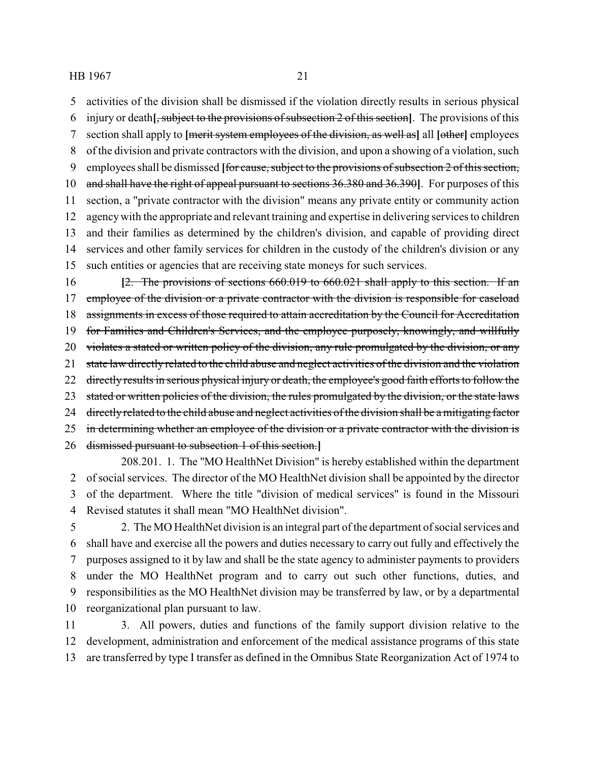activities of the division shall be dismissed if the violation directly results in serious physical

- injury or death**[**, subject to the provisions of subsection 2 of this section**]**. The provisions of this
- section shall apply to **[**merit system employees of the division, as well as**]** all **[**other**]** employees
- of the division and private contractors with the division, and upon a showing of a violation, such
- employees shall be dismissed **[**for cause, subject to the provisions of subsection 2 of this section,
- and shall have the right of appeal pursuant to sections 36.380 and 36.390**]**. For purposes of this section, a "private contractor with the division" means any private entity or community action agencywith the appropriate and relevant training and expertise in delivering services to children and their families as determined by the children's division, and capable of providing direct services and other family services for children in the custody of the children's division or any
- such entities or agencies that are receiving state moneys for such services.
- **[**2. The provisions of sections 660.019 to 660.021 shall apply to this section. If an 17 employee of the division or a private contractor with the division is responsible for caseload 18 assignments in excess of those required to attain accreditation by the Council for Accreditation for Families and Children's Services, and the employee purposely, knowingly, and willfully 20 violates a stated or written policy of the division, any rule promulgated by the division, or any 21 state law directly related to the child abuse and neglect activities of the division and the violation 22 directly results in serious physical injury or death, the employee's good faith efforts to follow the 23 stated or written policies of the division, the rules promulgated by the division, or the state laws 24 directly related to the child abuse and neglect activities of the division shall be a mitigating factor 25 in determining whether an employee of the division or a private contractor with the division is dismissed pursuant to subsection 1 of this section.**]**
- 208.201. 1. The "MO HealthNet Division" is hereby established within the department of social services. The director of the MO HealthNet division shall be appointed by the director of the department. Where the title "division of medical services" is found in the Missouri Revised statutes it shall mean "MO HealthNet division".
- 2. The MO HealthNet division is an integral part of the department of social services and shall have and exercise all the powers and duties necessary to carry out fully and effectively the purposes assigned to it by law and shall be the state agency to administer payments to providers under the MO HealthNet program and to carry out such other functions, duties, and responsibilities as the MO HealthNet division may be transferred by law, or by a departmental reorganizational plan pursuant to law.
- 3. All powers, duties and functions of the family support division relative to the development, administration and enforcement of the medical assistance programs of this state are transferred by type I transfer as defined in the Omnibus State Reorganization Act of 1974 to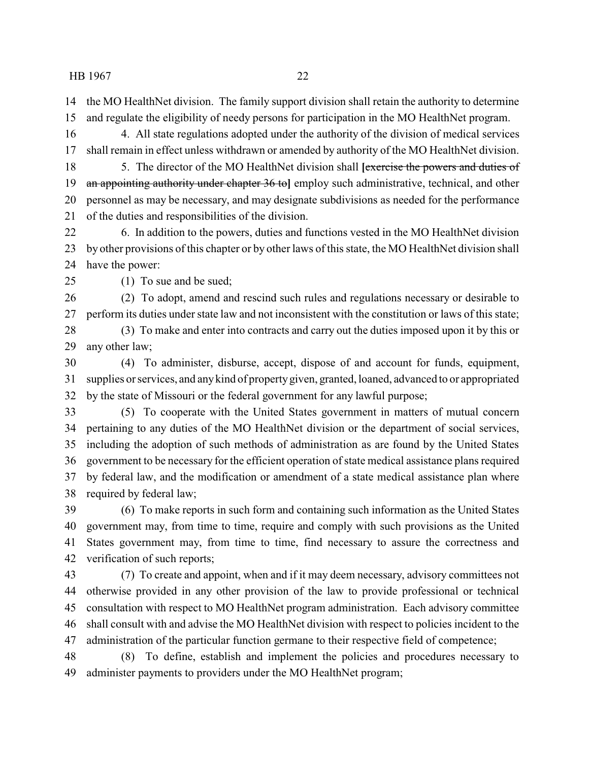the MO HealthNet division. The family support division shall retain the authority to determine

and regulate the eligibility of needy persons for participation in the MO HealthNet program.

 4. All state regulations adopted under the authority of the division of medical services shall remain in effect unless withdrawn or amended by authority of the MO HealthNet division.

 5. The director of the MO HealthNet division shall **[**exercise the powers and duties of an appointing authority under chapter 36 to**]** employ such administrative, technical, and other personnel as may be necessary, and may designate subdivisions as needed for the performance of the duties and responsibilities of the division.

 6. In addition to the powers, duties and functions vested in the MO HealthNet division by other provisions of this chapter or by other laws of this state, the MO HealthNet division shall have the power:

(1) To sue and be sued;

 (2) To adopt, amend and rescind such rules and regulations necessary or desirable to perform its duties under state law and not inconsistent with the constitution or laws of this state;

 (3) To make and enter into contracts and carry out the duties imposed upon it by this or any other law;

 (4) To administer, disburse, accept, dispose of and account for funds, equipment, supplies or services, and anykind of propertygiven, granted, loaned, advanced to or appropriated by the state of Missouri or the federal government for any lawful purpose;

 (5) To cooperate with the United States government in matters of mutual concern pertaining to any duties of the MO HealthNet division or the department of social services, including the adoption of such methods of administration as are found by the United States government to be necessary for the efficient operation of state medical assistance plans required by federal law, and the modification or amendment of a state medical assistance plan where required by federal law;

 (6) To make reports in such form and containing such information as the United States government may, from time to time, require and comply with such provisions as the United States government may, from time to time, find necessary to assure the correctness and verification of such reports;

 (7) To create and appoint, when and if it may deem necessary, advisory committees not otherwise provided in any other provision of the law to provide professional or technical consultation with respect to MO HealthNet program administration. Each advisory committee shall consult with and advise the MO HealthNet division with respect to policies incident to the administration of the particular function germane to their respective field of competence;

 (8) To define, establish and implement the policies and procedures necessary to administer payments to providers under the MO HealthNet program;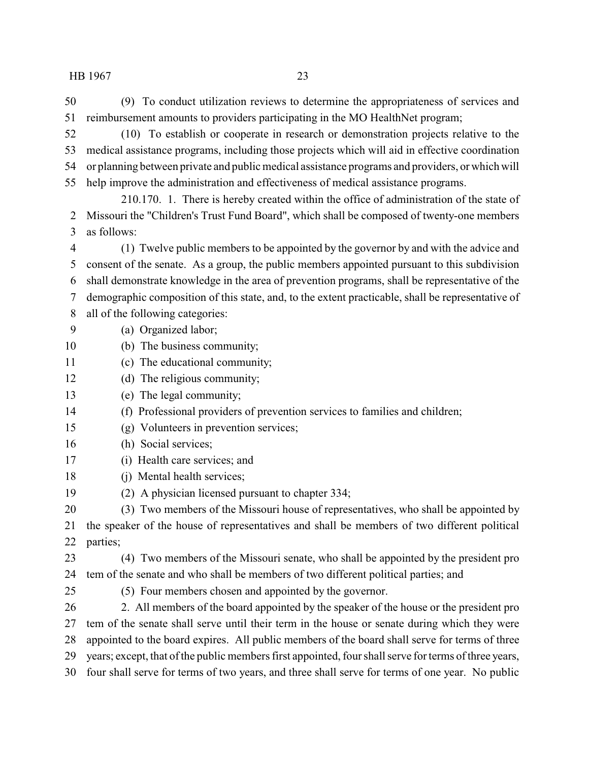(9) To conduct utilization reviews to determine the appropriateness of services and reimbursement amounts to providers participating in the MO HealthNet program;

 (10) To establish or cooperate in research or demonstration projects relative to the medical assistance programs, including those projects which will aid in effective coordination or planning between private and public medical assistance programs and providers, or which will help improve the administration and effectiveness of medical assistance programs.

210.170. 1. There is hereby created within the office of administration of the state of Missouri the "Children's Trust Fund Board", which shall be composed of twenty-one members as follows:

 (1) Twelve public members to be appointed by the governor by and with the advice and consent of the senate. As a group, the public members appointed pursuant to this subdivision shall demonstrate knowledge in the area of prevention programs, shall be representative of the demographic composition of this state, and, to the extent practicable, shall be representative of all of the following categories:

- (a) Organized labor;
- (b) The business community;
- (c) The educational community;
- 12 (d) The religious community;
- (e) The legal community;
- (f) Professional providers of prevention services to families and children;
- (g) Volunteers in prevention services;
- (h) Social services;
- (i) Health care services; and
- (j) Mental health services;
- (2) A physician licensed pursuant to chapter 334;

 (3) Two members of the Missouri house of representatives, who shall be appointed by the speaker of the house of representatives and shall be members of two different political parties;

 (4) Two members of the Missouri senate, who shall be appointed by the president pro tem of the senate and who shall be members of two different political parties; and

(5) Four members chosen and appointed by the governor.

 2. All members of the board appointed by the speaker of the house or the president pro tem of the senate shall serve until their term in the house or senate during which they were appointed to the board expires. All public members of the board shall serve for terms of three years; except, that of the public members first appointed, four shall serve for terms of three years, four shall serve for terms of two years, and three shall serve for terms of one year. No public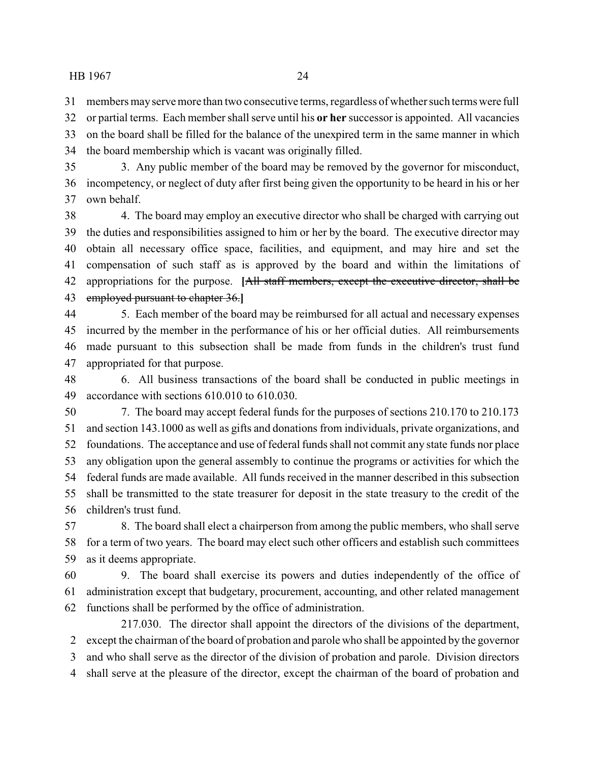members mayserve more than two consecutive terms, regardless of whether such terms were full

 or partial terms. Each member shall serve until his **or her** successor is appointed. All vacancies on the board shall be filled for the balance of the unexpired term in the same manner in which the board membership which is vacant was originally filled.

 3. Any public member of the board may be removed by the governor for misconduct, incompetency, or neglect of duty after first being given the opportunity to be heard in his or her own behalf.

 4. The board may employ an executive director who shall be charged with carrying out the duties and responsibilities assigned to him or her by the board. The executive director may obtain all necessary office space, facilities, and equipment, and may hire and set the compensation of such staff as is approved by the board and within the limitations of appropriations for the purpose. **[**All staff members, except the executive director, shall be employed pursuant to chapter 36.**]**

 5. Each member of the board may be reimbursed for all actual and necessary expenses incurred by the member in the performance of his or her official duties. All reimbursements made pursuant to this subsection shall be made from funds in the children's trust fund appropriated for that purpose.

 6. All business transactions of the board shall be conducted in public meetings in accordance with sections 610.010 to 610.030.

 7. The board may accept federal funds for the purposes of sections 210.170 to 210.173 and section 143.1000 as well as gifts and donations from individuals, private organizations, and foundations. The acceptance and use of federal funds shall not commit any state funds nor place any obligation upon the general assembly to continue the programs or activities for which the federal funds are made available. All funds received in the manner described in this subsection shall be transmitted to the state treasurer for deposit in the state treasury to the credit of the children's trust fund.

 8. The board shall elect a chairperson from among the public members, who shall serve for a term of two years. The board may elect such other officers and establish such committees as it deems appropriate.

 9. The board shall exercise its powers and duties independently of the office of administration except that budgetary, procurement, accounting, and other related management functions shall be performed by the office of administration.

217.030. The director shall appoint the directors of the divisions of the department, except the chairman of the board of probation and parole who shall be appointed by the governor and who shall serve as the director of the division of probation and parole. Division directors shall serve at the pleasure of the director, except the chairman of the board of probation and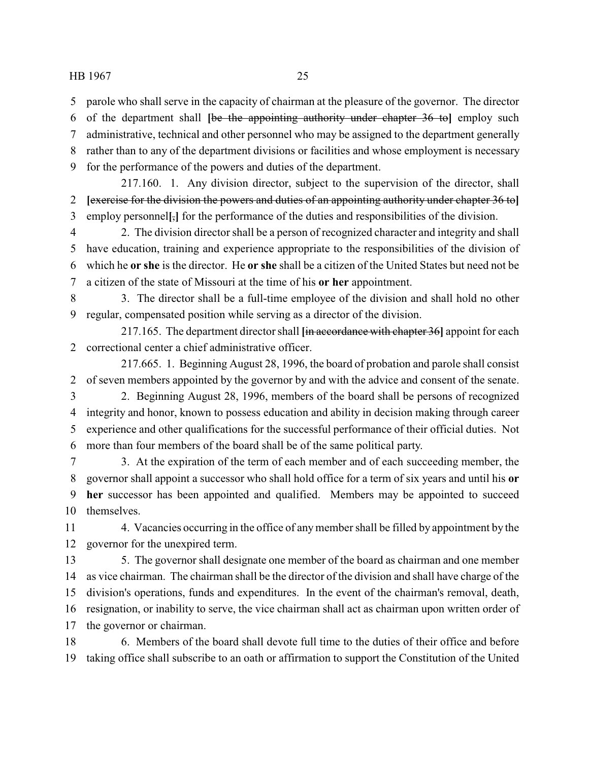parole who shall serve in the capacity of chairman at the pleasure of the governor. The director

of the department shall **[**be the appointing authority under chapter 36 to**]** employ such

administrative, technical and other personnel who may be assigned to the department generally

rather than to any of the department divisions or facilities and whose employment is necessary

for the performance of the powers and duties of the department.

217.160. 1. Any division director, subject to the supervision of the director, shall **[**exercise for the division the powers and duties of an appointing authority under chapter 36 to**]** employ personnel**[**,**]** for the performance of the duties and responsibilities of the division.

 2. The division director shall be a person of recognized character and integrity and shall have education, training and experience appropriate to the responsibilities of the division of which he **or she** is the director. He **or she** shall be a citizen of the United States but need not be a citizen of the state of Missouri at the time of his **or her** appointment.

 3. The director shall be a full-time employee of the division and shall hold no other regular, compensated position while serving as a director of the division.

217.165. The department director shall **[**in accordance with chapter 36**]** appoint for each correctional center a chief administrative officer.

217.665. 1. Beginning August 28, 1996, the board of probation and parole shall consist of seven members appointed by the governor by and with the advice and consent of the senate.

 2. Beginning August 28, 1996, members of the board shall be persons of recognized integrity and honor, known to possess education and ability in decision making through career experience and other qualifications for the successful performance of their official duties. Not more than four members of the board shall be of the same political party.

 3. At the expiration of the term of each member and of each succeeding member, the governor shall appoint a successor who shall hold office for a term of six years and until his **or her** successor has been appointed and qualified. Members may be appointed to succeed themselves.

 4. Vacancies occurring in the office of anymember shall be filled by appointment by the governor for the unexpired term.

 5. The governor shall designate one member of the board as chairman and one member as vice chairman. The chairman shall be the director of the division and shall have charge of the division's operations, funds and expenditures. In the event of the chairman's removal, death, resignation, or inability to serve, the vice chairman shall act as chairman upon written order of the governor or chairman.

 6. Members of the board shall devote full time to the duties of their office and before taking office shall subscribe to an oath or affirmation to support the Constitution of the United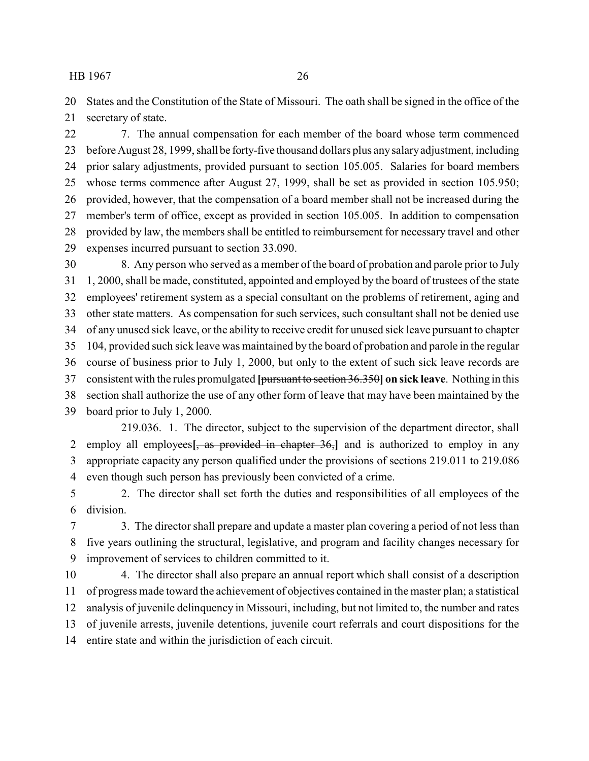States and the Constitution of the State of Missouri. The oath shall be signed in the office of the secretary of state.

 7. The annual compensation for each member of the board whose term commenced before August 28, 1999, shall be forty-five thousand dollars plus anysalaryadjustment, including prior salary adjustments, provided pursuant to section 105.005. Salaries for board members whose terms commence after August 27, 1999, shall be set as provided in section 105.950; provided, however, that the compensation of a board member shall not be increased during the member's term of office, except as provided in section 105.005. In addition to compensation provided by law, the members shall be entitled to reimbursement for necessary travel and other expenses incurred pursuant to section 33.090.

 8. Any person who served as a member of the board of probation and parole prior to July 1, 2000, shall be made, constituted, appointed and employed by the board of trustees of the state employees' retirement system as a special consultant on the problems of retirement, aging and other state matters. As compensation for such services, such consultant shall not be denied use of any unused sick leave, or the ability to receive credit for unused sick leave pursuant to chapter 104, provided such sick leave was maintained by the board of probation and parole in the regular course of business prior to July 1, 2000, but only to the extent of such sick leave records are consistent with the rules promulgated **[**pursuant to section 36.350**] on sick leave**. Nothing in this section shall authorize the use of any other form of leave that may have been maintained by the board prior to July 1, 2000.

219.036. 1. The director, subject to the supervision of the department director, shall employ all employees**[**, as provided in chapter 36,**]** and is authorized to employ in any appropriate capacity any person qualified under the provisions of sections 219.011 to 219.086 even though such person has previously been convicted of a crime.

 2. The director shall set forth the duties and responsibilities of all employees of the division.

 3. The director shall prepare and update a master plan covering a period of not less than five years outlining the structural, legislative, and program and facility changes necessary for improvement of services to children committed to it.

 4. The director shall also prepare an annual report which shall consist of a description of progress made toward the achievement of objectives contained in the master plan; a statistical analysis of juvenile delinquency in Missouri, including, but not limited to, the number and rates of juvenile arrests, juvenile detentions, juvenile court referrals and court dispositions for the entire state and within the jurisdiction of each circuit.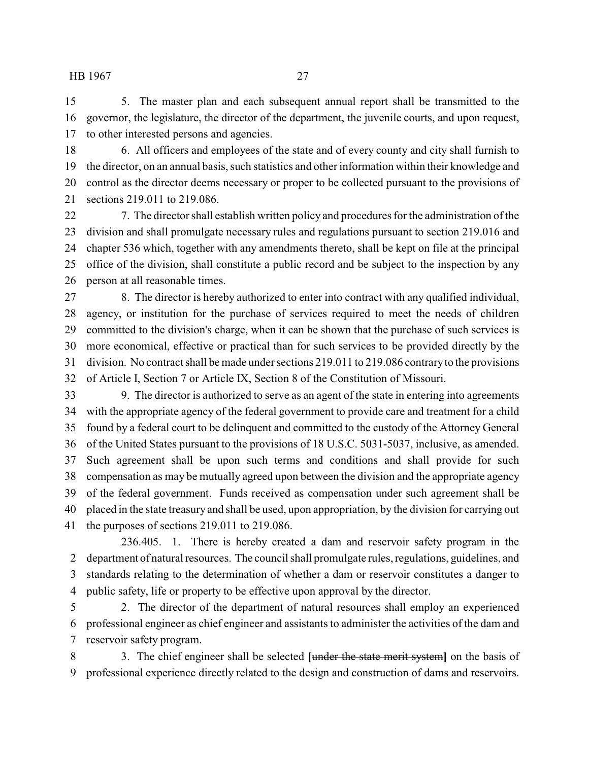5. The master plan and each subsequent annual report shall be transmitted to the governor, the legislature, the director of the department, the juvenile courts, and upon request, to other interested persons and agencies.

 6. All officers and employees of the state and of every county and city shall furnish to the director, on an annual basis, such statistics and other information within their knowledge and control as the director deems necessary or proper to be collected pursuant to the provisions of sections 219.011 to 219.086.

 7. The director shall establish written policy and procedures for the administration of the division and shall promulgate necessary rules and regulations pursuant to section 219.016 and chapter 536 which, together with any amendments thereto, shall be kept on file at the principal office of the division, shall constitute a public record and be subject to the inspection by any person at all reasonable times.

 8. The director is hereby authorized to enter into contract with any qualified individual, agency, or institution for the purchase of services required to meet the needs of children committed to the division's charge, when it can be shown that the purchase of such services is more economical, effective or practical than for such services to be provided directly by the division. No contract shall be made under sections 219.011 to 219.086 contraryto the provisions of Article I, Section 7 or Article IX, Section 8 of the Constitution of Missouri.

 9. The director is authorized to serve as an agent of the state in entering into agreements with the appropriate agency of the federal government to provide care and treatment for a child found by a federal court to be delinquent and committed to the custody of the Attorney General of the United States pursuant to the provisions of 18 U.S.C. 5031-5037, inclusive, as amended. Such agreement shall be upon such terms and conditions and shall provide for such compensation as may be mutually agreed upon between the division and the appropriate agency of the federal government. Funds received as compensation under such agreement shall be placed in the state treasury and shall be used, upon appropriation, by the division for carrying out the purposes of sections 219.011 to 219.086.

236.405. 1. There is hereby created a dam and reservoir safety program in the department of natural resources. The council shall promulgate rules, regulations, guidelines, and standards relating to the determination of whether a dam or reservoir constitutes a danger to public safety, life or property to be effective upon approval by the director.

 2. The director of the department of natural resources shall employ an experienced professional engineer as chief engineer and assistants to administer the activities of the dam and reservoir safety program.

 3. The chief engineer shall be selected **[**under the state merit system**]** on the basis of professional experience directly related to the design and construction of dams and reservoirs.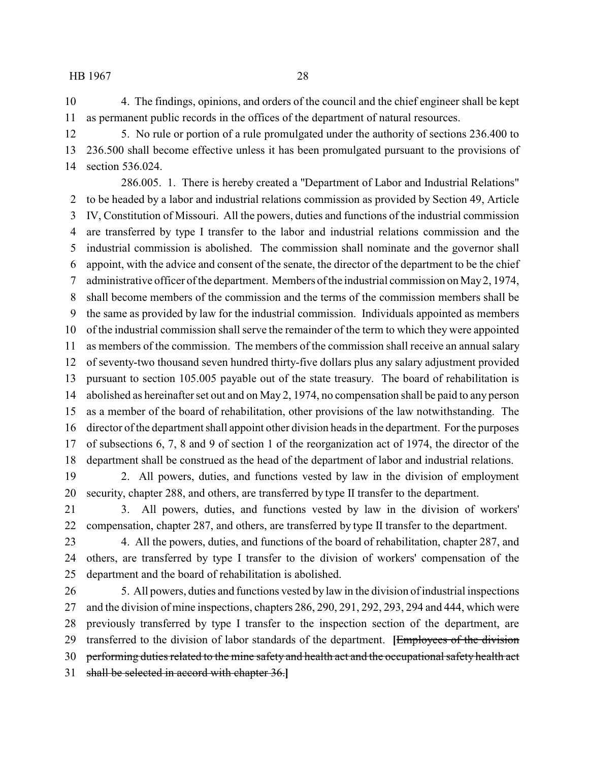4. The findings, opinions, and orders of the council and the chief engineer shall be kept as permanent public records in the offices of the department of natural resources.

 5. No rule or portion of a rule promulgated under the authority of sections 236.400 to 236.500 shall become effective unless it has been promulgated pursuant to the provisions of section 536.024.

286.005. 1. There is hereby created a "Department of Labor and Industrial Relations" to be headed by a labor and industrial relations commission as provided by Section 49, Article IV, Constitution of Missouri. All the powers, duties and functions of the industrial commission are transferred by type I transfer to the labor and industrial relations commission and the industrial commission is abolished. The commission shall nominate and the governor shall appoint, with the advice and consent of the senate, the director of the department to be the chief administrative officer of the department. Members of the industrial commission on May2, 1974, shall become members of the commission and the terms of the commission members shall be the same as provided by law for the industrial commission. Individuals appointed as members of the industrial commission shall serve the remainder of the term to which they were appointed as members of the commission. The members of the commission shall receive an annual salary of seventy-two thousand seven hundred thirty-five dollars plus any salary adjustment provided pursuant to section 105.005 payable out of the state treasury. The board of rehabilitation is abolished as hereinafter set out and on May 2, 1974, no compensation shall be paid to any person as a member of the board of rehabilitation, other provisions of the law notwithstanding. The director of the department shall appoint other division heads in the department. For the purposes of subsections 6, 7, 8 and 9 of section 1 of the reorganization act of 1974, the director of the department shall be construed as the head of the department of labor and industrial relations.

 2. All powers, duties, and functions vested by law in the division of employment security, chapter 288, and others, are transferred by type II transfer to the department.

 3. All powers, duties, and functions vested by law in the division of workers' compensation, chapter 287, and others, are transferred by type II transfer to the department.

 4. All the powers, duties, and functions of the board of rehabilitation, chapter 287, and others, are transferred by type I transfer to the division of workers' compensation of the department and the board of rehabilitation is abolished.

 5. All powers, duties and functions vested by law in the division of industrial inspections and the division of mine inspections, chapters 286, 290, 291, 292, 293, 294 and 444, which were previously transferred by type I transfer to the inspection section of the department, are transferred to the division of labor standards of the department. **[**Employees of the division 30 performing duties related to the mine safety and health act and the occupational safety health act shall be selected in accord with chapter 36.**]**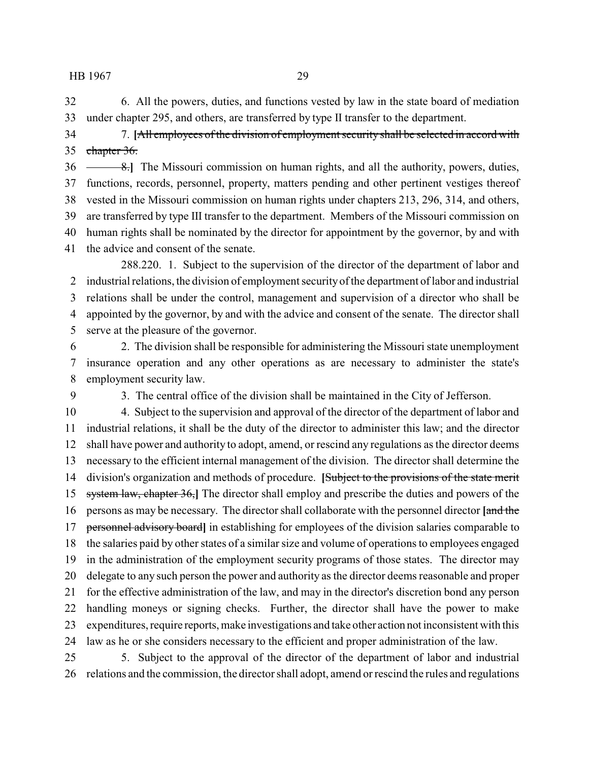6. All the powers, duties, and functions vested by law in the state board of mediation under chapter 295, and others, are transferred by type II transfer to the department.

 7. **[**All employees of the division of employment security shall be selected in accord with 35 chapter 36.

**8.** The Missouri commission on human rights, and all the authority, powers, duties, functions, records, personnel, property, matters pending and other pertinent vestiges thereof vested in the Missouri commission on human rights under chapters 213, 296, 314, and others, are transferred by type III transfer to the department. Members of the Missouri commission on human rights shall be nominated by the director for appointment by the governor, by and with the advice and consent of the senate.

288.220. 1. Subject to the supervision of the director of the department of labor and industrial relations, the division of employment securityof the department of labor and industrial relations shall be under the control, management and supervision of a director who shall be appointed by the governor, by and with the advice and consent of the senate. The director shall serve at the pleasure of the governor.

 2. The division shall be responsible for administering the Missouri state unemployment insurance operation and any other operations as are necessary to administer the state's employment security law.

3. The central office of the division shall be maintained in the City of Jefferson.

 4. Subject to the supervision and approval of the director of the department of labor and industrial relations, it shall be the duty of the director to administer this law; and the director shall have power and authority to adopt, amend, or rescind any regulations as the director deems necessary to the efficient internal management of the division. The director shall determine the division's organization and methods of procedure. **[**Subject to the provisions of the state merit system law, chapter 36,**]** The director shall employ and prescribe the duties and powers of the persons as may be necessary. The director shall collaborate with the personnel director **[**and the personnel advisory board**]** in establishing for employees of the division salaries comparable to the salaries paid by other states of a similar size and volume of operations to employees engaged in the administration of the employment security programs of those states. The director may delegate to any such person the power and authority as the director deems reasonable and proper for the effective administration of the law, and may in the director's discretion bond any person handling moneys or signing checks. Further, the director shall have the power to make expenditures, require reports, make investigations and take other action not inconsistent with this law as he or she considers necessary to the efficient and proper administration of the law. 5. Subject to the approval of the director of the department of labor and industrial

relations and the commission, the director shall adopt, amend or rescind the rules and regulations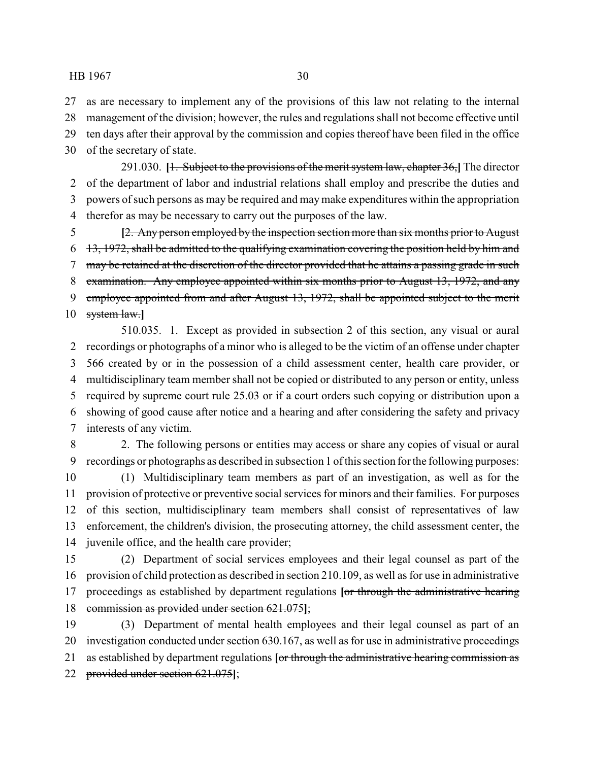as are necessary to implement any of the provisions of this law not relating to the internal management of the division; however, the rules and regulations shall not become effective until ten days after their approval by the commission and copies thereof have been filed in the office of the secretary of state.

291.030. **[**1. Subject to the provisions of the merit system law, chapter 36,**]** The director of the department of labor and industrial relations shall employ and prescribe the duties and powers of such persons as may be required and maymake expenditures within the appropriation therefor as may be necessary to carry out the purposes of the law.

 **[**2. Any person employed by the inspection section more than six months prior to August 13, 1972, shall be admitted to the qualifying examination covering the position held by him and 7 may be retained at the discretion of the director provided that he attains a passing grade in such examination. Any employee appointed within six months prior to August 13, 1972, and any 9 employee appointed from and after August 13, 1972, shall be appointed subject to the merit system law.**]**

510.035. 1. Except as provided in subsection 2 of this section, any visual or aural recordings or photographs of a minor who is alleged to be the victim of an offense under chapter 566 created by or in the possession of a child assessment center, health care provider, or multidisciplinary team member shall not be copied or distributed to any person or entity, unless required by supreme court rule 25.03 or if a court orders such copying or distribution upon a showing of good cause after notice and a hearing and after considering the safety and privacy interests of any victim.

 2. The following persons or entities may access or share any copies of visual or aural recordings or photographs as described in subsection 1 of this section for the following purposes:

 (1) Multidisciplinary team members as part of an investigation, as well as for the provision of protective or preventive social services for minors and their families. For purposes of this section, multidisciplinary team members shall consist of representatives of law enforcement, the children's division, the prosecuting attorney, the child assessment center, the juvenile office, and the health care provider;

 (2) Department of social services employees and their legal counsel as part of the provision of child protection as described in section 210.109, as well as for use in administrative proceedings as established by department regulations **[**or through the administrative hearing commission as provided under section 621.075**]**;

 (3) Department of mental health employees and their legal counsel as part of an investigation conducted under section 630.167, as well as for use in administrative proceedings as established by department regulations **[**or through the administrative hearing commission as provided under section 621.075**]**;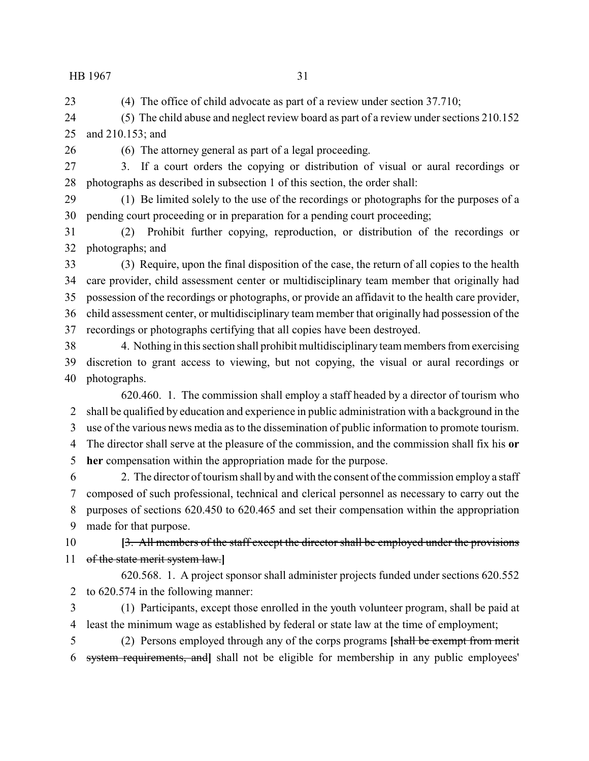(4) The office of child advocate as part of a review under section 37.710;

 (5) The child abuse and neglect review board as part of a review under sections 210.152 and 210.153; and

(6) The attorney general as part of a legal proceeding.

 3. If a court orders the copying or distribution of visual or aural recordings or photographs as described in subsection 1 of this section, the order shall:

 (1) Be limited solely to the use of the recordings or photographs for the purposes of a pending court proceeding or in preparation for a pending court proceeding;

 (2) Prohibit further copying, reproduction, or distribution of the recordings or photographs; and

 (3) Require, upon the final disposition of the case, the return of all copies to the health care provider, child assessment center or multidisciplinary team member that originally had possession of the recordings or photographs, or provide an affidavit to the health care provider, child assessment center, or multidisciplinary team member that originally had possession of the recordings or photographs certifying that all copies have been destroyed.

 4. Nothing in this section shall prohibit multidisciplinary team members from exercising discretion to grant access to viewing, but not copying, the visual or aural recordings or photographs.

620.460. 1. The commission shall employ a staff headed by a director of tourism who shall be qualified by education and experience in public administration with a background in the use of the various news media as to the dissemination of public information to promote tourism. The director shall serve at the pleasure of the commission, and the commission shall fix his **or**

**her** compensation within the appropriation made for the purpose.

 2. The director of tourism shall by and with the consent of the commission employ a staff composed of such professional, technical and clerical personnel as necessary to carry out the purposes of sections 620.450 to 620.465 and set their compensation within the appropriation made for that purpose.

 **[**3. All members of the staff except the director shall be employed under the provisions of the state merit system law.**]**

620.568. 1. A project sponsor shall administer projects funded under sections 620.552 to 620.574 in the following manner:

 (1) Participants, except those enrolled in the youth volunteer program, shall be paid at least the minimum wage as established by federal or state law at the time of employment;

 (2) Persons employed through any of the corps programs **[**shall be exempt from merit system requirements, and**]** shall not be eligible for membership in any public employees'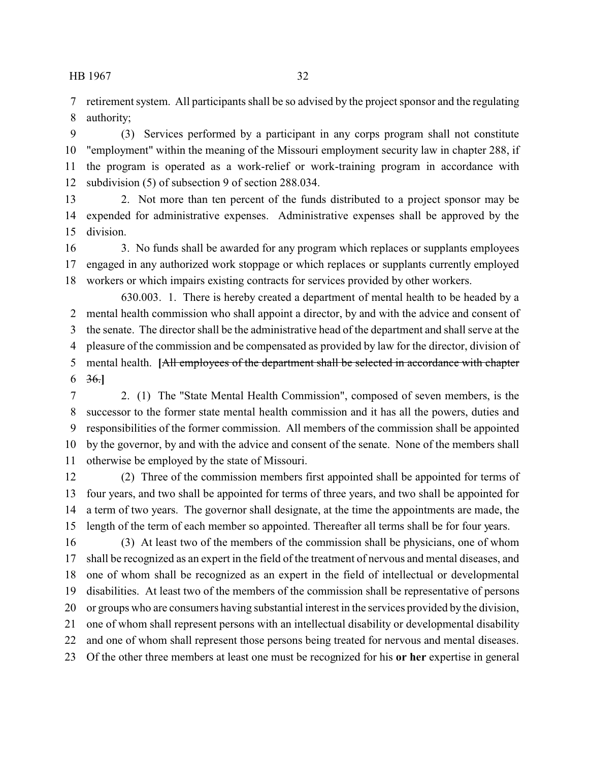retirement system. All participants shall be so advised by the project sponsor and the regulating authority;

 (3) Services performed by a participant in any corps program shall not constitute "employment" within the meaning of the Missouri employment security law in chapter 288, if the program is operated as a work-relief or work-training program in accordance with subdivision (5) of subsection 9 of section 288.034.

 2. Not more than ten percent of the funds distributed to a project sponsor may be expended for administrative expenses. Administrative expenses shall be approved by the division.

 3. No funds shall be awarded for any program which replaces or supplants employees engaged in any authorized work stoppage or which replaces or supplants currently employed workers or which impairs existing contracts for services provided by other workers.

630.003. 1. There is hereby created a department of mental health to be headed by a mental health commission who shall appoint a director, by and with the advice and consent of the senate. The director shall be the administrative head of the department and shall serve at the pleasure of the commission and be compensated as provided by law for the director, division of mental health. **[**All employees of the department shall be selected in accordance with chapter 36.**]**

 2. (1) The "State Mental Health Commission", composed of seven members, is the successor to the former state mental health commission and it has all the powers, duties and responsibilities of the former commission. All members of the commission shall be appointed by the governor, by and with the advice and consent of the senate. None of the members shall otherwise be employed by the state of Missouri.

 (2) Three of the commission members first appointed shall be appointed for terms of four years, and two shall be appointed for terms of three years, and two shall be appointed for a term of two years. The governor shall designate, at the time the appointments are made, the length of the term of each member so appointed. Thereafter all terms shall be for four years.

 (3) At least two of the members of the commission shall be physicians, one of whom shall be recognized as an expert in the field of the treatment of nervous and mental diseases, and one of whom shall be recognized as an expert in the field of intellectual or developmental disabilities. At least two of the members of the commission shall be representative of persons or groups who are consumers having substantial interest in the services provided by the division, one of whom shall represent persons with an intellectual disability or developmental disability and one of whom shall represent those persons being treated for nervous and mental diseases. Of the other three members at least one must be recognized for his **or her** expertise in general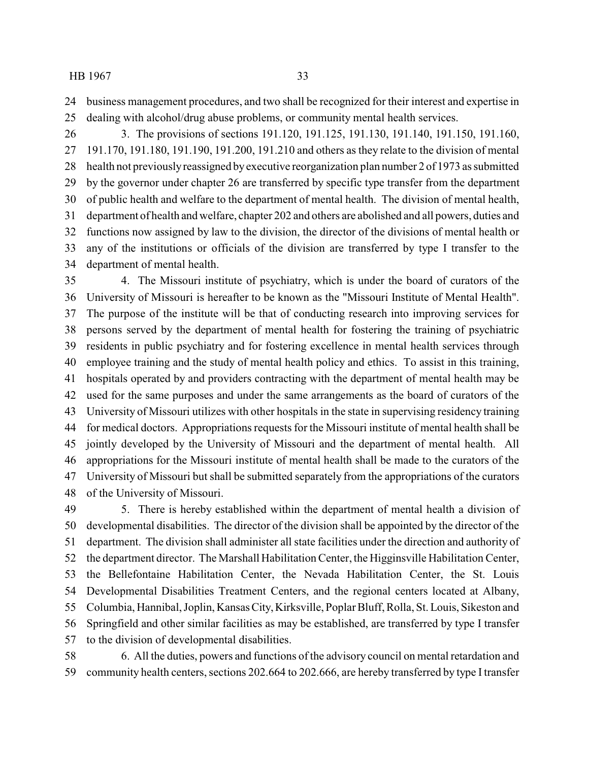business management procedures, and two shall be recognized for their interest and expertise in dealing with alcohol/drug abuse problems, or community mental health services.

 3. The provisions of sections 191.120, 191.125, 191.130, 191.140, 191.150, 191.160, 191.170, 191.180, 191.190, 191.200, 191.210 and others as they relate to the division of mental health not previouslyreassigned byexecutive reorganization plan number 2 of 1973 as submitted by the governor under chapter 26 are transferred by specific type transfer from the department of public health and welfare to the department of mental health. The division of mental health, department of health and welfare, chapter 202 and others are abolished and all powers, duties and functions now assigned by law to the division, the director of the divisions of mental health or any of the institutions or officials of the division are transferred by type I transfer to the department of mental health.

 4. The Missouri institute of psychiatry, which is under the board of curators of the University of Missouri is hereafter to be known as the "Missouri Institute of Mental Health". The purpose of the institute will be that of conducting research into improving services for persons served by the department of mental health for fostering the training of psychiatric residents in public psychiatry and for fostering excellence in mental health services through employee training and the study of mental health policy and ethics. To assist in this training, hospitals operated by and providers contracting with the department of mental health may be used for the same purposes and under the same arrangements as the board of curators of the University of Missouri utilizes with other hospitals in the state in supervising residency training for medical doctors. Appropriations requests for the Missouri institute of mental health shall be jointly developed by the University of Missouri and the department of mental health. All appropriations for the Missouri institute of mental health shall be made to the curators of the University of Missouri but shall be submitted separately from the appropriations of the curators of the University of Missouri.

 5. There is hereby established within the department of mental health a division of developmental disabilities. The director of the division shall be appointed by the director of the department. The division shall administer all state facilities under the direction and authority of the department director. The Marshall Habilitation Center, the Higginsville Habilitation Center, the Bellefontaine Habilitation Center, the Nevada Habilitation Center, the St. Louis Developmental Disabilities Treatment Centers, and the regional centers located at Albany, Columbia, Hannibal, Joplin, Kansas City,Kirksville, Poplar Bluff, Rolla, St. Louis, Sikeston and Springfield and other similar facilities as may be established, are transferred by type I transfer to the division of developmental disabilities.

 6. All the duties, powers and functions of the advisory council on mental retardation and community health centers, sections 202.664 to 202.666, are hereby transferred by type I transfer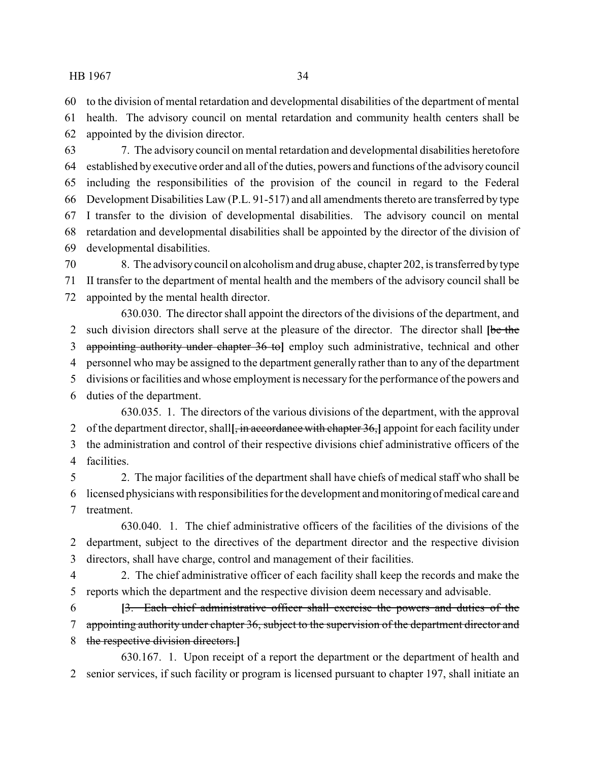to the division of mental retardation and developmental disabilities of the department of mental

 health. The advisory council on mental retardation and community health centers shall be appointed by the division director.

 7. The advisory council on mental retardation and developmental disabilities heretofore established by executive order and all of the duties, powers and functions of the advisory council including the responsibilities of the provision of the council in regard to the Federal Development Disabilities Law (P.L. 91-517) and all amendments thereto are transferred by type I transfer to the division of developmental disabilities. The advisory council on mental retardation and developmental disabilities shall be appointed by the director of the division of developmental disabilities.

 8. The advisorycouncil on alcoholism and drug abuse, chapter 202, is transferred by type II transfer to the department of mental health and the members of the advisory council shall be appointed by the mental health director.

630.030. The director shall appoint the directors of the divisions of the department, and such division directors shall serve at the pleasure of the director. The director shall **[**be the appointing authority under chapter 36 to**]** employ such administrative, technical and other personnel who may be assigned to the department generally rather than to any of the department divisions or facilities and whose employment is necessaryfor the performance of the powers and duties of the department.

630.035. 1. The directors of the various divisions of the department, with the approval of the department director, shall**[**, in accordance with chapter 36,**]** appoint for each facility under the administration and control of their respective divisions chief administrative officers of the facilities.

 2. The major facilities of the department shall have chiefs of medical staff who shall be licensed physicians with responsibilities for the development and monitoringofmedical care and treatment.

630.040. 1. The chief administrative officers of the facilities of the divisions of the department, subject to the directives of the department director and the respective division directors, shall have charge, control and management of their facilities.

 2. The chief administrative officer of each facility shall keep the records and make the reports which the department and the respective division deem necessary and advisable.

 **[**3. Each chief administrative officer shall exercise the powers and duties of the 7 appointing authority under chapter 36, subject to the supervision of the department director and the respective division directors.**]**

630.167. 1. Upon receipt of a report the department or the department of health and senior services, if such facility or program is licensed pursuant to chapter 197, shall initiate an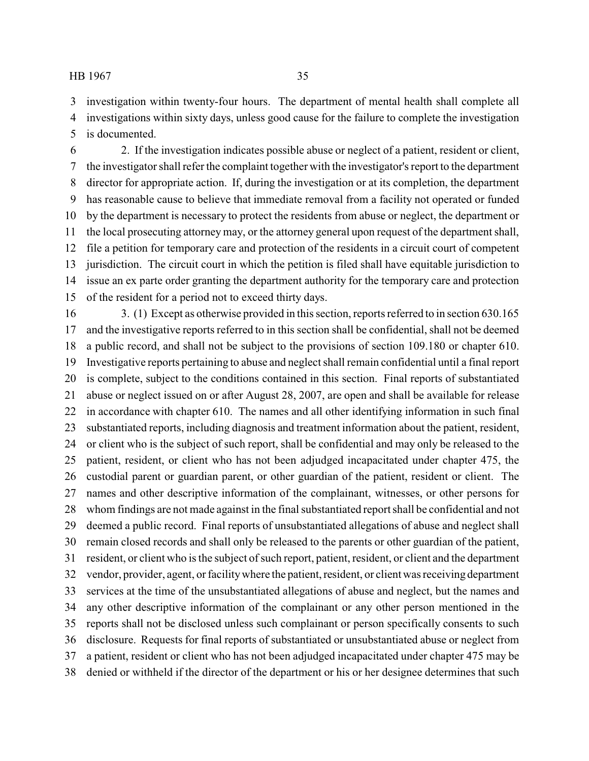investigation within twenty-four hours. The department of mental health shall complete all investigations within sixty days, unless good cause for the failure to complete the investigation

is documented.

 2. If the investigation indicates possible abuse or neglect of a patient, resident or client, the investigator shall refer the complaint together with the investigator's report to the department director for appropriate action. If, during the investigation or at its completion, the department has reasonable cause to believe that immediate removal from a facility not operated or funded by the department is necessary to protect the residents from abuse or neglect, the department or the local prosecuting attorney may, or the attorney general upon request of the department shall, file a petition for temporary care and protection of the residents in a circuit court of competent jurisdiction. The circuit court in which the petition is filed shall have equitable jurisdiction to issue an ex parte order granting the department authority for the temporary care and protection of the resident for a period not to exceed thirty days.

 3. (1) Except as otherwise provided in this section, reports referred to in section 630.165 and the investigative reports referred to in this section shall be confidential, shall not be deemed a public record, and shall not be subject to the provisions of section 109.180 or chapter 610. Investigative reports pertaining to abuse and neglect shall remain confidential until a final report is complete, subject to the conditions contained in this section. Final reports of substantiated abuse or neglect issued on or after August 28, 2007, are open and shall be available for release in accordance with chapter 610. The names and all other identifying information in such final substantiated reports, including diagnosis and treatment information about the patient, resident, or client who is the subject of such report, shall be confidential and may only be released to the patient, resident, or client who has not been adjudged incapacitated under chapter 475, the custodial parent or guardian parent, or other guardian of the patient, resident or client. The names and other descriptive information of the complainant, witnesses, or other persons for whom findings are not made against in the final substantiated report shall be confidential and not deemed a public record. Final reports of unsubstantiated allegations of abuse and neglect shall remain closed records and shall only be released to the parents or other guardian of the patient, resident, or client who is the subject of such report, patient, resident, or client and the department vendor, provider, agent, or facilitywhere the patient, resident, or client was receiving department services at the time of the unsubstantiated allegations of abuse and neglect, but the names and any other descriptive information of the complainant or any other person mentioned in the reports shall not be disclosed unless such complainant or person specifically consents to such disclosure. Requests for final reports of substantiated or unsubstantiated abuse or neglect from a patient, resident or client who has not been adjudged incapacitated under chapter 475 may be denied or withheld if the director of the department or his or her designee determines that such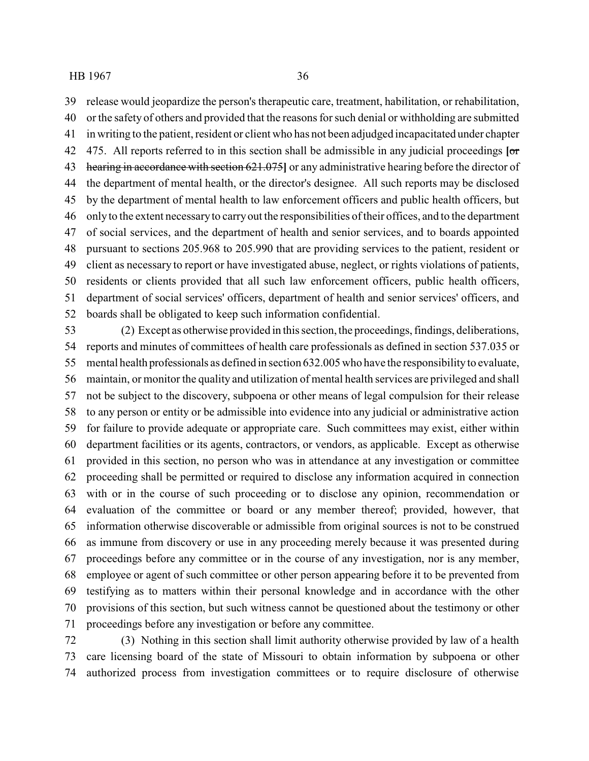release would jeopardize the person's therapeutic care, treatment, habilitation, or rehabilitation, or the safety of others and provided that the reasons for such denial or withholding are submitted in writing to the patient, resident or client who has not been adjudged incapacitated under chapter 475. All reports referred to in this section shall be admissible in any judicial proceedings **[**or hearing in accordance with section 621.075**]** or any administrative hearing before the director of the department of mental health, or the director's designee. All such reports may be disclosed by the department of mental health to law enforcement officers and public health officers, but only to the extent necessaryto carryout the responsibilities of their offices, and to the department of social services, and the department of health and senior services, and to boards appointed pursuant to sections 205.968 to 205.990 that are providing services to the patient, resident or client as necessary to report or have investigated abuse, neglect, or rights violations of patients, residents or clients provided that all such law enforcement officers, public health officers, department of social services' officers, department of health and senior services' officers, and boards shall be obligated to keep such information confidential.

 (2) Except as otherwise provided in this section, the proceedings, findings, deliberations, reports and minutes of committees of health care professionals as defined in section 537.035 or mental health professionals as defined in section 632.005 who have the responsibility to evaluate, maintain, or monitor the quality and utilization of mental health services are privileged and shall not be subject to the discovery, subpoena or other means of legal compulsion for their release to any person or entity or be admissible into evidence into any judicial or administrative action for failure to provide adequate or appropriate care. Such committees may exist, either within department facilities or its agents, contractors, or vendors, as applicable. Except as otherwise provided in this section, no person who was in attendance at any investigation or committee proceeding shall be permitted or required to disclose any information acquired in connection with or in the course of such proceeding or to disclose any opinion, recommendation or evaluation of the committee or board or any member thereof; provided, however, that information otherwise discoverable or admissible from original sources is not to be construed as immune from discovery or use in any proceeding merely because it was presented during proceedings before any committee or in the course of any investigation, nor is any member, employee or agent of such committee or other person appearing before it to be prevented from testifying as to matters within their personal knowledge and in accordance with the other provisions of this section, but such witness cannot be questioned about the testimony or other proceedings before any investigation or before any committee.

 (3) Nothing in this section shall limit authority otherwise provided by law of a health care licensing board of the state of Missouri to obtain information by subpoena or other authorized process from investigation committees or to require disclosure of otherwise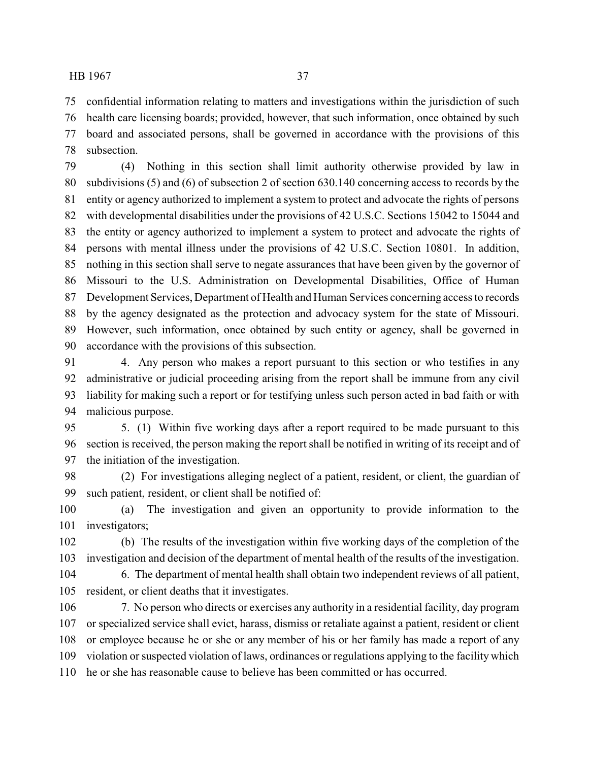confidential information relating to matters and investigations within the jurisdiction of such health care licensing boards; provided, however, that such information, once obtained by such

 board and associated persons, shall be governed in accordance with the provisions of this subsection.

 (4) Nothing in this section shall limit authority otherwise provided by law in subdivisions (5) and (6) of subsection 2 of section 630.140 concerning access to records by the entity or agency authorized to implement a system to protect and advocate the rights of persons with developmental disabilities under the provisions of 42 U.S.C. Sections 15042 to 15044 and the entity or agency authorized to implement a system to protect and advocate the rights of persons with mental illness under the provisions of 42 U.S.C. Section 10801. In addition, nothing in this section shall serve to negate assurances that have been given by the governor of Missouri to the U.S. Administration on Developmental Disabilities, Office of Human Development Services, Department of Health and Human Services concerning access to records by the agency designated as the protection and advocacy system for the state of Missouri. However, such information, once obtained by such entity or agency, shall be governed in accordance with the provisions of this subsection.

 4. Any person who makes a report pursuant to this section or who testifies in any administrative or judicial proceeding arising from the report shall be immune from any civil liability for making such a report or for testifying unless such person acted in bad faith or with malicious purpose.

 5. (1) Within five working days after a report required to be made pursuant to this section is received, the person making the report shall be notified in writing of its receipt and of the initiation of the investigation.

 (2) For investigations alleging neglect of a patient, resident, or client, the guardian of such patient, resident, or client shall be notified of:

 (a) The investigation and given an opportunity to provide information to the investigators;

 (b) The results of the investigation within five working days of the completion of the investigation and decision of the department of mental health of the results of the investigation.

 6. The department of mental health shall obtain two independent reviews of all patient, resident, or client deaths that it investigates.

 7. No person who directs or exercises any authority in a residential facility, day program or specialized service shall evict, harass, dismiss or retaliate against a patient, resident or client or employee because he or she or any member of his or her family has made a report of any violation or suspected violation of laws, ordinances or regulations applying to the facility which he or she has reasonable cause to believe has been committed or has occurred.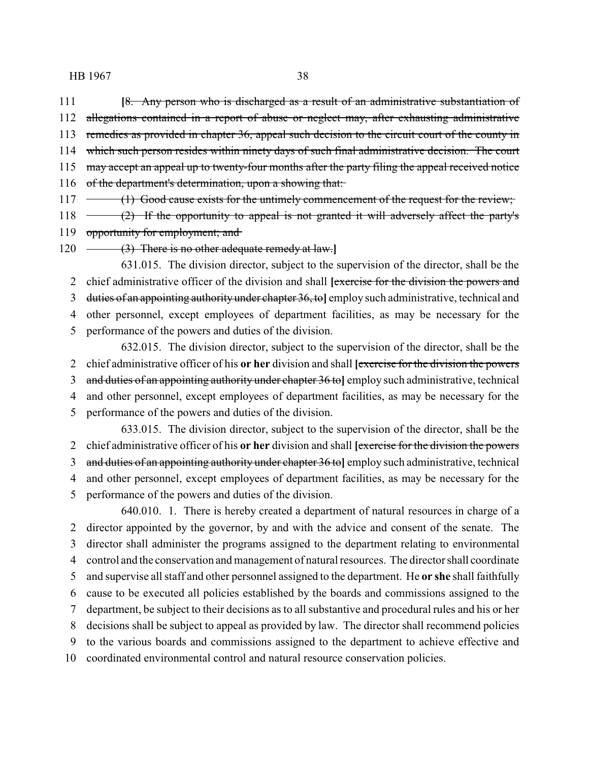**[**8. Any person who is discharged as a result of an administrative substantiation of 112 allegations contained in a report of abuse or neglect may, after exhausting administrative 113 remedies as provided in chapter 36, appeal such decision to the circuit court of the county in which such person resides within ninety days of such final administrative decision. The court 115 may accept an appeal up to twenty-four months after the party filing the appeal received notice of the department's determination, upon a showing that:

117 (1) Good cause exists for the untimely commencement of the request for the review;

118 (2) If the opportunity to appeal is not granted it will adversely affect the party's 119 opportunity for employment; and

(3) There is no other adequate remedy at law.**]**

631.015. The division director, subject to the supervision of the director, shall be the chief administrative officer of the division and shall **[**exercise for the division the powers and duties of an appointing authority under chapter 36, to**]** employ such administrative, technical and other personnel, except employees of department facilities, as may be necessary for the

performance of the powers and duties of the division.

632.015. The division director, subject to the supervision of the director, shall be the chief administrative officer of his **or her** division and shall **[**exercise for the division the powers and duties of an appointing authority under chapter 36 to**]** employ such administrative, technical and other personnel, except employees of department facilities, as may be necessary for the

performance of the powers and duties of the division.

633.015. The division director, subject to the supervision of the director, shall be the chief administrative officer of his **or her** division and shall **[**exercise for the division the powers and duties of an appointing authority under chapter 36 to**]** employ such administrative, technical and other personnel, except employees of department facilities, as may be necessary for the performance of the powers and duties of the division.

640.010. 1. There is hereby created a department of natural resources in charge of a director appointed by the governor, by and with the advice and consent of the senate. The director shall administer the programs assigned to the department relating to environmental control and the conservation and management of natural resources. The director shall coordinate and supervise all staff and other personnel assigned to the department. He **or she** shall faithfully cause to be executed all policies established by the boards and commissions assigned to the department, be subject to their decisions as to all substantive and procedural rules and his or her decisions shall be subject to appeal as provided by law. The director shall recommend policies to the various boards and commissions assigned to the department to achieve effective and coordinated environmental control and natural resource conservation policies.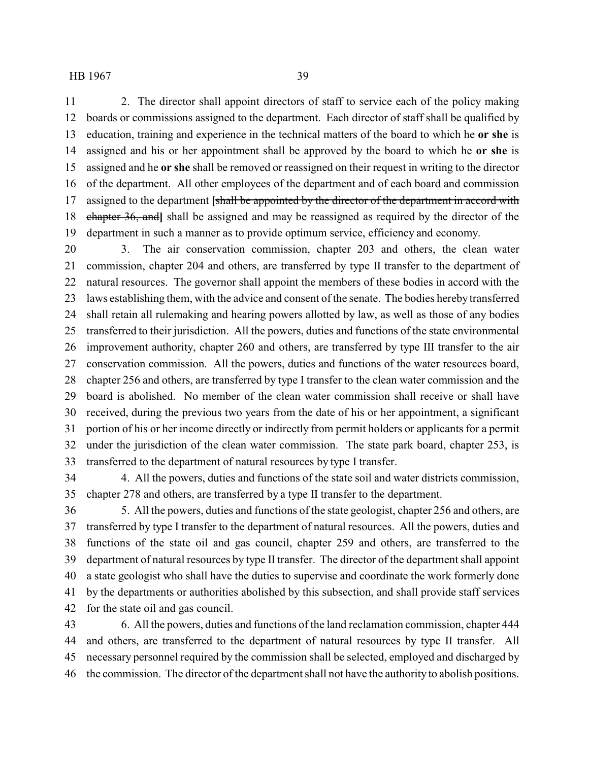2. The director shall appoint directors of staff to service each of the policy making boards or commissions assigned to the department. Each director of staff shall be qualified by education, training and experience in the technical matters of the board to which he **or she** is assigned and his or her appointment shall be approved by the board to which he **or she** is assigned and he **or she** shall be removed or reassigned on their request in writing to the director of the department. All other employees of the department and of each board and commission assigned to the department **[**shall be appointed by the director of the department in accord with chapter 36, and**]** shall be assigned and may be reassigned as required by the director of the department in such a manner as to provide optimum service, efficiency and economy.

 3. The air conservation commission, chapter 203 and others, the clean water commission, chapter 204 and others, are transferred by type II transfer to the department of natural resources. The governor shall appoint the members of these bodies in accord with the 23 laws establishing them, with the advice and consent of the senate. The bodies hereby transferred shall retain all rulemaking and hearing powers allotted by law, as well as those of any bodies transferred to their jurisdiction. All the powers, duties and functions of the state environmental improvement authority, chapter 260 and others, are transferred by type III transfer to the air conservation commission. All the powers, duties and functions of the water resources board, chapter 256 and others, are transferred by type I transfer to the clean water commission and the board is abolished. No member of the clean water commission shall receive or shall have received, during the previous two years from the date of his or her appointment, a significant portion of his or her income directly or indirectly from permit holders or applicants for a permit under the jurisdiction of the clean water commission. The state park board, chapter 253, is transferred to the department of natural resources by type I transfer.

 4. All the powers, duties and functions of the state soil and water districts commission, chapter 278 and others, are transferred by a type II transfer to the department.

 5. All the powers, duties and functions of the state geologist, chapter 256 and others, are transferred by type I transfer to the department of natural resources. All the powers, duties and functions of the state oil and gas council, chapter 259 and others, are transferred to the department of natural resources by type II transfer. The director of the department shall appoint a state geologist who shall have the duties to supervise and coordinate the work formerly done by the departments or authorities abolished by this subsection, and shall provide staff services for the state oil and gas council.

 6. All the powers, duties and functions of the land reclamation commission, chapter 444 and others, are transferred to the department of natural resources by type II transfer. All necessary personnel required by the commission shall be selected, employed and discharged by the commission. The director of the department shall not have the authority to abolish positions.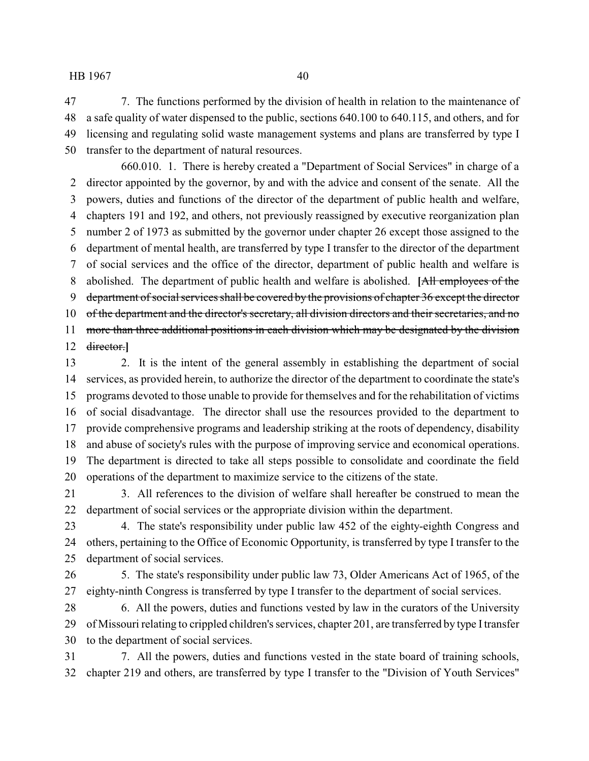7. The functions performed by the division of health in relation to the maintenance of a safe quality of water dispensed to the public, sections 640.100 to 640.115, and others, and for licensing and regulating solid waste management systems and plans are transferred by type I transfer to the department of natural resources.

660.010. 1. There is hereby created a "Department of Social Services" in charge of a director appointed by the governor, by and with the advice and consent of the senate. All the powers, duties and functions of the director of the department of public health and welfare, chapters 191 and 192, and others, not previously reassigned by executive reorganization plan number 2 of 1973 as submitted by the governor under chapter 26 except those assigned to the department of mental health, are transferred by type I transfer to the director of the department of social services and the office of the director, department of public health and welfare is abolished. The department of public health and welfare is abolished. **[**All employees of the 9 department of social services shall be covered by the provisions of chapter 36 except the director of the department and the director's secretary, all division directors and their secretaries, and no 11 more than three additional positions in each division which may be designated by the division director.**]**

 2. It is the intent of the general assembly in establishing the department of social services, as provided herein, to authorize the director of the department to coordinate the state's programs devoted to those unable to provide for themselves and for the rehabilitation of victims of social disadvantage. The director shall use the resources provided to the department to provide comprehensive programs and leadership striking at the roots of dependency, disability and abuse of society's rules with the purpose of improving service and economical operations. The department is directed to take all steps possible to consolidate and coordinate the field operations of the department to maximize service to the citizens of the state.

 3. All references to the division of welfare shall hereafter be construed to mean the department of social services or the appropriate division within the department.

 4. The state's responsibility under public law 452 of the eighty-eighth Congress and others, pertaining to the Office of Economic Opportunity, is transferred by type I transfer to the department of social services.

 5. The state's responsibility under public law 73, Older Americans Act of 1965, of the eighty-ninth Congress is transferred by type I transfer to the department of social services.

 6. All the powers, duties and functions vested by law in the curators of the University of Missouri relating to crippled children's services, chapter 201, are transferred by type Itransfer to the department of social services.

 7. All the powers, duties and functions vested in the state board of training schools, chapter 219 and others, are transferred by type I transfer to the "Division of Youth Services"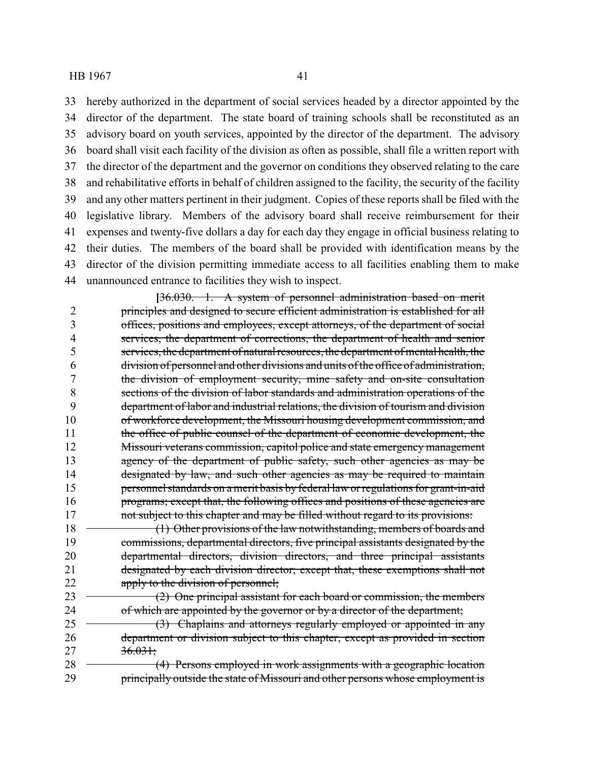hereby authorized in the department of social services headed by a director appointed by the director of the department. The state board of training schools shall be reconstituted as an advisory board on youth services, appointed by the director of the department. The advisory board shall visit each facility of the division as often as possible, shall file a written report with the director of the department and the governor on conditions they observed relating to the care and rehabilitative efforts in behalf of children assigned to the facility, the security of the facility and any other matters pertinent in their judgment. Copies of these reports shall be filed with the legislative library. Members of the advisory board shall receive reimbursement for their expenses and twenty-five dollars a day for each day they engage in official business relating to their duties. The members of the board shall be provided with identification means by the director of the division permitting immediate access to all facilities enabling them to make unannounced entrance to facilities they wish to inspect.

**[**36.030. 1. A system of personnel administration based on merit 2 principles and designed to secure efficient administration is established for all 3 offices, positions and employees, except attorneys, of the department of social 4 services, the department of corrections, the department of health and senior 5 services, the department of natural resources, the department of mental health, the 6 division of personnel and other divisions and units of the office of administration, 7 the division of employment security, mine safety and on-site consultation 8 sections of the division of labor standards and administration operations of the 9 department of labor and industrial relations, the division of tourism and division 10 of workforce development, the Missouri housing development commission, and 11 the office of public counsel of the department of economic development, the 12 Missouri veterans commission, capitol police and state emergency management 13 agency of the department of public safety, such other agencies as may be 14 designated by law, and such other agencies as may be required to maintain 15 personnel standards on a merit basis by federal law or regulations for grant-in-aid 16 programs; except that, the following offices and positions of these agencies are 17 not subject to this chapter and may be filled without regard to its provisions: 18 (1) Other provisions of the law notwithstanding, members of boards and

19 commissions, departmental directors, five principal assistants designated by the 20 departmental directors, division directors, and three principal assistants 21 designated by each division director; except that, these exemptions shall not 22 apply to the division of personnel;

 $23 \rightarrow (2)$  One principal assistant for each board or commission, the members 24 of which are appointed by the governor or by a director of the department;

25 (3) Chaplains and attorneys regularly employed or appointed in any 26 department or division subject to this chapter, except as provided in section 27 36.031;

28 (4) Persons employed in work assignments with a geographic location 29 principally outside the state of Missouri and other persons whose employment is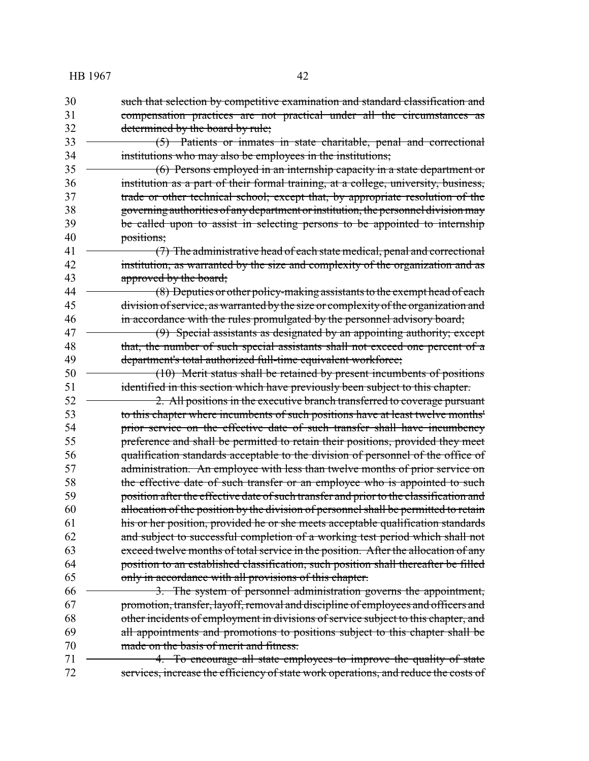- such that selection by competitive examination and standard classification and compensation practices are not practical under all the circumstances as 32 determined by the board by rule; 33 (5) Patients or inmates in state charitable, penal and correctional
- institutions who may also be employees in the institutions;
- (6) Persons employed in an internship capacity in a state department or institution as a part of their formal training, at a college, university, business, trade or other technical school; except that, by appropriate resolution of the governing authorities of anydepartment orinstitution, the personnel division may 39 be called upon to assist in selecting persons to be appointed to internship positions;
- (7) The administrative head of each state medical, penal and correctional institution, as warranted by the size and complexity of the organization and as **approved by the board;**
- 44 (8) Deputies or other policy-making assistants to the exempt head of each division of service, as warranted bythe size or complexity of the organization and 46 in accordance with the rules promulgated by the personnel advisory board;
- (9) Special assistants as designated by an appointing authority; except 48 that, the number of such special assistants shall not exceed one percent of a department's total authorized full-time equivalent workforce;
- 50 (10) Merit status shall be retained by present incumbents of positions identified in this section which have previously been subject to this chapter.
- 52 <del>2. All positions in the executive branch transferred to coverage pursuant</del> to this chapter where incumbents of such positions have at least twelve months' **prior service on the effective date of such transfer shall have incumbency**  preference and shall be permitted to retain their positions, provided they meet qualification standards acceptable to the division of personnel of the office of 57 administration. An employee with less than twelve months of prior service on 58 the effective date of such transfer or an employee who is appointed to such 59 position after the effective date of such transfer and prior to the classification and allocation of the position by the division of personnel shall be permitted to retain his or her position, provided he or she meets acceptable qualification standards and subject to successful completion of a working test period which shall not exceed twelve months of total service in the position. After the allocation of any position to an established classification, such position shall thereafter be filled only in accordance with all provisions of this chapter.
- 66 <del>3. The system of personnel administration governs the appointment,</del> promotion, transfer, layoff, removal and discipline of employees and officers and other incidents of employment in divisions of service subject to this chapter, and 69 all appointments and promotions to positions subject to this chapter shall be made on the basis of merit and fitness.
- 4. To encourage all state employees to improve the quality of state services, increase the efficiency of state work operations, and reduce the costs of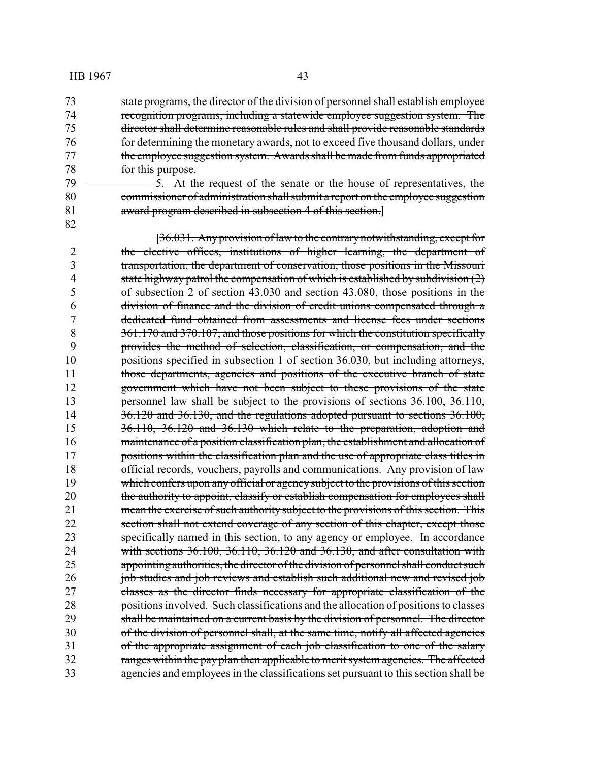state programs, the director of the division of personnel shall establish employee recognition programs, including a statewide employee suggestion system. The director shall determine reasonable rules and shall provide reasonable standards for determining the monetary awards, not to exceed five thousand dollars, under 77 the employee suggestion system. Awards shall be made from funds appropriated for this purpose.

79 <del>5. At the request of the senate or the house of representatives, the</del> commissioner of administration shall submit a report on the employee suggestion award program described in subsection 4 of this section.**]**

**[**36.031. Anyprovision of law to the contrarynotwithstanding, except for the elective offices, institutions of higher learning, the department of transportation, the department of conservation, those positions in the Missouri 4 state highway patrol the compensation of which is established by subdivision (2) of subsection 2 of section 43.030 and section 43.080, those positions in the division of finance and the division of credit unions compensated through a dedicated fund obtained from assessments and license fees under sections 8 361.170 and 370.107, and those positions for which the constitution specifically provides the method of selection, classification, or compensation, and the positions specified in subsection 1 of section 36.030, but including attorneys, 11 those departments, agencies and positions of the executive branch of state government which have not been subject to these provisions of the state 13 personnel law shall be subject to the provisions of sections 36.100, 36.110, 14 36.120 and 36.130, and the regulations adopted pursuant to sections 36.100, 36.110, 36.120 and 36.130 which relate to the preparation, adoption and 16 maintenance of a position classification plan, the establishment and allocation of 17 positions within the classification plan and the use of appropriate class titles in official records, vouchers, payrolls and communications. Any provision of law 19 which confers upon any official or agency subject to the provisions of this section 20 the authority to appoint, classify or establish compensation for employees shall mean the exercise of such authority subject to the provisions of this section. This 22 section shall not extend coverage of any section of this chapter, except those specifically named in this section, to any agency or employee. In accordance with sections 36.100, 36.110, 36.120 and 36.130, and after consultation with 25 appointing authorities, the director of the division of personnel shall conduct such **job studies and job reviews and establish such additional new and revised job**  classes as the director finds necessary for appropriate classification of the positions involved. Such classifications and the allocation of positions to classes shall be maintained on a current basis by the division of personnel. The director of the division of personnel shall, at the same time, notify all affected agencies of the appropriate assignment of each job classification to one of the salary 32 ranges within the pay plan then applicable to merit system agencies. The affected agencies and employees in the classifications set pursuant to this section shall be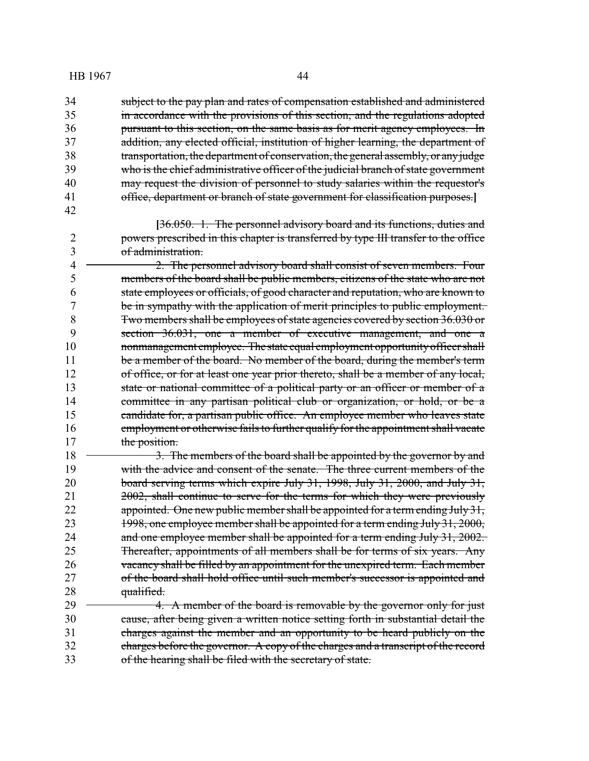34 subject to the pay plan and rates of compensation established and administered in accordance with the provisions of this section, and the regulations adopted pursuant to this section, on the same basis as for merit agency employees. In addition, any elected official, institution of higher learning, the department of transportation, the department of conservation, the general assembly, or anyjudge who is the chief administrative officer of the judicial branch of state government 40 may request the division of personnel to study salaries within the requestor's office, department or branch of state government for classification purposes.**]**

**[**36.050. 1. The personnel advisory board and its functions, duties and powers prescribed in this chapter is transferred by type III transfer to the office of administration.

 2. The personnel advisory board shall consist of seven members. Four members of the board shall be public members, citizens of the state who are not state employees or officials, of good character and reputation, who are known to be in sympathy with the application of merit principles to public employment. Two members shall be employees of state agencies covered by section 36.030 or section 36.031, one a member of executive management, and one a 10 nonmanagement employee. The state equal employment opportunity officer shall 11 be a member of the board. No member of the board, during the member's term of office, or for at least one year prior thereto, shall be a member of any local, 13 state or national committee of a political party or an officer or member of a 14 committee in any partisan political club or organization, or hold, or be a candidate for, a partisan public office. An employee member who leaves state employment or otherwise fails to further qualify for the appointment shall vacate 17 the position.

18 <del>3. The members of the board shall be appointed by the governor by and</del> with the advice and consent of the senate. The three current members of the board serving terms which expire July 31, 1998, July 31, 2000, and July 31, 2002, shall continue to serve for the terms for which they were previously 22 appointed. One new public member shall be appointed for a term ending July 31, 23 1998, one employee member shall be appointed for a term ending July 31, 2000, 24 and one employee member shall be appointed for a term ending July 31, 2002. Thereafter, appointments of all members shall be for terms of six years. Any 26 vacancy shall be filled by an appointment for the unexpired term. Each member of the board shall hold office until such member's successor is appointed and 28 qualified.

 4. A member of the board is removable by the governor only for just cause, after being given a written notice setting forth in substantial detail the charges against the member and an opportunity to be heard publicly on the charges before the governor. A copy of the charges and a transcript of the record of the hearing shall be filed with the secretary of state.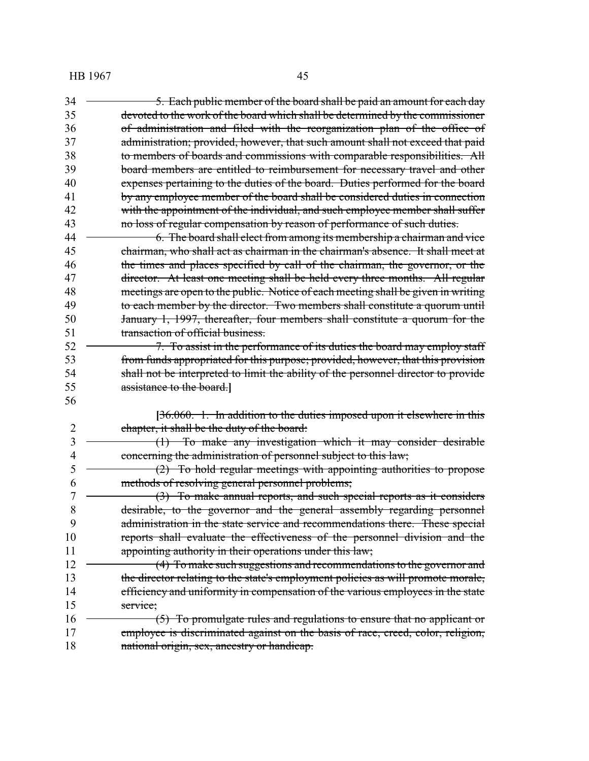| 34 | 5. Each public member of the board shall be paid an amount for each day            |
|----|------------------------------------------------------------------------------------|
| 35 | devoted to the work of the board which shall be determined by the commissioner     |
| 36 | of administration and filed with the reorganization plan of the office of          |
| 37 | administration; provided, however, that such amount shall not exceed that paid     |
| 38 | to members of boards and commissions with comparable responsibilities. All         |
| 39 | board members are entitled to reimbursement for necessary travel and other         |
| 40 | expenses pertaining to the duties of the board. Duties performed for the board     |
| 41 | by any employee member of the board shall be considered duties in connection       |
| 42 | with the appointment of the individual, and such employee member shall suffer      |
| 43 | no loss of regular compensation by reason of performance of such duties.           |
| 44 | 6. The board shall elect from among its membership a chairman and vice             |
| 45 | chairman, who shall act as chairman in the chairman's absence. It shall meet at    |
| 46 | the times and places specified by call of the chairman, the governor, or the       |
| 47 | director. At least one meeting shall be held every three months. All regular       |
| 48 | meetings are open to the public. Notice of each meeting shall be given in writing  |
| 49 | to each member by the director. Two members shall constitute a quorum until        |
| 50 | January 1, 1997, thereafter, four members shall constitute a quorum for the        |
| 51 | transaction of official business.                                                  |
| 52 | 7. To assist in the performance of its duties the board may employ staff           |
| 53 | from funds appropriated for this purpose; provided, however, that this provision   |
| 54 | shall not be interpreted to limit the ability of the personnel director to provide |
| 55 | assistance to the board.                                                           |
| 56 |                                                                                    |
|    | $[36.060. 1.$ In addition to the duties imposed upon it elsewhere in this          |
| 2  | chapter, it shall be the duty of the board:                                        |
| 3  | (1) To make any investigation which it may consider desirable                      |
| 4  | concerning the administration of personnel subject to this law;                    |
| 5  | $(2)$ To hold regular meetings with appointing authorities to propose              |
| 6  | methods of resolving general personnel problems;                                   |
| 7  | (3) To make annual reports, and such special reports as it considers               |
| 8  | desirable, to the governor and the general assembly regarding personnel            |
| 9  | administration in the state service and recommendations there. These special       |
| 10 | reports shall evaluate the effectiveness of the personnel division and the         |
| 11 | appointing authority in their operations under this law;                           |
| 12 | (4) To make such suggestions and recommendations to the governor and               |
| 13 | the director relating to the state's employment policies as will promote morale,   |
| 14 | efficiency and uniformity in compensation of the various employees in the state    |
| 15 | service;                                                                           |
| 16 | (5) To promulgate rules and regulations to ensure that no applicant or             |
| 17 | employee is discriminated against on the basis of race, creed, color, religion,    |
| 18 | national origin, sex, ancestry or handicap.                                        |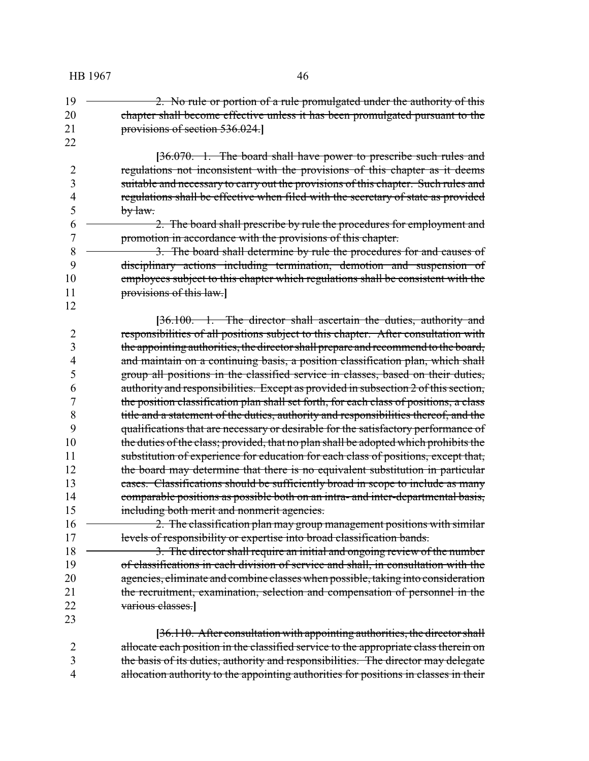2. No rule or portion of a rule promulgated under the authority of this chapter shall become effective unless it has been promulgated pursuant to the provisions of section 536.024.**]**

**[**36.070. 1. The board shall have power to prescribe such rules and regulations not inconsistent with the provisions of this chapter as it deems suitable and necessary to carry out the provisions of this chapter. Such rules and regulations shall be effective when filed with the secretary of state as provided by law.

 2. The board shall prescribe by rule the procedures for employment and promotion in accordance with the provisions of this chapter.

8 3. The board shall determine by rule the procedures for and causes of disciplinary actions including termination, demotion and suspension of 10 employees subject to this chapter which regulations shall be consistent with the provisions of this law.**]**

**[**36.100. 1. The director shall ascertain the duties, authority and responsibilities of all positions subject to this chapter. After consultation with the appointing authorities, the director shall prepare and recommend to the board, and maintain on a continuing basis, a position classification plan, which shall group all positions in the classified service in classes, based on their duties, authority and responsibilities. Except as provided in subsection 2 of this section, the position classification plan shall set forth, for each class of positions, a class 8 title and a statement of the duties, authority and responsibilities thereof, and the qualifications that are necessary or desirable for the satisfactory performance of qualifications that are necessary or desirable for the satisfactory performance of 10 the duties of the class; provided, that no plan shall be adopted which prohibits the 11 substitution of experience for education for each class of positions, except that, 12 the board may determine that there is no equivalent substitution in particular 13 cases. Classifications should be sufficiently broad in scope to include as many comparable positions as possible both on an intra- and inter-departmental basis, including both merit and nonmerit agencies.

16 2. The classification plan may group management positions with similar levels of responsibility or expertise into broad classification bands.

18 3. The director shall require an initial and ongoing review of the number 19 of classifications in each division of service and shall, in consultation with the agencies, eliminate and combine classes when possible, taking into consideration the recruitment, examination, selection and compensation of personnel in the various classes.**]**

**[**36.110. After consultation with appointing authorities, the director shall allocate each position in the classified service to the appropriate class therein on the basis of its duties, authority and responsibilities. The director may delegate allocation authority to the appointing authorities for positions in classes in their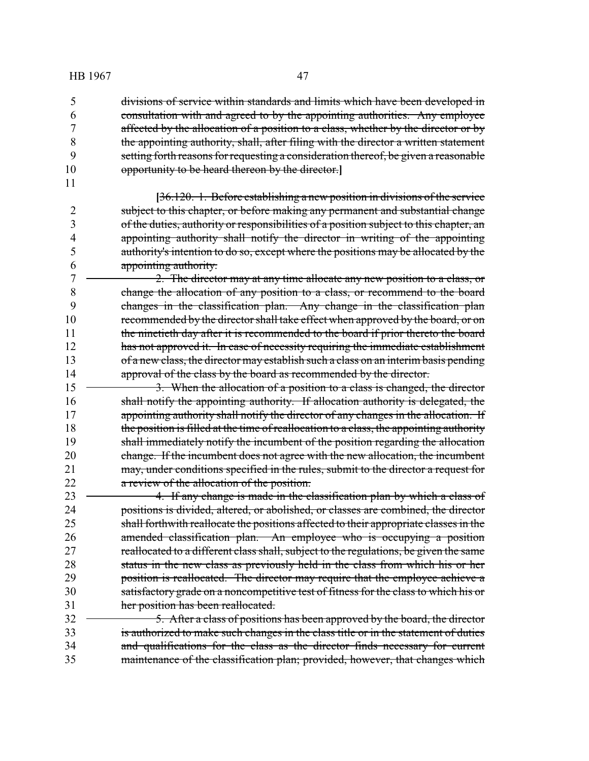divisions of service within standards and limits which have been developed in consultation with and agreed to by the appointing authorities. Any employee affected by the allocation of a position to a class, whether by the director or by 8 the appointing authority, shall, after filing with the director a written statement setting forth reasons for requesting a consideration thereof, be given a reasonable opportunity to be heard thereon by the director.**]**

**[**36.120. 1. Before establishing a new position in divisions of the service subject to this chapter, or before making any permanent and substantial change of the duties, authority or responsibilities of a position subject to this chapter, an appointing authority shall notify the director in writing of the appointing authority's intention to do so, except where the positions may be allocated by the appointing authority.

 2. The director may at any time allocate any new position to a class, or change the allocation of any position to a class, or recommend to the board changes in the classification plan. Any change in the classification plan 10 recommended by the director shall take effect when approved by the board, or on 11 the ninetieth day after it is recommended to the board if prior thereto the board 12 has not approved it. In case of necessity requiring the immediate establishment 13 of a new class, the director may establish such a class on an interim basis pending 14 approval of the class by the board as recommended by the director.

15 <del>3. When the allocation of a position to a class is changed, the director</del> shall notify the appointing authority. If allocation authority is delegated, the appointing authority shall notify the director of any changes in the allocation. If the position is filled at the time of reallocation to a class, the appointing authority shall immediately notify the incumbent of the position regarding the allocation change. If the incumbent does not agree with the new allocation, the incumbent may, under conditions specified in the rules, submit to the director a request for a review of the allocation of the position.

**4.** If any change is made in the classification plan by which a class of positions is divided, altered, or abolished, or classes are combined, the director shall forthwith reallocate the positions affected to their appropriate classes in the amended classification plan. An employee who is occupying a position 27 reallocated to a different class shall, subject to the regulations, be given the same status in the new class as previously held in the class from which his or her **position is reallocated.** The director may require that the employee achieve a satisfactory grade on a noncompetitive test of fitness for the class to which his or 31 her position has been reallocated.

32 <del>5. After a class of positions has been approved by the board, the director</del> is authorized to make such changes in the class title or in the statement of duties and qualifications for the class as the director finds necessary for current 35 maintenance of the classification plan; provided, however, that changes which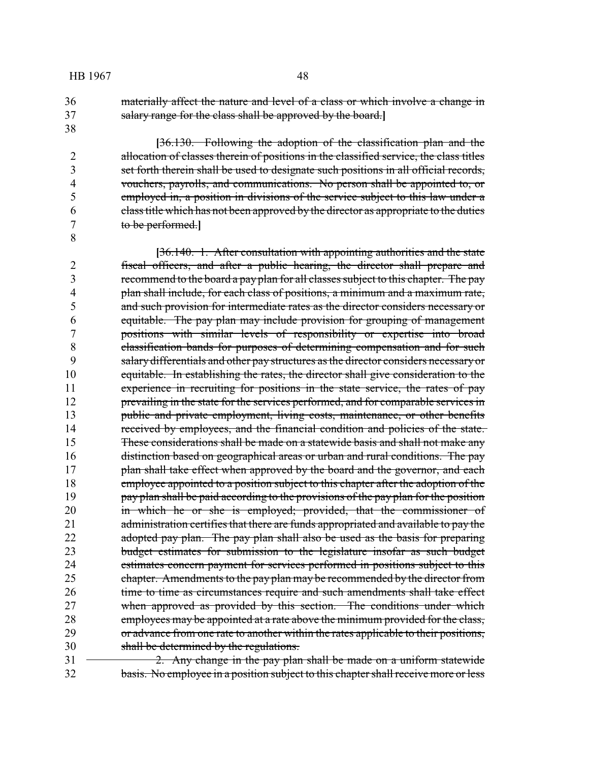36 materially affect the nature and level of a class or which involve a change in 37 salary range for the class shall be approved by the board.**]**

38

8

**[**36.130. Following the adoption of the classification plan and the allocation of classes therein of positions in the classified service, the class titles set forth therein shall be used to designate such positions in all official records, vouchers, payrolls, and communications. No person shall be appointed to, or employed in, a position in divisions of the service subject to this law under a class title which has not been approved by the director as appropriate to the duties to be performed.**]**

**[**36.140. 1. After consultation with appointing authorities and the state 2 fiscal officers, and after a public hearing, the director shall prepare and 3 recommend to the board a pay plan for all classes subject to this chapter. The pay 4 plan shall include, for each class of positions, a minimum and a maximum rate, 5 and such provision for intermediate rates as the director considers necessary or 6 equitable. The pay plan may include provision for grouping of management 7 positions with similar levels of responsibility or expertise into broad 8 classification bands for purposes of determining compensation and for such 9 salary differentials and other pay structures as the director considers necessaryor 10 equitable. In establishing the rates, the director shall give consideration to the 11 experience in recruiting for positions in the state service, the rates of pay 12 prevailing in the state for the services performed, and for comparable services in 13 public and private employment, living costs, maintenance, or other benefits 14 received by employees, and the financial condition and policies of the state. 15 These considerations shall be made on a statewide basis and shall not make any 16 distinction based on geographical areas or urban and rural conditions. The pay 17 plan shall take effect when approved by the board and the governor, and each 18 employee appointed to a position subject to this chapter after the adoption of the 19 pay plan shall be paid according to the provisions of the pay plan for the position 20 in which he or she is employed; provided, that the commissioner of 21 administration certifies that there are funds appropriated and available to pay the 22 adopted pay plan. The pay plan shall also be used as the basis for preparing 23 budget estimates for submission to the legislature insofar as such budget 24 estimates concern payment for services performed in positions subject to this 25 chapter. Amendments to the pay plan may be recommended by the director from 26 time to time as circumstances require and such amendments shall take effect 27 when approved as provided by this section. The conditions under which 28 employees may be appointed at a rate above the minimum provided for the class, 29 or advance from one rate to another within the rates applicable to their positions, 30 shall be determined by the regulations.

 $31 \rightarrow 2$ . Any change in the pay plan shall be made on a uniform statewide 32 basis. No employee in a position subject to this chapter shall receive more or less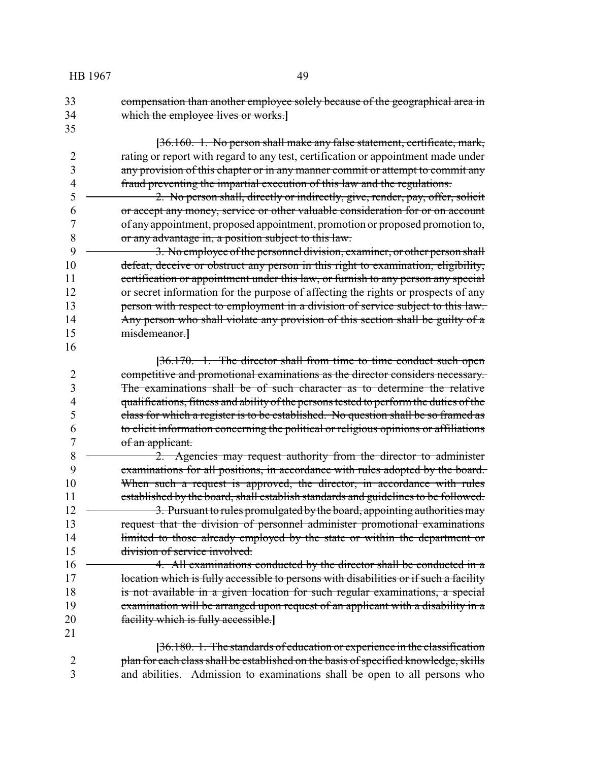| HB 1967 | 49                                                                                                       |
|---------|----------------------------------------------------------------------------------------------------------|
| 33      | compensation than another employee solely because of the geographical area in                            |
| 34      | which the employee lives or works.                                                                       |
| 35      |                                                                                                          |
|         | [36.160. 1. No person shall make any false statement, certificate, mark,                                 |
| 2       | rating or report with regard to any test, certification or appointment made under                        |
| 3       | any provision of this chapter or in any manner commit or attempt to commit any                           |
| 4       | fraud preventing the impartial execution of this law and the regulations.                                |
| 5       | 2. No person shall, directly or indirectly, give, render, pay, offer, solicit                            |
| 6       | or accept any money, service or other valuable consideration for or on account                           |
| 7       | of any appointment, proposed appointment, promotion or proposed promotion to,                            |
| 8       | or any advantage in, a position subject to this law.                                                     |
| 9       | 3. No employee of the personnel division, examiner, or other person shall                                |
| 10      | defeat, deceive or obstruct any person in this right to examination, eligibility,                        |
| 11      | certification or appointment under this law, or furnish to any person any special                        |
| 12      | or secret information for the purpose of affecting the rights or prospects of any                        |
| 13      | person with respect to employment in a division of service subject to this law.                          |
| 14      | Any person who shall violate any provision of this section shall be guilty of a                          |
| 15      | misdemeanor.]                                                                                            |
| 16      |                                                                                                          |
|         | [36.170. 1. The director shall from time to time conduct such open                                       |
| 2       | competitive and promotional examinations as the director considers necessary.                            |
| 3       | The examinations shall be of such character as to determine the relative                                 |
| 4       | qualifications, fitness and ability of the persons tested to perform the duties of the                   |
| 5<br>6  | class for which a register is to be established. No question shall be so framed as                       |
| 7       | to elicit information concerning the political or religious opinions or affiliations<br>of an applicant. |
| 8       | 2. Agencies may request authority from the director to administer                                        |
| 9       | examinations for all positions, in accordance with rules adopted by the board.                           |
| 10      | When such a request is approved, the director, in accordance with rules                                  |
| 11      | established by the board, shall establish standards and guidelines to be followed.                       |
| 12      | 3. Pursuant to rules promulgated by the board, appointing authorities may                                |
| 13      | request that the division of personnel administer promotional examinations                               |
| 14      | limited to those already employed by the state or within the department or                               |
| 15      | <del>division of service involved.</del>                                                                 |
| 16      | 4. All examinations conducted by the director shall be conducted in a                                    |
| 17      | location which is fully accessible to persons with disabilities or if such a facility                    |
| 18      | is not available in a given location for such regular examinations, a special                            |
| 19      | examination will be arranged upon request of an applicant with a disability in a                         |
| 20      | facility which is fully accessible.                                                                      |
| 21      |                                                                                                          |
|         | [36.180. 1. The standards of education or experience in the classification                               |
| 2       | plan for each class shall be established on the basis of specified knowledge, skills                     |
| 3       | and abilities. Admission to examinations shall be open to all persons who                                |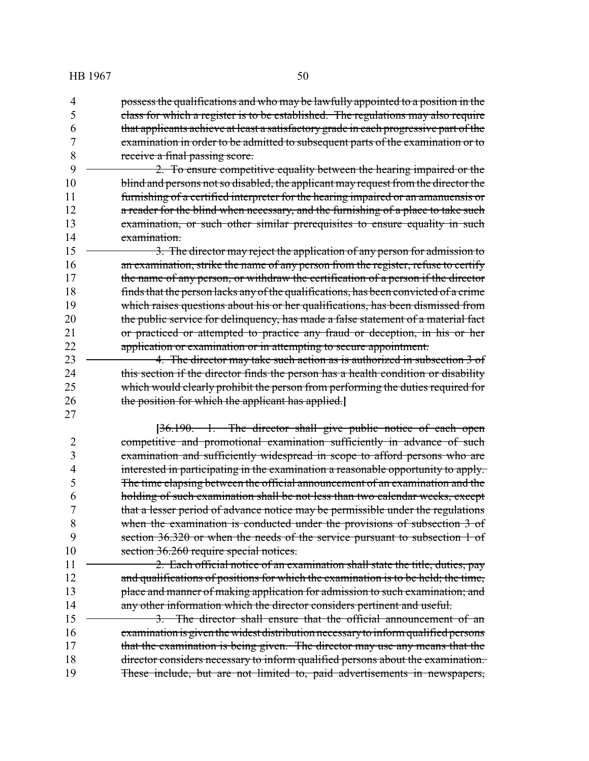possess the qualifications and who may be lawfully appointed to a position in the class for which a register is to be established. The regulations may also require that applicants achieve at least a satisfactory grade in each progressive part of the examination in order to be admitted to subsequent parts of the examination or to receive a final passing score.

 2. To ensure competitive equality between the hearing impaired or the 10 blind and persons not so disabled, the applicant may request from the director the furnishing of a certified interpreter for the hearing impaired or an amanuensis or 12 a reader for the blind when necessary, and the furnishing of a place to take such 13 examination, or such other similar prerequisites to ensure equality in such examination.

15 <del>3. The director may reject the application of any person for admission to</del> 16 an examination, strike the name of any person from the register, refuse to certify the name of any person, or withdraw the certification of a person if the director finds that the person lacks any of the qualifications, has been convicted of a crime which raises questions about his or her qualifications, has been dismissed from 20 the public service for delinquency, has made a false statement of a material fact or practiced or attempted to practice any fraud or deception, in his or her application or examination or in attempting to secure appointment.

**4. The director may take such action as is authorized in subsection 3 of** 24 this section if the director finds the person has a health condition or disability which would clearly prohibit the person from performing the duties required for the position for which the applicant has applied.**]**

**[**36.190. 1. The director shall give public notice of each open competitive and promotional examination sufficiently in advance of such examination and sufficiently widespread in scope to afford persons who are interested in participating in the examination a reasonable opportunity to apply. The time elapsing between the official announcement of an examination and the holding of such examination shall be not less than two calendar weeks, except that a lesser period of advance notice may be permissible under the regulations when the examination is conducted under the provisions of subsection 3 of section 36.320 or when the needs of the service pursuant to subsection 1 of 10 section 36.260 require special notices.

 2. Each official notice of an examination shall state the title, duties, pay 12 and qualifications of positions for which the examination is to be held; the time, 13 place and manner of making application for admission to such examination; and 14 any other information which the director considers pertinent and useful.

15 <del>3. The director shall ensure that the official announcement of an</del> examination is given thewidest distribution necessaryto inform qualified persons 17 that the examination is being given. The director may use any means that the director considers necessary to inform qualified persons about the examination. These include, but are not limited to, paid advertisements in newspapers,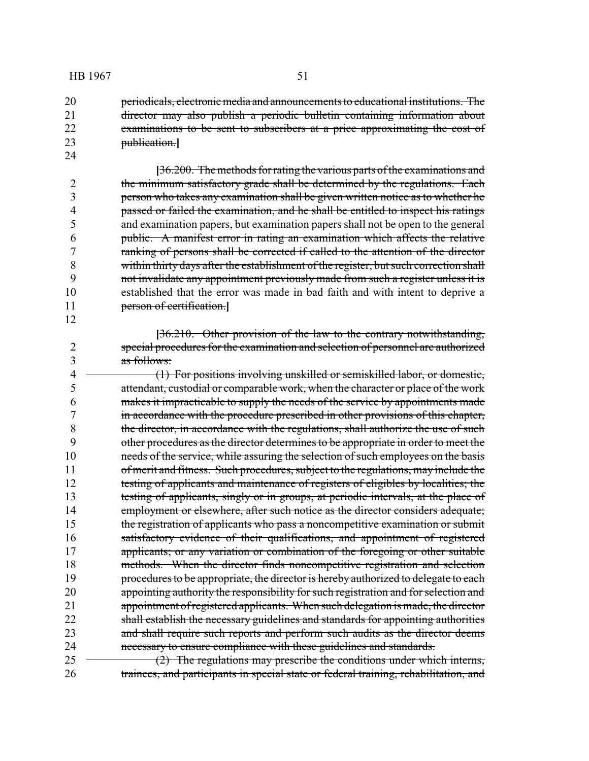20 periodicals, electronic media and announcements to educational institutions. The director may also publish a periodic bulletin containing information about examinations to be sent to subscribers at a price approximating the cost of publication.**]**

- **[**36.200. The methods for rating the various parts of the examinations and 2 the minimum satisfactory grade shall be determined by the regulations. Each person who takes any examination shall be given written notice as to whether he passed or failed the examination, and he shall be entitled to inspect his ratings and examination papers, but examination papers shall not be open to the general public. A manifest error in rating an examination which affects the relative ranking of persons shall be corrected if called to the attention of the director within thirty days after the establishment of the register, but such correction shall not invalidate any appointment previously made from such a register unless it is established that the error was made in bad faith and with intent to deprive a person of certification.**]**
- **[**36.210. Other provision of the law to the contrary notwithstanding, special procedures for the examination and selection of personnel are authorized as follows:
- 4 (1) For positions involving unskilled or semiskilled labor, or domestic, attendant, custodial or comparable work, when the character or place of the work makes it impracticable to supply the needs of the service by appointments made 7 in accordance with the procedure prescribed in other provisions of this chapter,<br>8 the director, in accordance with the regulations, shall authorize the use of such the director, in accordance with the regulations, shall authorize the use of such other procedures as the director determines to be appropriate in order to meet the needs of the service, while assuring the selection of such employees on the basis 11 of merit and fitness. Such procedures, subject to the regulations, may include the testing of applicants and maintenance of registers of eligibles by localities; the 13 testing of applicants, singly or in groups, at periodic intervals, at the place of 14 employment or elsewhere, after such notice as the director considers adequate; the registration of applicants who pass a noncompetitive examination or submit satisfactory evidence of their qualifications, and appointment of registered 17 applicants; or any variation or combination of the foregoing or other suitable methods. When the director finds noncompetitive registration and selection 19 procedures to be appropriate, the director is hereby authorized to delegate to each appointing authority the responsibility for such registration and for selection and appointment of registered applicants. When such delegation is made, the director shall establish the necessary guidelines and standards for appointing authorities and shall require such reports and perform such audits as the director deems necessary to ensure compliance with these guidelines and standards.  $25 \rightarrow (2)$  The regulations may prescribe the conditions under which interns,
- trainees, and participants in special state or federal training, rehabilitation, and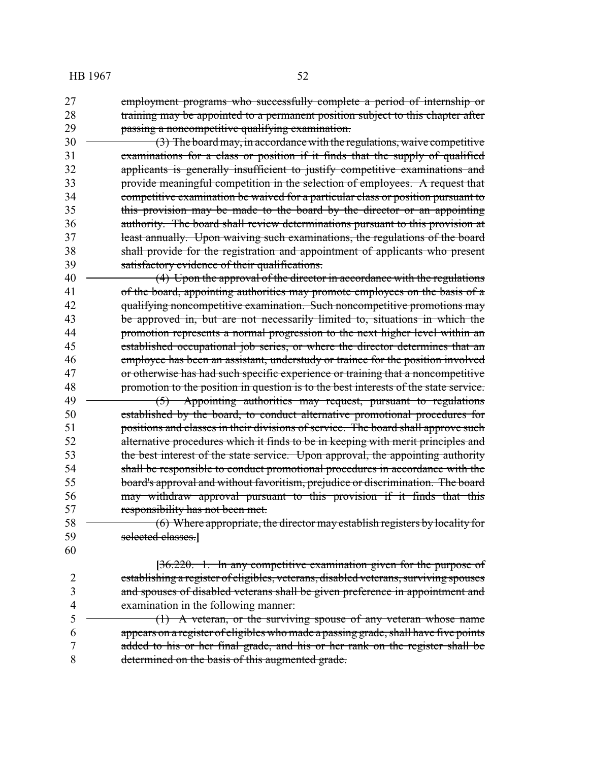- employment programs who successfully complete a period of internship or 28 training may be appointed to a permanent position subject to this chapter after passing a noncompetitive qualifying examination.
- 30 (3) The board may, in accordance with the regulations, waive competitive examinations for a class or position if it finds that the supply of qualified applicants is generally insufficient to justify competitive examinations and provide meaningful competition in the selection of employees. A request that competitive examination be waived for a particular class or position pursuant to this provision may be made to the board by the director or an appointing authority. The board shall review determinations pursuant to this provision at least annually. Upon waiving such examinations, the regulations of the board shall provide for the registration and appointment of applicants who present satisfactory evidence of their qualifications.
- 40 (4) Upon the approval of the director in accordance with the regulations 41 of the board, appointing authorities may promote employees on the basis of a qualifying noncompetitive examination. Such noncompetitive promotions may be approved in, but are not necessarily limited to, situations in which the **promotion represents a normal progression to the next higher level within an**  established occupational job series, or where the director determines that an employee has been an assistant, understudy or trainee for the position involved or otherwise has had such specific experience or training that a noncompetitive promotion to the position in question is to the best interests of the state service. 49 (5) Appointing authorities may request, pursuant to regulations established by the board, to conduct alternative promotional procedures for 51 positions and classes in their divisions of service. The board shall approve such alternative procedures which it finds to be in keeping with merit principles and the best interest of the state service. Upon approval, the appointing authority shall be responsible to conduct promotional procedures in accordance with the board's approval and without favoritism, prejudice or discrimination. The board may withdraw approval pursuant to this provision if it finds that this responsibility has not been met.
- 58 (6) Where appropriate, the director may establish registers by locality for selected classes.**]**
- 

**[**36.220. 1. In any competitive examination given for the purpose of establishing a register of eligibles, veterans, disabled veterans, surviving spouses and spouses of disabled veterans shall be given preference in appointment and examination in the following manner:

5 (1) A veteran, or the surviving spouse of any veteran whose name appears on a register of eligibles who made a passing grade, shall have five points added to his or her final grade, and his or her rank on the register shall be determined on the basis of this augmented grade.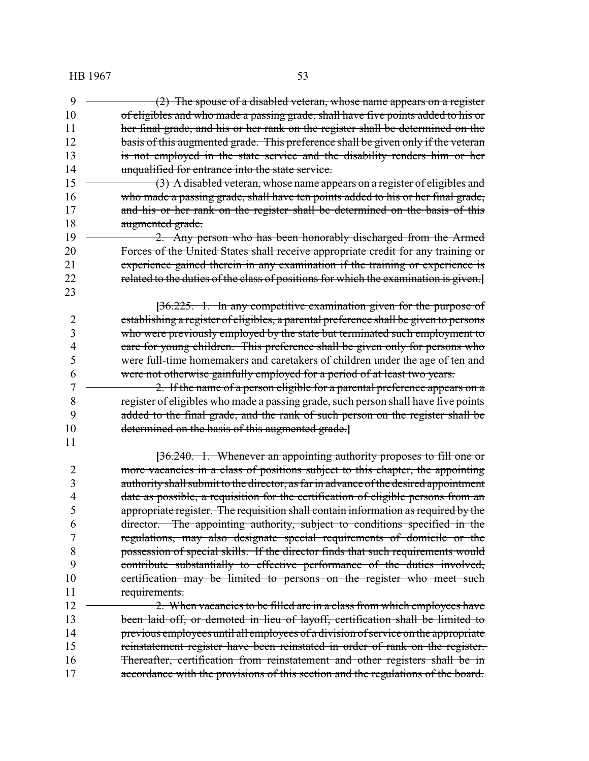$\rightarrow$  (2) The spouse of a disabled veteran, whose name appears on a register of eligibles and who made a passing grade, shall have five points added to his or her final grade, and his or her rank on the register shall be determined on the 12 basis of this augmented grade. This preference shall be given only if the veteran is not employed in the state service and the disability renders him or her unqualified for entrance into the state service. 15 (3) A disabled veteran, whose name appears on a register of eligibles and who made a passing grade, shall have ten points added to his or her final grade, 17 and his or her rank on the register shall be determined on the basis of this augmented grade. **2.** Any person who has been honorably discharged from the Armed Forces of the United States shall receive appropriate credit for any training or experience gained therein in any examination if the training or experience is related to the duties of the class of positions for which the examination is given.**] [**36.225. 1. In any competitive examination given for the purpose of 2 establishing a register of eligibles, a parental preference shall be given to persons who were previously employed by the state but terminated such employment to 4 care for young children. This preference shall be given only for persons who<br>5 were full-time homemakers and caretakers of children under the age of ten and were full-time homemakers and caretakers of children under the age of ten and were not otherwise gainfully employed for a period of at least two years. 2. If the name of a person eligible for a parental preference appears on a register of eligibles who made a passing grade, such person shall have five points added to the final grade, and the rank of such person on the register shall be determined on the basis of this augmented grade.**] [**36.240. 1. Whenever an appointing authority proposes to fill one or more vacancies in a class of positions subject to this chapter, the appointing authority shall submit to the director, as far in advance of the desired appointment date as possible, a requisition for the certification of eligible persons from an appropriate register. The requisition shall contain information as required by the director. The appointing authority, subject to conditions specified in the regulations, may also designate special requirements of domicile or the possession of special skills. If the director finds that such requirements would contribute substantially to effective performance of the duties involved, 10 certification may be limited to persons on the register who meet such requirements. 12 <del>2. When vacancies to be filled are in a class from which employees have</del> 13 been laid off, or demoted in lieu of layoff, certification shall be limited to previous employees until all employees of a division of service on the appropriate reinstatement register have been reinstated in order of rank on the register. Thereafter, certification from reinstatement and other registers shall be in accordance with the provisions of this section and the regulations of the board.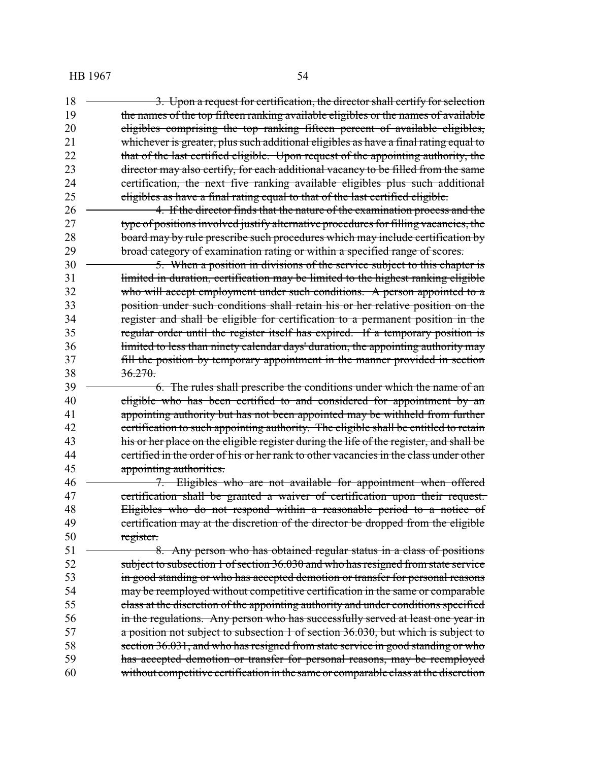**3.** Upon a request for certification, the director shall certify for selection the names of the top fifteen ranking available eligibles or the names of available eligibles comprising the top ranking fifteen percent of available eligibles, 21 whichever is greater, plus such additional eligibles as have a final rating equal to 22 that of the last certified eligible. Upon request of the appointing authority, the director may also certify, for each additional vacancy to be filled from the same certification, the next five ranking available eligibles plus such additional eligibles as have a final rating equal to that of the last certified eligible. **4. If the director finds that the nature of the examination process and the**  type of positions involved justify alternative procedures for filling vacancies, the 28 board may by rule prescribe such procedures which may include certification by broad category of examination rating or within a specified range of scores. 30 5. When a position in divisions of the service subject to this chapter is 31 limited in duration, certification may be limited to the highest ranking eligible 32 who will accept employment under such conditions. A person appointed to a position under such conditions shall retain his or her relative position on the register and shall be eligible for certification to a permanent position in the regular order until the register itself has expired. If a temporary position is limited to less than ninety calendar days' duration, the appointing authority may fill the position by temporary appointment in the manner provided in section 38 36.270. 39 <del>6. The rules shall prescribe the conditions under which the name of an</del> 40 eligible who has been certified to and considered for appointment by an appointing authority but has not been appointed may be withheld from further 42 eertification to such appointing authority. The eligible shall be entitled to retain 43 his or her place on the eligible register during the life of the register, and shall be certified in the order of his or her rank to other vacancies in the class under other **appointing authorities.**  7. Eligibles who are not available for appointment when offered certification shall be granted a waiver of certification upon their request. Eligibles who do not respond within a reasonable period to a notice of 49 certification may at the discretion of the director be dropped from the eligible 50 register. 51 <del>8. Any person who has obtained regular status in a class of positions</del> subject to subsection 1 of section 36.030 and who has resigned from state service 53 in good standing or who has accepted demotion or transfer for personal reasons 54 may be reemployed without competitive certification in the same or comparable class at the discretion of the appointing authority and under conditions specified in the regulations. Any person who has successfully served at least one year in a position not subject to subsection 1 of section 36.030, but which is subject to section 36.031, and who has resigned from state service in good standing or who has accepted demotion or transfer for personal reasons, may be reemployed without competitive certification in the same or comparable class at the discretion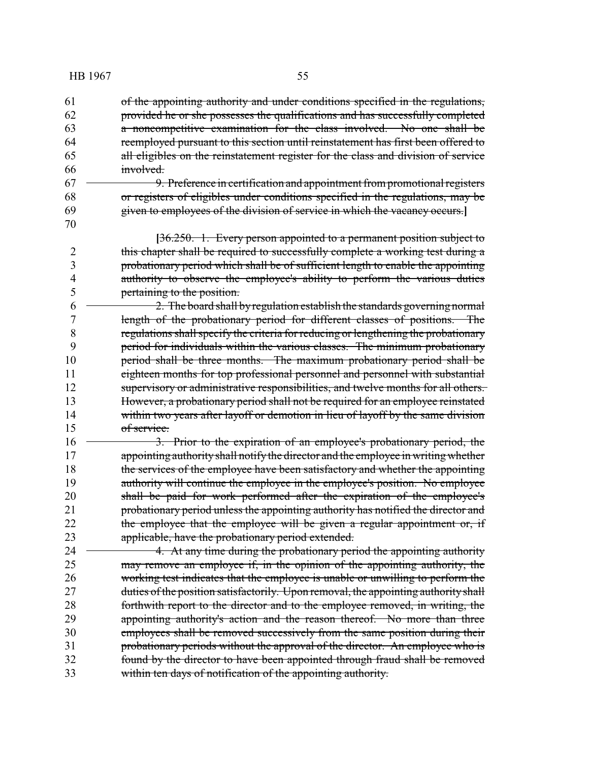of the appointing authority and under conditions specified in the regulations, provided he or she possesses the qualifications and has successfully completed a noncompetitive examination for the class involved. No one shall be reemployed pursuant to this section until reinstatement has first been offered to all eligibles on the reinstatement register for the class and division of service involved. 9. Preference in certification and appointment from promotional registers or registers of eligibles under conditions specified in the regulations, may be given to employees of the division of service in which the vacancy occurs.**] [**36.250. 1. Every person appointed to a permanent position subject to 2 this chapter shall be required to successfully complete a working test during a probationary period which shall be of sufficient length to enable the appointing 4 authority to observe the employee's ability to perform the various duties pertaining to the position.  $6 \rightarrow 2$ . The board shall by regulation establish the standards governing normal length of the probationary period for different classes of positions. The regulations shall specify the criteria for reducing or lengthening the probationary period for individuals within the various classes. The minimum probationary 10 period shall be three months. The maximum probationary period shall be eighteen months for top professional personnel and personnel with substantial supervisory or administrative responsibilities, and twelve months for all others. However, a probationary period shall not be required for an employee reinstated within two years after layoff or demotion in lieu of layoff by the same division of service. 16 <del>3. Prior to the expiration of an employee's probationary period, the</del> 17 appointing authority shall notify the director and the employee in writing whether the services of the employee have been satisfactory and whether the appointing 19 authority will continue the employee in the employee's position. No employee 20 shall be paid for work performed after the expiration of the employee's 21 probationary period unless the appointing authority has notified the director and 22 the employee that the employee will be given a regular appointment or, if applicable, have the probationary period extended. 4. At any time during the probationary period the appointing authority may remove an employee if, in the opinion of the appointing authority, the working test indicates that the employee is unable or unwilling to perform the 27 duties of the position satisfactorily. Upon removal, the appointing authority shall forthwith report to the director and to the employee removed, in writing, the appointing authority's action and the reason thereof. No more than three employees shall be removed successively from the same position during their 31 probationary periods without the approval of the director. An employee who is found by the director to have been appointed through fraud shall be removed within ten days of notification of the appointing authority.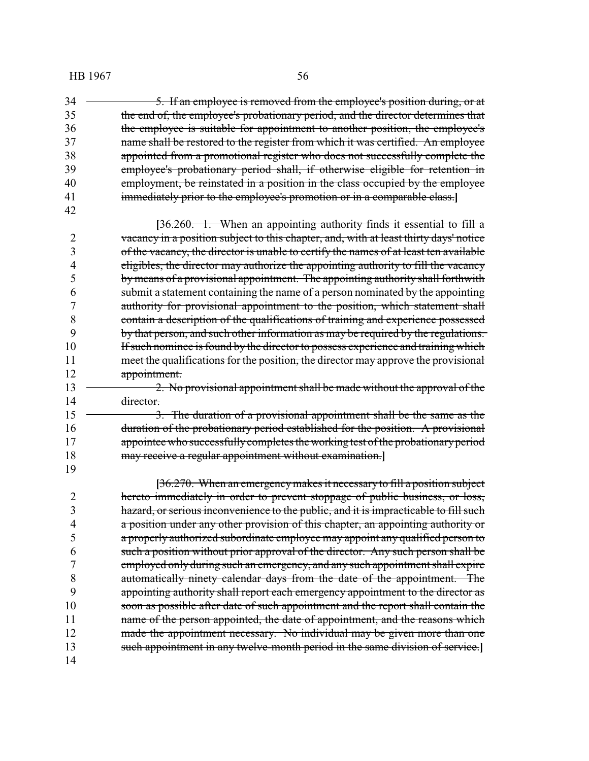34 <del>5. If an employee is removed from the employee's position during, or at</del> the end of, the employee's probationary period, and the director determines that the employee is suitable for appointment to another position, the employee's 37 mame shall be restored to the register from which it was certified. An employee appointed from a promotional register who does not successfully complete the employee's probationary period shall, if otherwise eligible for retention in 40 employment, be reinstated in a position in the class occupied by the employee immediately prior to the employee's promotion or in a comparable class.**]** 

**[**36.260. 1. When an appointing authority finds it essential to fill a 2 vacancy in a position subject to this chapter, and, with at least thirty days' notice of the vacancy, the director is unable to certify the names of at least ten available eligibles, the director may authorize the appointing authority to fill the vacancy bymeans of a provisional appointment. The appointing authority shall forthwith submit a statement containing the name of a person nominated by the appointing authority for provisional appointment to the position, which statement shall contain a description of the qualifications of training and experience possessed by that person, and such other information as may be required by the regulations. 10 If such nominee is found by the director to possess experience and training which meet the qualifications for the position, the director may approve the provisional 12 appointment.

13 2. No provisional appointment shall be made without the approval of the 14 director.

15 <del>3. The duration of a provisional appointment shall be the same as the</del> 16 duration of the probationary period established for the position. A provisional 17 appointee who successfully completes the working test of the probationary period may receive a regular appointment without examination.**]**

**[**36.270. When an emergencymakes it necessaryto fill a position subject hereto immediately in order to prevent stoppage of public business, or loss, hazard, or serious inconvenience to the public, and it is impracticable to fill such a position under any other provision of this chapter, an appointing authority or a properly authorized subordinate employee may appoint any qualified person to such a position without prior approval of the director. Any such person shall be employed only during such an emergency, and any such appointment shall expire automatically ninety calendar days from the date of the appointment. The appointing authority shall report each emergency appointment to the director as soon as possible after date of such appointment and the report shall contain the 11 name of the person appointed, the date of appointment, and the reasons which 12 made the appointment necessary. No individual may be given more than one such appointment in any twelve-month period in the same division of service.**]**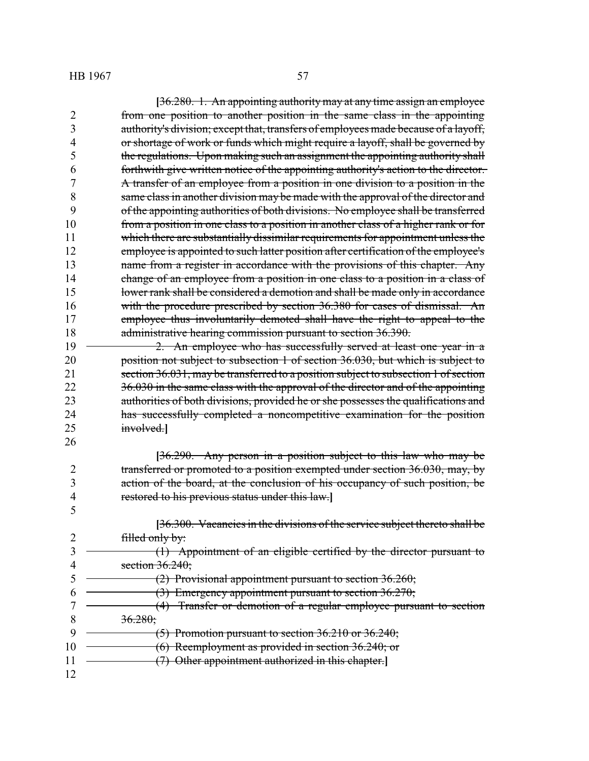|                | [36.280. 1. An appointing authority may at any time assign an employee              |
|----------------|-------------------------------------------------------------------------------------|
| 2              | from one position to another position in the same class in the appointing           |
| 3              | authority's division; except that, transfers of employees made because of a layoff, |
| 4              | or shortage of work or funds which might require a layoff, shall be governed by     |
| 5              | the regulations. Upon making such an assignment the appointing authority shall      |
| 6              | forthwith give written notice of the appointing authority's action to the director. |
| 7              | A transfer of an employee from a position in one division to a position in the      |
| 8              | same class in another division may be made with the approval of the director and    |
| 9              | of the appointing authorities of both divisions. No employee shall be transferred   |
| 10             | from a position in one class to a position in another class of a higher rank or for |
| 11             | which there are substantially dissimilar requirements for appointment unless the    |
| 12             | employee is appointed to such latter position after certification of the employee's |
| 13             | name from a register in accordance with the provisions of this chapter. Any         |
| 14             | change of an employee from a position in one class to a position in a class of      |
| 15             | lower rank shall be considered a demotion and shall be made only in accordance      |
| 16             | with the procedure prescribed by section 36.380 for cases of dismissal. An          |
| 17             | employee thus involuntarily demoted shall have the right to appeal to the           |
| 18             | administrative hearing commission pursuant to section 36.390.                       |
| 19             | 2. An employee who has successfully served at least one year in a                   |
| 20             | position not subject to subsection 1 of section 36.030, but which is subject to     |
| 21             | section 36.031, may be transferred to a position subject to subsection 1 of section |
| 22             | 36.030 in the same class with the approval of the director and of the appointing    |
| 23             | authorities of both divisions, provided he or she possesses the qualifications and  |
| 24             | has successfully completed a noncompetitive examination for the position            |
| 25             | involved.                                                                           |
| 26             |                                                                                     |
|                | [36.290. Any person in a position subject to this law who may be                    |
| $\overline{2}$ | transferred or promoted to a position exempted under section 36.030, may, by        |
| 3              | action of the board, at the conclusion of his occupancy of such position, be        |
| $\overline{4}$ | restored to his previous status under this law.]                                    |
| 5              |                                                                                     |
|                | [36.300. Vacancies in the divisions of the service subject thereto shall be         |
| $\overline{2}$ | filled only by:                                                                     |
| 3              | (1) Appointment of an eligible certified by the director pursuant to                |
| $\overline{4}$ | section $36.240$ ;                                                                  |
| 5              | $(2)$ Provisional appointment pursuant to section 36.260;                           |
| 6              | (3) Emergency appointment pursuant to section 36.270;                               |
|                | (4) Transfer or demotion of a regular employee pursuant to section                  |
| 8              | 36.280;                                                                             |
| 9              | $(5)$ Promotion pursuant to section 36.210 or 36.240;                               |
| 10             | (6) Reemployment as provided in section 36.240; or                                  |
| 11             | (7) Other appointment authorized in this chapter.                                   |
| 12             |                                                                                     |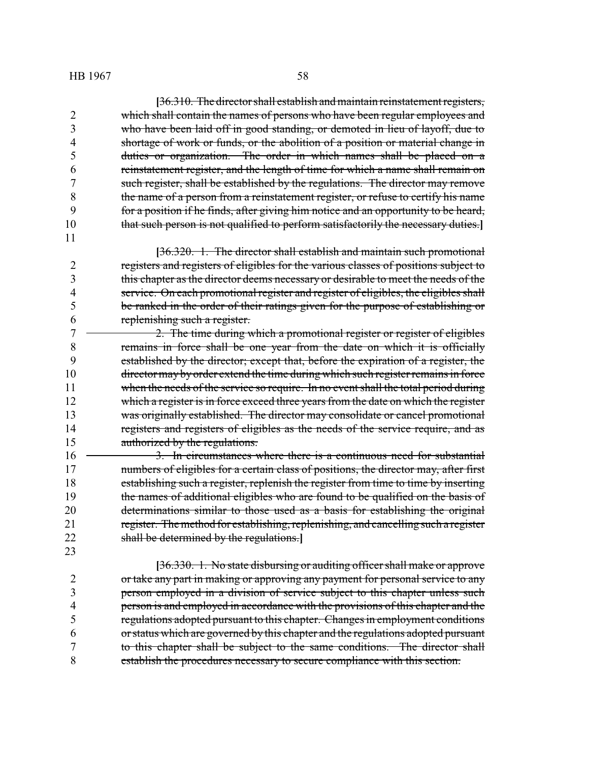**[**36.310. The director shall establish and maintain reinstatement registers, which shall contain the names of persons who have been regular employees and who have been laid off in good standing, or demoted in lieu of layoff, due to shortage of work or funds, or the abolition of a position or material change in duties or organization. The order in which names shall be placed on a reinstatement register, and the length of time for which a name shall remain on 7 such register, shall be established by the regulations. The director may remove the name of a person from a reinstatement register, or refuse to certify his name for a position if he finds, after giving him notice and an opportunity to be heard, that such person is not qualified to perform satisfactorily the necessary duties.**]**

**[**36.320. 1. The director shall establish and maintain such promotional registers and registers of eligibles for the various classes of positions subject to this chapter as the director deems necessary or desirable to meet the needs of the service. On each promotional register and register of eligibles, the eligibles shall be ranked in the order of their ratings given for the purpose of establishing or replenishing such a register.

 2. The time during which a promotional register or register of eligibles remains in force shall be one year from the date on which it is officially established by the director; except that, before the expiration of a register, the director may byorder extend the time during which such register remains in force when the needs of the service so require. In no event shall the total period during 12 which a register is in force exceed three years from the date on which the register 13 was originally established. The director may consolidate or cancel promotional registers and registers of eligibles as the needs of the service require, and as 15 authorized by the regulations.

16 <del>3. In circumstances where there is a continuous need for substantial</del> 17 numbers of eligibles for a certain class of positions, the director may, after first establishing such a register, replenish the register from time to time by inserting the names of additional eligibles who are found to be qualified on the basis of determinations similar to those used as a basis for establishing the original 21 register. The method for establishing, replenishing, and cancelling such a register shall be determined by the regulations.**]**

**[**36.330. 1. No state disbursing or auditing officer shall make or approve or take any part in making or approving any payment for personal service to any person employed in a division of service subject to this chapter unless such person is and employed in accordance with the provisions of this chapter and the regulations adopted pursuant to this chapter. Changes in employment conditions or status which are governed by this chapter and the regulations adopted pursuant to this chapter shall be subject to the same conditions. The director shall establish the procedures necessary to secure compliance with this section.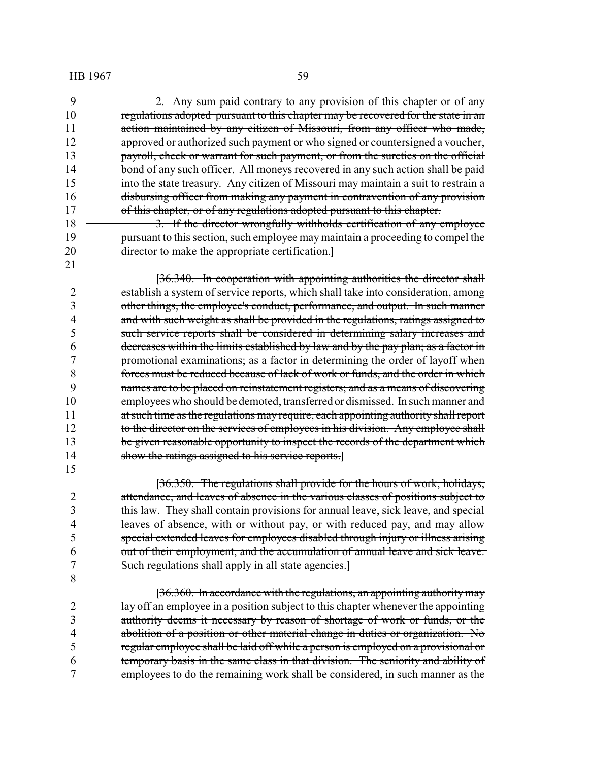2. Any sum paid contrary to any provision of this chapter or of any regulations adopted pursuant to this chapter may be recovered for the state in an 11 action maintained by any citizen of Missouri, from any officer who made, 12 approved or authorized such payment or who signed or countersigned a voucher, payroll, check or warrant for such payment, or from the sureties on the official 14 bond of any such officer. All moneys recovered in any such action shall be paid into the state treasury. Any citizen of Missouri may maintain a suit to restrain a disbursing officer from making any payment in contravention of any provision 17 of this chapter, or of any regulations adopted pursuant to this chapter. 18 <del>3. If the director wrongfully withholds certification of any employee</del>

19 pursuant to this section, such employee may maintain a proceeding to compel the director to make the appropriate certification.**]**

**[**36.340. In cooperation with appointing authorities the director shall establish a system of service reports, which shall take into consideration, among other things, the employee's conduct, performance, and output. In such manner 4 and with such weight as shall be provided in the regulations, ratings assigned to such service reports shall be considered in determining salary increases and 6 decreases within the limits established by law and by the pay plan; as a factor in<br>7 promotional examinations; as a factor in determining the order of layoff when promotional examinations; as a factor in determining the order of layoff when forces must be reduced because of lack of work or funds, and the order in which names are to be placed on reinstatement registers; and as a means of discovering 10 employees who should be demoted, transferred or dismissed. In such manner and 11 at such time as the regulations may require, each appointing authority shall report 12 to the director on the services of employees in his division. Any employee shall 13 be given reasonable opportunity to inspect the records of the department which show the ratings assigned to his service reports.**]**

**[**36.350. The regulations shall provide for the hours of work, holidays, attendance, and leaves of absence in the various classes of positions subject to this law. They shall contain provisions for annual leave, sick leave, and special leaves of absence, with or without pay, or with reduced pay, and may allow special extended leaves for employees disabled through injury or illness arising out of their employment, and the accumulation of annual leave and sick leave. Such regulations shall apply in all state agencies.**]**

**[**36.360. In accordance with the regulations, an appointing authoritymay lay off an employee in a position subject to this chapter whenever the appointing authority deems it necessary by reason of shortage of work or funds, or the abolition of a position or other material change in duties or organization. No regular employee shall be laid off while a person is employed on a provisional or temporary basis in the same class in that division. The seniority and ability of employees to do the remaining work shall be considered, in such manner as the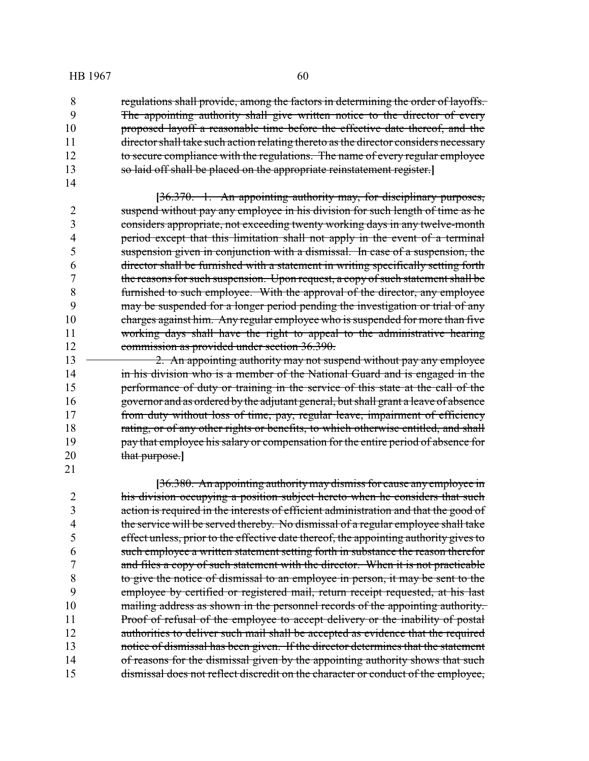regulations shall provide, among the factors in determining the order of layoffs. The appointing authority shall give written notice to the director of every proposed layoff a reasonable time before the effective date thereof, and the 11 director shall take such action relating thereto as the director considers necessary to secure compliance with the regulations. The name of every regular employee so laid off shall be placed on the appropriate reinstatement register.**]**

**[**36.370. 1. An appointing authority may, for disciplinary purposes, suspend without pay any employee in his division for such length of time as he considers appropriate, not exceeding twenty working days in any twelve-month period except that this limitation shall not apply in the event of a terminal suspension given in conjunction with a dismissal. In case of a suspension, the director shall be furnished with a statement in writing specifically setting forth the reasons for such suspension. Upon request, a copy of such statement shall be furnished to such employee. With the approval of the director, any employee may be suspended for a longer period pending the investigation or trial of any 10 charges against him. Any regular employee who is suspended for more than five working days shall have the right to appeal to the administrative hearing commission as provided under section 36.390.

**2.** An appointing authority may not suspend without pay any employee **in his division who is a member of the National Guard and is engaged in the** 15 performance of duty or training in the service of this state at the call of the governor and as ordered by the adjutant general, but shall grant a leave of absence from duty without loss of time, pay, regular leave, impairment of efficiency 18 rating, or of any other rights or benefits, to which otherwise entitled, and shall 19 pay that employee his salary or compensation for the entire period of absence for that purpose.**]** 

**[**36.380. An appointing authoritymay dismiss for cause any employee in his division occupying a position subject hereto when he considers that such action is required in the interests of efficient administration and that the good of the service will be served thereby. No dismissal of a regular employee shall take effect unless, prior to the effective date thereof, the appointing authority gives to such employee a written statement setting forth in substance the reason therefor and files a copy of such statement with the director. When it is not practicable to give the notice of dismissal to an employee in person, it may be sent to the employee by certified or registered mail, return receipt requested, at his last 10 mailing address as shown in the personnel records of the appointing authority. 11 Proof of refusal of the employee to accept delivery or the inability of postal 12 authorities to deliver such mail shall be accepted as evidence that the required notice of dismissal has been given. If the director determines that the statement 14 of reasons for the dismissal given by the appointing authority shows that such dismissal does not reflect discredit on the character or conduct of the employee,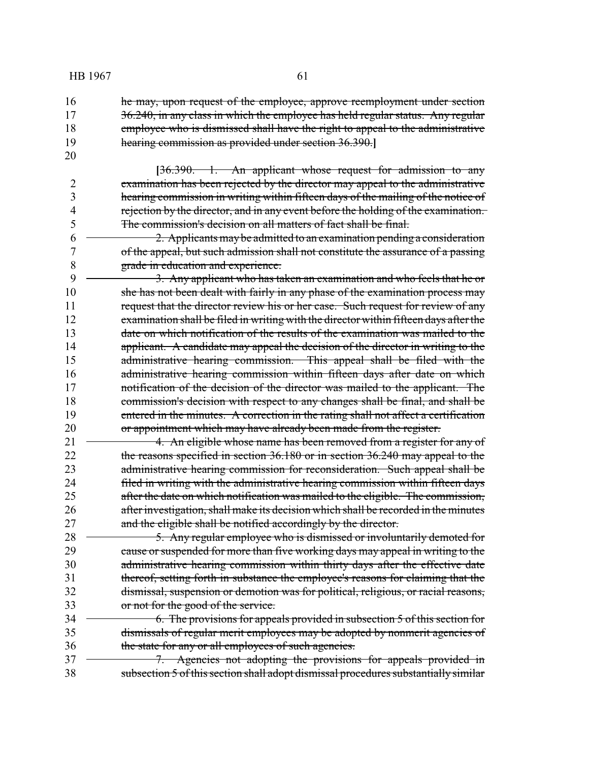16 **he may, upon request of the employee, approve reemployment under section** 17 36.240, in any class in which the employee has held regular status. Any regular 18 employee who is dismissed shall have the right to appeal to the administrative 19 hearing commission as provided under section 36.390.**]**

20

**[**36.390. 1. An applicant whose request for admission to any examination has been rejected by the director may appeal to the administrative hearing commission in writing within fifteen days of the mailing of the notice of rejection by the director, and in any event before the holding of the examination. The commission's decision on all matters of fact shall be final.

 $6 \rightarrow 2$ . Applicants may be admitted to an examination pending a consideration 7 of the appeal, but such admission shall not constitute the assurance of a passing 8 grade in education and experience.

9 <del>3. Any applicant who has taken an examination and who feels that he or</del> 10 she has not been dealt with fairly in any phase of the examination process may 11 request that the director review his or her case. Such request for review of any 12 examination shall be filed in writing with the director within fifteen days after the 13 date on which notification of the results of the examination was mailed to the 14 applicant. A candidate may appeal the decision of the director in writing to the 15 administrative hearing commission. This appeal shall be filed with the 16 administrative hearing commission within fifteen days after date on which 17 notification of the decision of the director was mailed to the applicant. The 18 commission's decision with respect to any changes shall be final, and shall be 19 entered in the minutes. A correction in the rating shall not affect a certification 20 or appointment which may have already been made from the register.

 4. An eligible whose name has been removed from a register for any of 22 the reasons specified in section 36.180 or in section 36.240 may appeal to the administrative hearing commission for reconsideration. Such appeal shall be 24 filed in writing with the administrative hearing commission within fifteen days after the date on which notification was mailed to the eligible. The commission, after investigation, shall make its decision which shall be recorded in the minutes and the eligible shall be notified accordingly by the director.

 $\rightarrow$  5. Any regular employee who is dismissed or involuntarily demoted for 29 cause or suspended for more than five working days may appeal in writing to the administrative hearing commission within thirty days after the effective date thereof, setting forth in substance the employee's reasons for claiming that the dismissal, suspension or demotion was for political, religious, or racial reasons, or not for the good of the service.

34 <del>6. The provisions for appeals provided in subsection 5 of this section for</del> 35 dismissals of regular merit employees may be adopted by nonmerit agencies of 36 the state for any or all employees of such agencies.

37 <del>7. Agencies not adopting the provisions for appeals provided in</del> 38 subsection 5 of this section shall adopt dismissal procedures substantially similar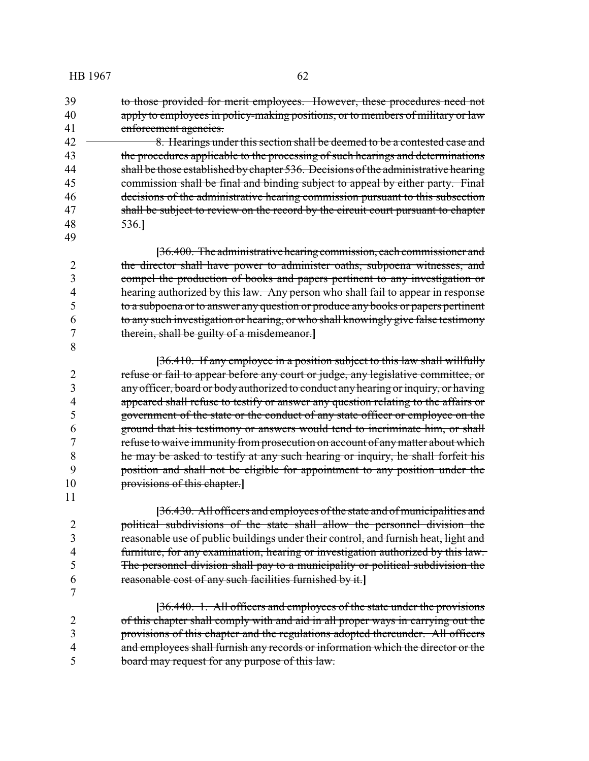to those provided for merit employees. However, these procedures need not apply to employees in policy-making positions, or to members of military or law enforcement agencies.

42 <del>8. Hearings under this section shall be deemed to be a contested case and</del> 43 the procedures applicable to the processing of such hearings and determinations shall be those established bychapter 536. Decisions of the administrative hearing 45 commission shall be final and binding subject to appeal by either party. Final decisions of the administrative hearing commission pursuant to this subsection 47 shall be subject to review on the record by the circuit court pursuant to chapter 536.**]**

**[**36.400. The administrative hearing commission, each commissioner and the director shall have power to administer oaths, subpoena witnesses, and compel the production of books and papers pertinent to any investigation or hearing authorized by this law. Any person who shall fail to appear in response to a subpoena or to answer any question or produce any books or papers pertinent to any such investigation or hearing, or who shall knowingly give false testimony therein, shall be guilty of a misdemeanor.**]**

**[**36.410. If any employee in a position subject to this law shall willfully refuse or fail to appear before any court or judge, any legislative committee, or any officer, board or body authorized to conduct any hearing or inquiry, or having appeared shall refuse to testify or answer any question relating to the affairs or government of the state or the conduct of any state officer or employee on the ground that his testimony or answers would tend to incriminate him, or shall refuse to waive immunity from prosecution on account of anymatter about which he may be asked to testify at any such hearing or inquiry, he shall forfeit his position and shall not be eligible for appointment to any position under the provisions of this chapter.**]**

**[**36.430. All officers and employees of the state and of municipalities and political subdivisions of the state shall allow the personnel division the reasonable use of public buildings under their control, and furnish heat, light and furniture, for any examination, hearing or investigation authorized by this law. The personnel division shall pay to a municipality or political subdivision the reasonable cost of any such facilities furnished by it.**]**

**[**36.440. 1. All officers and employees of the state under the provisions of this chapter shall comply with and aid in all proper ways in carrying out the provisions of this chapter and the regulations adopted thereunder. All officers and employees shall furnish any records or information which the director or the board may request for any purpose of this law.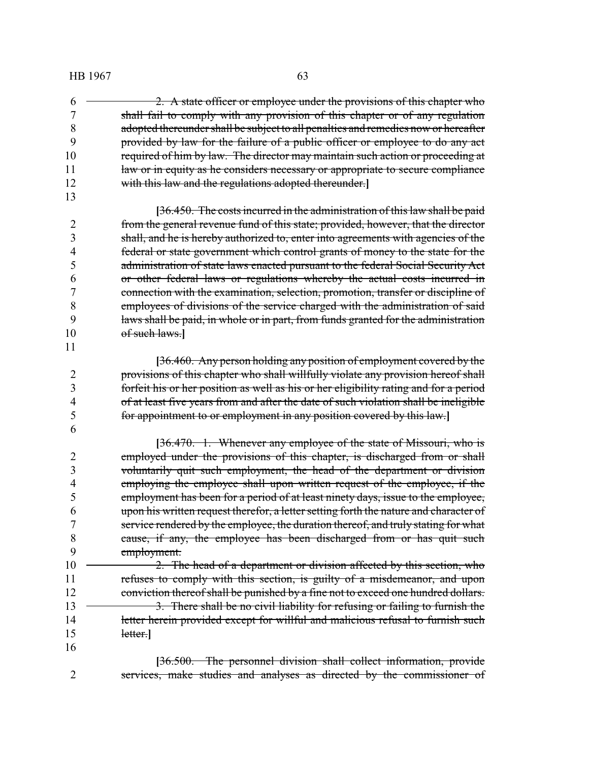- $6 \rightarrow 2$ . A state officer or employee under the provisions of this chapter who shall fail to comply with any provision of this chapter or of any regulation adopted thereunder shall be subject to all penalties and remedies now or hereafter provided by law for the failure of a public officer or employee to do any act 10 required of him by law. The director may maintain such action or proceeding at 11 law or in equity as he considers necessary or appropriate to secure compliance with this law and the regulations adopted thereunder.**]**
- **[**36.450. The costs incurred in the administration of this law shall be paid from the general revenue fund of this state; provided, however, that the director shall, and he is hereby authorized to, enter into agreements with agencies of the federal or state government which control grants of money to the state for the administration of state laws enacted pursuant to the federal Social Security Act or other federal laws or regulations whereby the actual costs incurred in connection with the examination, selection, promotion, transfer or discipline of employees of divisions of the service charged with the administration of said laws shall be paid, in whole or in part, from funds granted for the administration of such laws.**]**
- **[**36.460. Any person holding any position of employment covered by the provisions of this chapter who shall willfully violate any provision hereof shall forfeit his or her position as well as his or her eligibility rating and for a period of at least five years from and after the date of such violation shall be ineligible for appointment to or employment in any position covered by this law.**]**
- **[**36.470. 1. Whenever any employee of the state of Missouri, who is 2 employed under the provisions of this chapter, is discharged from or shall voluntarily quit such employment, the head of the department or division employing the employee shall upon written request of the employee, if the employment has been for a period of at least ninety days, issue to the employee, upon his written request therefor, a letter setting forth the nature and character of service rendered by the employee, the duration thereof, and truly stating for what cause, if any, the employee has been discharged from or has quit such employment.
- 10 <del>2. The head of a department or division affected by this section, who</del> 11 refuses to comply with this section, is guilty of a misdemeanor, and upon 12 conviction thereof shall be punished by a fine not to exceed one hundred dollars. 13 <del>3. There shall be no civil liability for refusing or failing to furnish the</del> 14 letter herein provided except for willful and malicious refusal to furnish such letter.**]**
- **[**36.500. The personnel division shall collect information, provide services, make studies and analyses as directed by the commissioner of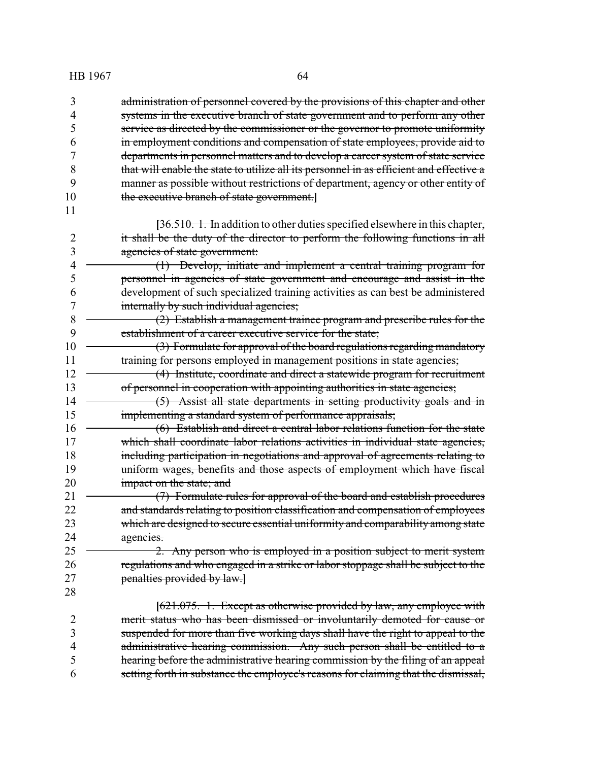| 3              | administration of personnel covered by the provisions of this chapter and other         |
|----------------|-----------------------------------------------------------------------------------------|
| 4              | systems in the executive branch of state government and to perform any other            |
| 5              | service as directed by the commissioner or the governor to promote uniformity           |
| 6              | in employment conditions and compensation of state employees, provide aid to            |
| 7              | departments in personnel matters and to develop a career system of state service        |
| 8              | that will enable the state to utilize all its personnel in as efficient and effective a |
| 9              | manner as possible without restrictions of department, agency or other entity of        |
| 10             | the executive branch of state government.                                               |
| 11             |                                                                                         |
|                | [36.510. 1. In addition to other duties specified elsewhere in this chapter,            |
| $\overline{2}$ | it shall be the duty of the director to perform the following functions in all          |
| 3              | agencies of state government:                                                           |
| $\overline{4}$ | $(1)$ Develop, initiate and implement a central training program for                    |
| 5              | personnel in agencies of state government and encourage and assist in the               |
| 6              | development of such specialized training activities as can best be administered         |
| 7              | internally by such individual agencies;                                                 |
| 8              | (2) Establish a management trainee program and prescribe rules for the                  |
| 9              | establishment of a career executive service for the state;                              |
| 10             | (3) Formulate for approval of the board regulations regarding mandatory                 |
| 11             | training for persons employed in management positions in state agencies;                |
| 12             | (4) Institute, coordinate and direct a statewide program for recruitment                |
| 13             | of personnel in cooperation with appointing authorities in state agencies;              |
| 14             | (5) Assist all state departments in setting productivity goals and in                   |
| 15             | implementing a standard system of performance appraisals;                               |
| 16             | (6) Establish and direct a central labor relations function for the state               |
| 17             | which shall coordinate labor relations activities in individual state agencies,         |
| 18             | including participation in negotiations and approval of agreements relating to          |
| 19             | uniform wages, benefits and those aspects of employment which have fiscal               |
| 20             | impact on the state; and                                                                |
| 21             | (7) Formulate rules for approval of the board and establish procedures                  |
| 22             | and standards relating to position classification and compensation of employees         |
| 23             | which are designed to secure essential uniformity and comparability among state         |
| 24             | agencies.                                                                               |
| 25             | 2. Any person who is employed in a position subject to merit system                     |
| 26             | regulations and who engaged in a strike or labor stoppage shall be subject to the       |
| 27             | penalties provided by law.]                                                             |
| 28             |                                                                                         |
|                | [621.075. 1. Except as otherwise provided by law, any employee with                     |
| $\overline{2}$ | merit status who has been dismissed or involuntarily demoted for cause or               |
| 3              | suspended for more than five working days shall have the right to appeal to the         |
| $\overline{4}$ | administrative hearing commission. Any such person shall be entitled to a               |
| 5              | hearing before the administrative hearing commission by the filing of an appeal         |
| 6              | setting forth in substance the employee's reasons for claiming that the dismissal,      |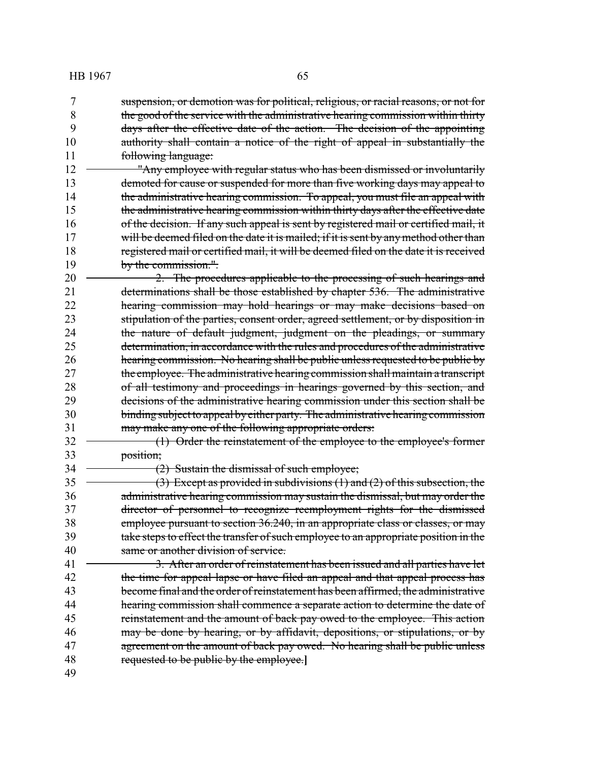suspension, or demotion was for political, religious, or racial reasons, or not for the good of the service with the administrative hearing commission within thirty days after the effective date of the action. The decision of the appointing 10 authority shall contain a notice of the right of appeal in substantially the following language:

12 "Any employee with regular status who has been dismissed or involuntarily 13 demoted for cause or suspended for more than five working days may appeal to 14 the administrative hearing commission. To appeal, you must file an appeal with 15 the administrative hearing commission within thirty days after the effective date 16 of the decision. If any such appeal is sent by registered mail or certified mail, it 17 will be deemed filed on the date it is mailed; if it is sent by any method other than 18 registered mail or certified mail, it will be deemed filed on the date it is received 19 by the commission.".

20 <del>2. The procedures applicable to the processing of such hearings and</del> determinations shall be those established by chapter 536. The administrative hearing commission may hold hearings or may make decisions based on stipulation of the parties, consent order, agreed settlement, or by disposition in 24 the nature of default judgment, judgment on the pleadings, or summary determination, in accordance with the rules and procedures of the administrative hearing commission. No hearing shall be public unless requested to be public by 27 the employee. The administrative hearing commission shall maintain a transcript of all testimony and proceedings in hearings governed by this section, and decisions of the administrative hearing commission under this section shall be binding subject to appeal byeither party. The administrative hearing commission 31 may make any one of the following appropriate orders:

32 (1) Order the reinstatement of the employee to the employee's former 33 position;

34 (2) Sustain the dismissal of such employee;

 $\rightarrow$  (3) Except as provided in subdivisions (1) and (2) of this subsection, the administrative hearing commission may sustain the dismissal, but may order the director of personnel to recognize reemployment rights for the dismissed employee pursuant to section 36.240, in an appropriate class or classes, or may 39 take steps to effect the transfer of such employee to an appropriate position in the same or another division of service.

41 <del>3. After an order of reinstatement has been issued and all parties have let</del> 42 the time for appeal lapse or have filed an appeal and that appeal process has become final and the order of reinstatement has been affirmed, the administrative hearing commission shall commence a separate action to determine the date of reinstatement and the amount of back pay owed to the employee. This action may be done by hearing, or by affidavit, depositions, or stipulations, or by agreement on the amount of back pay owed. No hearing shall be public unless requested to be public by the employee.**]**

49